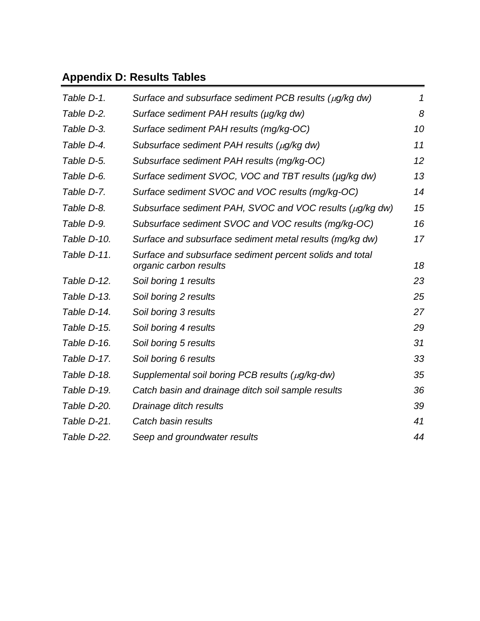# **Appendix D: Results Tables**

| Table D-1.  | Surface and subsurface sediment PCB results ( $\mu$ g/kg dw)                       | 1  |
|-------------|------------------------------------------------------------------------------------|----|
| Table D-2.  | Surface sediment PAH results (µg/kg dw)                                            | 8  |
| Table D-3.  | Surface sediment PAH results (mg/kg-OC)                                            | 10 |
| Table D-4.  | Subsurface sediment PAH results $(\mu q/kg dw)$                                    | 11 |
| Table D-5.  | Subsurface sediment PAH results (mg/kg-OC)                                         | 12 |
| Table D-6.  | Surface sediment SVOC, VOC and TBT results (µg/kg dw)                              | 13 |
| Table D-7.  | Surface sediment SVOC and VOC results (mg/kg-OC)                                   | 14 |
| Table D-8.  | Subsurface sediment PAH, SVOC and VOC results (µg/kg dw)                           | 15 |
| Table D-9.  | Subsurface sediment SVOC and VOC results (mg/kg-OC)                                | 16 |
| Table D-10. | Surface and subsurface sediment metal results (mg/kg dw)                           | 17 |
| Table D-11. | Surface and subsurface sediment percent solids and total<br>organic carbon results | 18 |
| Table D-12. | Soil boring 1 results                                                              | 23 |
| Table D-13. | Soil boring 2 results                                                              | 25 |
| Table D-14. | Soil boring 3 results                                                              | 27 |
| Table D-15. | Soil boring 4 results                                                              | 29 |
| Table D-16. | Soil boring 5 results                                                              | 31 |
| Table D-17. | Soil boring 6 results                                                              | 33 |
| Table D-18. | Supplemental soil boring PCB results (µg/kg-dw)                                    | 35 |
| Table D-19. | Catch basin and drainage ditch soil sample results                                 | 36 |
| Table D-20. | Drainage ditch results                                                             | 39 |
| Table D-21. | Catch basin results                                                                | 41 |
| Table D-22. | Seep and groundwater results                                                       | 44 |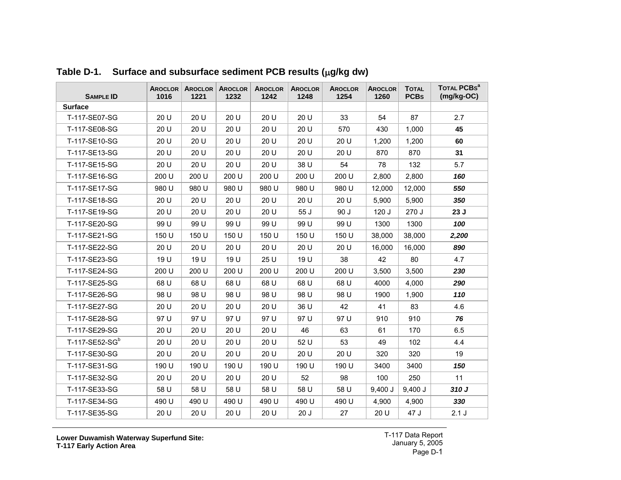<span id="page-1-0"></span>

| <b>SAMPLE ID</b>           | AROCLOR  <br>1016 | AROCLOR  <br>1221 | <b>AROCLOR</b><br>1232 | <b>AROCLOR</b><br>1242 | <b>AROCLOR</b><br>1248 | <b>AROCLOR</b><br>1254 | <b>AROCLOR</b><br>1260 | <b>TOTAL</b><br><b>PCBs</b> | TOTAL PCBs <sup>a</sup><br>$(mg/kg-OC)$ |
|----------------------------|-------------------|-------------------|------------------------|------------------------|------------------------|------------------------|------------------------|-----------------------------|-----------------------------------------|
| <b>Surface</b>             |                   |                   |                        |                        |                        |                        |                        |                             |                                         |
| T-117-SE07-SG              | 20 U              | 20 U              | 20 U                   | 20 U                   | 20 U                   | 33                     | 54                     | 87                          | 2.7                                     |
| T-117-SE08-SG              | 20 U              | 20 U              | 20 U                   | 20 U                   | 20 U                   | 570                    | 430                    | 1,000                       | 45                                      |
| T-117-SE10-SG              | 20 U              | 20 U              | 20 U                   | 20 U                   | 20 U                   | 20 U                   | 1,200                  | 1,200                       | 60                                      |
| T-117-SE13-SG              | 20 U              | 20 U              | 20 U                   | 20 U                   | 20 U                   | 20 U                   | 870                    | 870                         | 31                                      |
| T-117-SE15-SG              | 20 U              | 20 U              | 20 U                   | 20 U                   | 38 U                   | 54                     | 78                     | 132                         | 5.7                                     |
| T-117-SE16-SG              | 200 U             | 200 U             | 200 U                  | 200 U                  | 200 U                  | 200 U                  | 2,800                  | 2,800                       | 160                                     |
| T-117-SE17-SG              | 980 U             | 980 U             | 980 U                  | 980 U                  | 980 U                  | 980 U                  | 12,000                 | 12,000                      | 550                                     |
| T-117-SE18-SG              | 20 U              | 20 U              | 20 U                   | 20 U                   | 20 U                   | 20U                    | 5,900                  | 5,900                       | 350                                     |
| T-117-SE19-SG              | 20 U              | 20 U              | 20 U                   | 20 U                   | 55 J                   | 90J                    | 120J                   | 270 J                       | 23J                                     |
| T-117-SE20-SG              | 99 U              | 99 U              | 99 U                   | 99 U                   | 99 U                   | 99 U                   | 1300                   | 1300                        | 100                                     |
| T-117-SE21-SG              | 150 U             | 150 U             | 150 U                  | 150 U                  | 150 U                  | 150 U                  | 38,000                 | 38,000                      | 2,200                                   |
| T-117-SE22-SG              | 20 U              | 20 U              | 20 U                   | 20 U                   | 20 U                   | 20 U                   | 16,000                 | 16,000                      | 890                                     |
| T-117-SE23-SG              | 19 U              | 19 U              | 19 U                   | 25 U                   | 19 U                   | 38                     | 42                     | 80                          | 4.7                                     |
| T-117-SE24-SG              | 200 U             | 200 U             | 200 U                  | 200 U                  | 200 U                  | 200 U                  | 3,500                  | 3,500                       | 230                                     |
| T-117-SE25-SG              | 68 U              | 68 U              | 68 U                   | 68 U                   | 68 U                   | 68 U                   | 4000                   | 4,000                       | 290                                     |
| T-117-SE26-SG              | 98 U              | 98 U              | 98 U                   | 98 U                   | 98 U                   | 98 U                   | 1900                   | 1,900                       | 110                                     |
| T-117-SE27-SG              | 20 U              | 20U               | 20 U                   | 20 U                   | 36 U                   | 42                     | 41                     | 83                          | 4.6                                     |
| T-117-SE28-SG              | 97 U              | 97 U              | 97 U                   | 97 U                   | 97 U                   | 97 U                   | 910                    | 910                         | 76                                      |
| T-117-SE29-SG              | 20 U              | 20 U              | 20 U                   | 20 U                   | 46                     | 63                     | 61                     | 170                         | 6.5                                     |
| T-117-SE52-SG <sup>b</sup> | 20 U              | 20 U              | 20 U                   | 20 U                   | 52 U                   | 53                     | 49                     | 102                         | 4.4                                     |
| T-117-SE30-SG              | 20 U              | 20 U              | 20 U                   | 20 U                   | 20 U                   | 20 U                   | 320                    | 320                         | 19                                      |
| T-117-SE31-SG              | 190 U             | 190 U             | 190 U                  | 190 U                  | 190 U                  | 190 U                  | 3400                   | 3400                        | 150                                     |
| T-117-SE32-SG              | 20 U              | 20 U              | 20 U                   | 20 U                   | 52                     | 98                     | 100                    | 250                         | 11                                      |
| T-117-SE33-SG              | 58 U              | 58 U              | 58 U                   | 58 U                   | 58 U                   | 58 U                   | $9,400$ J              | $9,400$ J                   | 310 J                                   |
| T-117-SE34-SG              | 490 U             | 490 U             | 490 U                  | 490 U                  | 490 U                  | 490 U                  | 4,900                  | 4,900                       | 330                                     |
| T-117-SE35-SG              | 20 U              | 20 U              | 20 U                   | 20 U                   | 20J                    | 27                     | 20 U                   | 47 J                        | 2.1J                                    |

**Table D-1. Surface and subsurface sediment PCB results (**µ**g/kg dw)**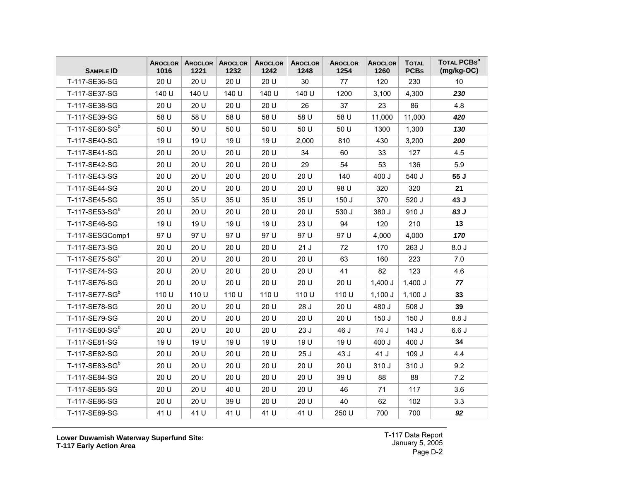| <b>SAMPLE ID</b>           | <b>AROCLOR</b><br>1016 | <b>AROCLOR</b><br>1221 | <b>AROCLOR</b><br>1232 | <b>AROCLOR</b><br>1242 | <b>AROCLOR</b><br>1248 | <b>AROCLOR</b><br>1254 | <b>AROCLOR</b><br>1260 | <b>TOTAL</b><br><b>PCBs</b> | TOTAL PCBS <sup>a</sup><br>$(mg/kg-OC)$ |
|----------------------------|------------------------|------------------------|------------------------|------------------------|------------------------|------------------------|------------------------|-----------------------------|-----------------------------------------|
| T-117-SE36-SG              | 20 U                   | 20 U                   | 20 U                   | 20 U                   | 30                     | 77                     | 120                    | 230                         | 10                                      |
| T-117-SE37-SG              | 140 U                  | 140 U                  | 140 U                  | 140 U                  | 140 U                  | 1200                   | 3,100                  | 4,300                       | 230                                     |
| T-117-SE38-SG              | 20 U                   | 20 U                   | 20 U                   | 20 U                   | 26                     | 37                     | 23                     | 86                          | 4.8                                     |
| T-117-SE39-SG              | 58 U                   | 58 U                   | 58 U                   | 58 U                   | 58 U                   | 58 U                   | 11,000                 | 11,000                      | 420                                     |
| T-117-SE60-SG <sup>b</sup> | 50 U                   | 50 U                   | 50 U                   | 50 U                   | 50 U                   | 50 U                   | 1300                   | 1,300                       | 130                                     |
| T-117-SE40-SG              | 19 U                   | 19 U                   | 19 U                   | 19 U                   | 2,000                  | 810                    | 430                    | 3,200                       | 200                                     |
| T-117-SE41-SG              | 20 U                   | 20 U                   | 20 U                   | 20 U                   | 34                     | 60                     | 33                     | 127                         | 4.5                                     |
| T-117-SE42-SG              | 20 U                   | 20 U                   | 20 U                   | 20 U                   | 29                     | 54                     | 53                     | 136                         | 5.9                                     |
| T-117-SE43-SG              | 20 U                   | 20 U                   | 20 U                   | 20 U                   | 20 U                   | 140                    | 400 J                  | 540 J                       | 55 J                                    |
| T-117-SE44-SG              | 20 U                   | 20 U                   | 20 U                   | 20 U                   | 20 U                   | 98 U                   | 320                    | 320                         | 21                                      |
| T-117-SE45-SG              | 35 U                   | 35 U                   | 35 U                   | 35 U                   | 35 U                   | 150 J                  | 370                    | 520 J                       | 43 J                                    |
| T-117-SE53-SG <sup>b</sup> | 20 U                   | 20 U                   | 20 U                   | 20 U                   | 20 U                   | 530 J                  | 380 J                  | 910 J                       | 83 J                                    |
| T-117-SE46-SG              | 19 U                   | 19 U                   | 19 U                   | 19 U                   | 23 U                   | 94                     | 120                    | 210                         | 13                                      |
| T-117-SESGComp1            | 97 U                   | 97 U                   | 97 U                   | 97 U                   | 97 U                   | 97 U                   | 4,000                  | 4,000                       | 170                                     |
| T-117-SE73-SG              | 20 U                   | 20 U                   | 20 U                   | 20 U                   | 21J                    | 72                     | 170                    | 263 J                       | 8.0J                                    |
| T-117-SE75-SG <sup>b</sup> | 20 U                   | 20 U                   | 20 U                   | 20 U                   | 20 U                   | 63                     | 160                    | 223                         | 7.0                                     |
| T-117-SE74-SG              | 20 U                   | 20 U                   | 20 U                   | 20 U                   | 20 U                   | 41                     | 82                     | 123                         | 4.6                                     |
| T-117-SE76-SG              | 20 U                   | 20 U                   | 20 U                   | 20 U                   | 20 U                   | 20 U                   | $1,400$ J              | $1,400$ J                   | 77                                      |
| T-117-SE77-SG <sup>b</sup> | 110 U                  | 110 U                  | 110 U                  | 110 U                  | 110 U                  | 110 U                  | $1,100$ J              | $1,100$ J                   | 33                                      |
| T-117-SE78-SG              | 20 U                   | 20 U                   | 20 U                   | 20 U                   | 28 J                   | 20 U                   | 480 J                  | 508 J                       | 39                                      |
| T-117-SE79-SG              | 20 U                   | 20 U                   | 20 U                   | 20 U                   | 20 U                   | 20 U                   | 150J                   | 150J                        | 8.8J                                    |
| T-117-SE80-SG <sup>b</sup> | 20 U                   | 20 U                   | 20 U                   | 20 U                   | 23 J                   | 46 J                   | 74 J                   | 143 J                       | 6.6J                                    |
| T-117-SE81-SG              | 19 U                   | 19 U                   | 19 U                   | 19 U                   | 19 U                   | 19 U                   | 400 J                  | 400 J                       | 34                                      |
| T-117-SE82-SG              | 20U                    | 20 U                   | 20 U                   | 20 U                   | 25 J                   | 43 J                   | 41 J                   | 109J                        | 4.4                                     |
| T-117-SE83-SG <sup>b</sup> | 20 U                   | 20 U                   | 20 U                   | 20 U                   | 20 U                   | 20 U                   | 310 J                  | 310 J                       | 9.2                                     |
| T-117-SE84-SG              | 20 U                   | 20 U                   | 20 U                   | 20 U                   | 20 U                   | 39 U                   | 88                     | 88                          | 7.2                                     |
| T-117-SE85-SG              | 20 U                   | 20 U                   | 40 U                   | 20 U                   | 20 U                   | 46                     | 71                     | 117                         | 3.6                                     |
| T-117-SE86-SG              | 20 U                   | 20 U                   | 39 U                   | 20 U                   | 20 U                   | 40                     | 62                     | 102                         | 3.3                                     |
| T-117-SE89-SG              | 41 U                   | 41 U                   | 41 U                   | 41 U                   | 41 U                   | 250 U                  | 700                    | 700                         | 92                                      |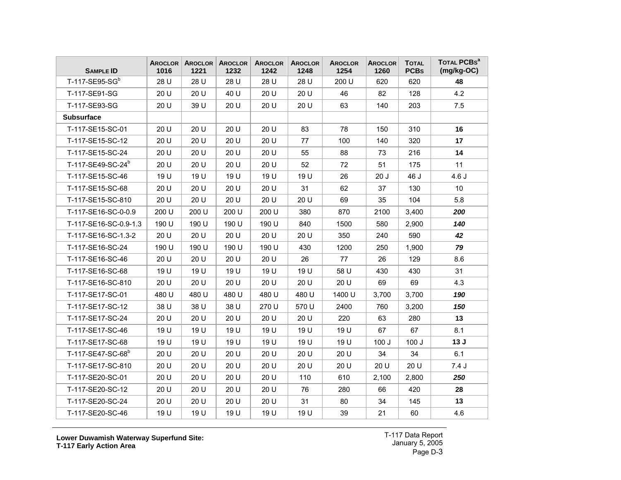| <b>SAMPLE ID</b>              | <b>AROCLOR</b><br>1016 | AROCLOR<br>1221 | <b>AROCLOR</b><br>1232 | <b>AROCLOR</b><br>1242 | <b>AROCLOR</b><br>1248 | <b>AROCLOR</b><br>1254 | <b>AROCLOR</b><br>1260 | <b>TOTAL</b><br><b>PCBs</b> | TOTAL PCBS <sup>a</sup><br>$(mg/kg-OC)$ |
|-------------------------------|------------------------|-----------------|------------------------|------------------------|------------------------|------------------------|------------------------|-----------------------------|-----------------------------------------|
| T-117-SE95-SG <sup>b</sup>    | 28 U                   | 28 U            | 28 U                   | 28 U                   | 28 U                   | 200 U                  | 620                    | 620                         | 48                                      |
| T-117-SE91-SG                 | 20 U                   | 20 U            | 40 U                   | 20 U                   | 20 U                   | 46                     | 82                     | 128                         | 4.2                                     |
| T-117-SE93-SG                 | 20U                    | 39 U            | 20 U                   | 20 U                   | 20 U                   | 63                     | 140                    | 203                         | 7.5                                     |
| <b>Subsurface</b>             |                        |                 |                        |                        |                        |                        |                        |                             |                                         |
| T-117-SE15-SC-01              | 20 U                   | 20 U            | 20 U                   | 20 U                   | 83                     | 78                     | 150                    | 310                         | 16                                      |
| T-117-SE15-SC-12              | 20U                    | 20 U            | 20 U                   | 20 U                   | 77                     | 100                    | 140                    | 320                         | 17                                      |
| T-117-SE15-SC-24              | 20 U                   | 20 U            | 20 U                   | 20 U                   | 55                     | 88                     | 73                     | 216                         | 14                                      |
| T-117-SE49-SC-24 <sup>b</sup> | 20 U                   | 20 U            | 20 U                   | 20 U                   | 52                     | 72                     | 51                     | 175                         | 11                                      |
| T-117-SE15-SC-46              | 19 U                   | 19 U            | 19 U                   | 19 U                   | 19 U                   | 26                     | 20J                    | 46 J                        | 4.6J                                    |
| T-117-SE15-SC-68              | 20 U                   | 20 U            | 20 U                   | 20 U                   | 31                     | 62                     | 37                     | 130                         | 10                                      |
| T-117-SE15-SC-810             | 20 U                   | 20 U            | 20 U                   | 20 U                   | 20 U                   | 69                     | 35                     | 104                         | 5.8                                     |
| T-117-SE16-SC-0-0.9           | 200 U                  | 200 U           | 200 U                  | 200 U                  | 380                    | 870                    | 2100                   | 3,400                       | 200                                     |
| T-117-SE16-SC-0.9-1.3         | 190 U                  | 190 U           | 190 U                  | 190 U                  | 840                    | 1500                   | 580                    | 2,900                       | 140                                     |
| T-117-SE16-SC-1.3-2           | 20 U                   | 20 U            | 20 U                   | 20 U                   | 20 U                   | 350                    | 240                    | 590                         | 42                                      |
| T-117-SE16-SC-24              | 190 U                  | 190 U           | 190 U                  | 190 U                  | 430                    | 1200                   | 250                    | 1,900                       | 79                                      |
| T-117-SE16-SC-46              | 20 U                   | 20 U            | 20 U                   | 20 U                   | 26                     | 77                     | 26                     | 129                         | 8.6                                     |
| T-117-SE16-SC-68              | 19 U                   | 19 U            | 19 U                   | 19 U                   | 19 U                   | 58 U                   | 430                    | 430                         | 31                                      |
| T-117-SE16-SC-810             | 20 U                   | 20 U            | 20 U                   | 20 U                   | 20 U                   | 20 U                   | 69                     | 69                          | 4.3                                     |
| T-117-SE17-SC-01              | 480 U                  | 480 U           | 480 U                  | 480 U                  | 480 U                  | 1400 U                 | 3,700                  | 3,700                       | 190                                     |
| T-117-SE17-SC-12              | 38 U                   | 38 U            | 38 U                   | 270 U                  | 570 U                  | 2400                   | 760                    | 3,200                       | 150                                     |
| T-117-SE17-SC-24              | 20 U                   | 20 U            | 20U                    | 20 U                   | 20 U                   | 220                    | 63                     | 280                         | 13                                      |
| T-117-SE17-SC-46              | 19 U                   | 19 U            | 19 U                   | 19 U                   | 19 U                   | 19 U                   | 67                     | 67                          | 8.1                                     |
| T-117-SE17-SC-68              | 19 U                   | 19 U            | 19 U                   | 19 U                   | 19 U                   | 19 U                   | 100J                   | 100J                        | 13J                                     |
| T-117-SE47-SC-68 <sup>b</sup> | 20U                    | 20 U            | 20 U                   | 20U                    | 20U                    | 20U                    | 34                     | 34                          | 6.1                                     |
| T-117-SE17-SC-810             | 20 U                   | 20 U            | 20 U                   | 20 U                   | 20 U                   | 20 U                   | 20 U                   | 20 U                        | 7.4J                                    |
| T-117-SE20-SC-01              | 20 U                   | 20 U            | 20 U                   | 20 U                   | 110                    | 610                    | 2,100                  | 2,800                       | 250                                     |
| T-117-SE20-SC-12              | 20 U                   | 20 U            | 20 U                   | 20 U                   | 76                     | 280                    | 66                     | 420                         | 28                                      |
| T-117-SE20-SC-24              | 20 U                   | 20 U            | 20 U                   | 20 U                   | 31                     | 80                     | 34                     | 145                         | 13                                      |
| T-117-SE20-SC-46              | 19 U                   | 19 U            | 19 U                   | 19 U                   | 19 U                   | 39                     | 21                     | 60                          | 4.6                                     |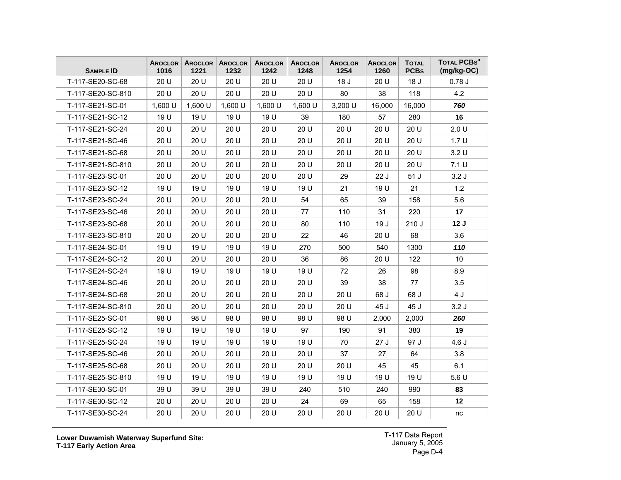| <b>SAMPLE ID</b>  | AROCLOR<br>1016 | AROCLOR<br>1221 | <b>AROCLOR</b><br>1232 | <b>AROCLOR</b><br>1242 | <b>AROCLOR</b><br>1248 | <b>AROCLOR</b><br>1254 | <b>AROCLOR</b><br>1260 | <b>TOTAL</b><br><b>PCBs</b> | TOTAL PCBS <sup>a</sup><br>$(mg/kg-OC)$ |
|-------------------|-----------------|-----------------|------------------------|------------------------|------------------------|------------------------|------------------------|-----------------------------|-----------------------------------------|
| T-117-SE20-SC-68  | 20 U            | 20 U            | 20 U                   | 20 U                   | 20 U                   | 18 J                   | 20 U                   | 18 J                        | 0.78J                                   |
| T-117-SE20-SC-810 | 20 U            | 20 U            | 20 U                   | 20 U                   | 20 U                   | 80                     | 38                     | 118                         | 4.2                                     |
| T-117-SE21-SC-01  | 1,600 U         | 1,600 U         | 1,600 U                | 1,600 U                | $1,600$ U              | 3,200 U                | 16,000                 | 16,000                      | 760                                     |
| T-117-SE21-SC-12  | 19 U            | 19 U            | 19 U                   | 19 U                   | 39                     | 180                    | 57                     | 280                         | 16                                      |
| T-117-SE21-SC-24  | 20 U            | 20 U            | 20 U                   | 20 U                   | 20 U                   | 20 U                   | 20 U                   | 20 U                        | 2.0 U                                   |
| T-117-SE21-SC-46  | 20U             | 20 U            | 20 U                   | 20 U                   | 20 U                   | 20 U                   | 20 U                   | 20 U                        | 1.7 <sub>U</sub>                        |
| T-117-SE21-SC-68  | 20 U            | 20 U            | 20 U                   | 20 U                   | 20 U                   | 20 U                   | 20 U                   | 20 U                        | 3.2 U                                   |
| T-117-SE21-SC-810 | 20 U            | 20 U            | 20 U                   | 20 U                   | 20 U                   | 20 U                   | 20 U                   | 20 U                        | 7.1 U                                   |
| T-117-SE23-SC-01  | 20 U            | 20 U            | 20 U                   | 20 U                   | 20 U                   | 29                     | 22J                    | 51J                         | 3.2J                                    |
| T-117-SE23-SC-12  | 19 U            | 19 U            | 19 U                   | 19 U                   | 19 U                   | 21                     | 19 U                   | 21                          | 1.2                                     |
| T-117-SE23-SC-24  | 20 U            | 20 U            | 20 U                   | 20 U                   | 54                     | 65                     | 39                     | 158                         | 5.6                                     |
| T-117-SE23-SC-46  | 20U             | 20 U            | 20 U                   | 20 U                   | 77                     | 110                    | 31                     | 220                         | 17                                      |
| T-117-SE23-SC-68  | 20 U            | 20 U            | 20 U                   | 20 U                   | 80                     | 110                    | 19J                    | 210J                        | 12J                                     |
| T-117-SE23-SC-810 | 20 U            | 20 U            | 20 U                   | 20 U                   | 22                     | 46                     | 20 U                   | 68                          | 3.6                                     |
| T-117-SE24-SC-01  | 19 U            | 19 U            | 19 U                   | 19 U                   | 270                    | 500                    | 540                    | 1300                        | 110                                     |
| T-117-SE24-SC-12  | 20 U            | 20 U            | 20 U                   | 20 U                   | 36                     | 86                     | 20 U                   | 122                         | 10                                      |
| T-117-SE24-SC-24  | 19 U            | 19 U            | 19 U                   | 19 U                   | 19 U                   | 72                     | 26                     | 98                          | 8.9                                     |
| T-117-SE24-SC-46  | 20 U            | 20 U            | 20 U                   | 20 U                   | 20 U                   | 39                     | 38                     | 77                          | 3.5                                     |
| T-117-SE24-SC-68  | 20 U            | 20 U            | 20 U                   | 20 U                   | 20 U                   | 20 U                   | 68 J                   | 68 J                        | 4 J                                     |
| T-117-SE24-SC-810 | 20 U            | 20 U            | 20 U                   | 20 U                   | 20 U                   | 20 U                   | 45 J                   | 45 J                        | 3.2J                                    |
| T-117-SE25-SC-01  | 98 U            | 98 U            | 98 U                   | 98 U                   | 98 U                   | 98 U                   | 2,000                  | 2,000                       | 260                                     |
| T-117-SE25-SC-12  | 19 U            | 19 U            | 19 U                   | 19 U                   | 97                     | 190                    | 91                     | 380                         | 19                                      |
| T-117-SE25-SC-24  | 19 U            | 19 U            | 19 U                   | 19 U                   | 19 U                   | 70                     | 27J                    | 97 J                        | 4.6J                                    |
| T-117-SE25-SC-46  | 20U             | 20 U            | 20 U                   | 20 U                   | 20 U                   | 37                     | 27                     | 64                          | 3.8                                     |
| T-117-SE25-SC-68  | 20 U            | 20 U            | 20 U                   | 20 U                   | 20 U                   | 20 U                   | 45                     | 45                          | 6.1                                     |
| T-117-SE25-SC-810 | 19 U            | 19 U            | 19 U                   | 19 U                   | 19 U                   | 19 U                   | 19 U                   | 19 U                        | 5.6U                                    |
| T-117-SE30-SC-01  | 39 U            | 39 U            | 39 U                   | 39 U                   | 240                    | 510                    | 240                    | 990                         | 83                                      |
| T-117-SE30-SC-12  | 20 U            | 20 U            | 20 U                   | 20 U                   | 24                     | 69                     | 65                     | 158                         | 12                                      |
| T-117-SE30-SC-24  | 20 U            | 20 U            | 20 U                   | 20 U                   | 20 U                   | 20 U                   | 20 U                   | 20 U                        | nc                                      |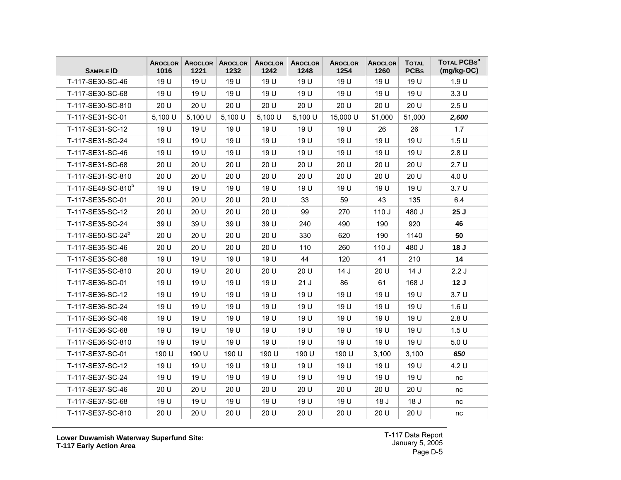| <b>SAMPLE ID</b>               | AROCLOR<br>1016 | AROCLOR<br>1221 | <b>AROCLOR</b><br>1232 | <b>AROCLOR</b><br>1242 | <b>AROCLOR</b><br>1248 | <b>AROCLOR</b><br>1254 | <b>AROCLOR</b><br>1260 | <b>TOTAL</b><br><b>PCBs</b> | TOTAL PCBS <sup>a</sup><br>$(mg/kg-OC)$ |
|--------------------------------|-----------------|-----------------|------------------------|------------------------|------------------------|------------------------|------------------------|-----------------------------|-----------------------------------------|
| T-117-SE30-SC-46               | 19 U            | 19 U            | 19 U                   | 19 U                   | 19 U                   | 19 U                   | 19 U                   | 19 U                        | 1.9 U                                   |
| T-117-SE30-SC-68               | 19 U            | 19 U            | 19 U                   | 19 U                   | 19 U                   | 19 U                   | 19 U                   | 19 U                        | 3.3 U                                   |
| T-117-SE30-SC-810              | 20 U            | 20 U            | 20 U                   | 20 U                   | 20 U                   | 20 U                   | 20 U                   | 20 U                        | 2.5U                                    |
| T-117-SE31-SC-01               | 5,100 U         | 5,100 U         | 5,100 U                | 5,100 U                | 5,100 U                | 15,000 U               | 51,000                 | 51,000                      | 2,600                                   |
| T-117-SE31-SC-12               | 19 U            | 19 U            | 19 U                   | 19 U                   | 19 U                   | 19 U                   | 26                     | 26                          | 1.7                                     |
| T-117-SE31-SC-24               | 19 U            | 19 U            | 19 U                   | 19 U                   | 19 U                   | 19 U                   | 19 U                   | 19 U                        | 1.5 <sub>U</sub>                        |
| T-117-SE31-SC-46               | 19 U            | 19 U            | 19 U                   | 19 U                   | 19 U                   | 19 U                   | 19 U                   | 19 U                        | 2.8 U                                   |
| T-117-SE31-SC-68               | 20 U            | 20 U            | 20 U                   | 20 U                   | 20 U                   | 20 U                   | 20 U                   | 20 U                        | 2.7U                                    |
| T-117-SE31-SC-810              | 20 U            | 20 U            | 20 U                   | 20 U                   | 20 U                   | 20 U                   | 20U                    | 20 U                        | 4.0 U                                   |
| T-117-SE48-SC-810 <sup>b</sup> | 19 U            | 19 U            | 19 U                   | 19 U                   | 19 U                   | 19 U                   | 19 U                   | 19 U                        | 3.7 <sub>U</sub>                        |
| T-117-SE35-SC-01               | 20 U            | 20 U            | 20 U                   | 20 U                   | 33                     | 59                     | 43                     | 135                         | 6.4                                     |
| T-117-SE35-SC-12               | 20 U            | 20 U            | 20 U                   | 20 U                   | 99                     | 270                    | 110J                   | 480 J                       | 25J                                     |
| T-117-SE35-SC-24               | 39 U            | 39 U            | 39 U                   | 39 U                   | 240                    | 490                    | 190                    | 920                         | 46                                      |
| T-117-SE50-SC-24 <sup>b</sup>  | 20 U            | 20 U            | 20 U                   | 20 U                   | 330                    | 620                    | 190                    | 1140                        | 50                                      |
| T-117-SE35-SC-46               | 20 U            | 20 U            | 20 U                   | 20 U                   | 110                    | 260                    | 110J                   | 480 J                       | 18 J                                    |
| T-117-SE35-SC-68               | 19 U            | 19 U            | 19 U                   | 19 U                   | 44                     | 120                    | 41                     | 210                         | 14                                      |
| T-117-SE35-SC-810              | 20 U            | 19 U            | 20 U                   | 20 U                   | 20 U                   | 14 J                   | 20 U                   | 14J                         | 2.2J                                    |
| T-117-SE36-SC-01               | 19 U            | 19 U            | 19 U                   | 19 U                   | 21J                    | 86                     | 61                     | 168 J                       | 12J                                     |
| T-117-SE36-SC-12               | 19 U            | 19 U            | 19 U                   | 19 U                   | 19 U                   | 19 U                   | 19 U                   | 19 U                        | 3.7 <sub>U</sub>                        |
| T-117-SE36-SC-24               | 19 U            | 19 U            | 19 U                   | 19 U                   | 19 U                   | 19 U                   | 19 U                   | 19 U                        | 1.6 U                                   |
| T-117-SE36-SC-46               | 19 U            | 19 U            | 19 U                   | 19 U                   | 19 U                   | 19 U                   | 19 U                   | 19 U                        | 2.8U                                    |
| T-117-SE36-SC-68               | 19 U            | 19 U            | 19 U                   | 19 U                   | 19 U                   | 19 U                   | 19 U                   | 19 U                        | 1.5 <sub>U</sub>                        |
| T-117-SE36-SC-810              | 19 U            | 19 U            | 19 U                   | 19 U                   | 19 U                   | 19 U                   | 19 U                   | 19 U                        | 5.0 U                                   |
| T-117-SE37-SC-01               | 190 U           | 190 U           | 190 U                  | 190 U                  | 190 U                  | 190 U                  | 3,100                  | 3,100                       | 650                                     |
| T-117-SE37-SC-12               | 19 U            | 19 U            | 19 U                   | 19 U                   | 19 U                   | 19 U                   | 19 U                   | 19 U                        | 4.2 U                                   |
| T-117-SE37-SC-24               | 19 U            | 19 U            | 19 U                   | 19 U                   | 19 U                   | 19 U                   | 19 U                   | 19 U                        | nc                                      |
| T-117-SE37-SC-46               | 20 U            | 20 U            | 20 U                   | 20 U                   | 20 U                   | 20 U                   | 20 U                   | 20 U                        | nc                                      |
| T-117-SE37-SC-68               | 19 U            | 19 U            | 19 U                   | 19 U                   | 19 U                   | 19 U                   | 18 <sub>J</sub>        | 18 <sub>J</sub>             | nc                                      |
| T-117-SE37-SC-810              | 20 U            | 20 U            | 20 U                   | 20 U                   | 20 U                   | 20 U                   | 20 U                   | 20 U                        | nc                                      |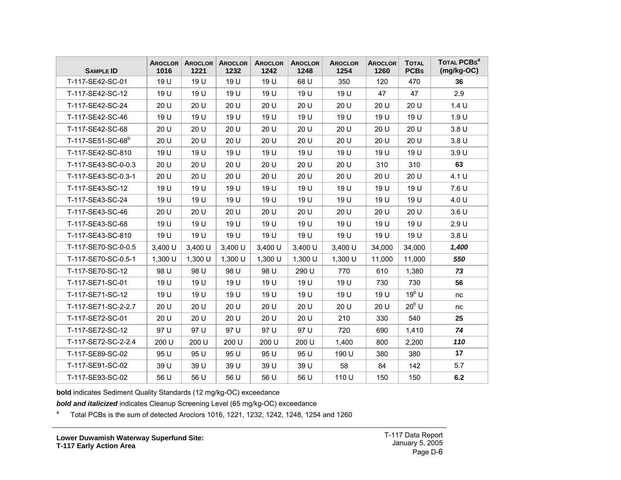| <b>SAMPLE ID</b>              | AROCLOR<br>1016 | AROCLOR<br>1221 | <b>AROCLOR</b><br>1232 | <b>AROCLOR</b><br>1242 | <b>AROCLOR</b><br>1248 | <b>AROCLOR</b><br>1254 | <b>AROCLOR</b><br>1260 | <b>TOTAL</b><br><b>PCBs</b> | TOTAL PCBs <sup>a</sup><br>$(mg/kg-OC)$ |
|-------------------------------|-----------------|-----------------|------------------------|------------------------|------------------------|------------------------|------------------------|-----------------------------|-----------------------------------------|
| T-117-SE42-SC-01              | 19 U            | 19 U            | 19 U                   | 19 U                   | 68 U                   | 350                    | 120                    | 470                         | 36                                      |
| T-117-SE42-SC-12              | 19 U            | 19 U            | 19 U                   | 19 U                   | 19 U                   | 19 U                   | 47                     | 47                          | 2.9                                     |
| T-117-SE42-SC-24              | 20 U            | 20 U            | 20 U                   | 20 U                   | 20 U                   | 20 U                   | 20 U                   | 20 U                        | 1.4 U                                   |
| T-117-SE42-SC-46              | 19 U            | 19 U            | 19 U                   | 19 U                   | 19 U                   | 19 U                   | 19 U                   | 19 U                        | 1.9 U                                   |
| T-117-SE42-SC-68              | 20 U            | 20 U            | 20 U                   | 20 U                   | 20 U                   | 20 U                   | 20 U                   | 20 U                        | 3.8 <sub>U</sub>                        |
| T-117-SE51-SC-68 <sup>b</sup> | 20 U            | 20 U            | 20 U                   | 20 U                   | 20 U                   | 20 U                   | 20 U                   | 20 U                        | 3.8 U                                   |
| T-117-SE42-SC-810             | 19 U            | 19 U            | 19 U                   | 19 U                   | 19 U                   | 19 U                   | 19 U                   | 19 U                        | 3.9 U                                   |
| T-117-SE43-SC-0-0.3           | 20 U            | 20 U            | 20 U                   | 20 U                   | 20 U                   | 20 U                   | 310                    | 310                         | 63                                      |
| T-117-SE43-SC-0.3-1           | 20 U            | 20 U            | 20 U                   | 20 U                   | 20 U                   | 20 U                   | 20 U                   | 20 U                        | 4.1 U                                   |
| T-117-SE43-SC-12              | 19 U            | 19 U            | 19 U                   | 19 U                   | 19 U                   | 19 U                   | 19 U                   | 19 U                        | 7.6 U                                   |
| T-117-SE43-SC-24              | 19 U            | 19 U            | 19 U                   | 19 U                   | 19 U                   | 19 U                   | 19 U                   | 19 U                        | 4.0 U                                   |
| T-117-SE43-SC-46              | 20 U            | 20 U            | 20 U                   | 20 U                   | 20 U                   | 20 U                   | 20 U                   | 20 U                        | 3.6 U                                   |
| T-117-SE43-SC-68              | 19 U            | 19 U            | 19 U                   | 19 U                   | 19 U                   | 19 U                   | 19 U                   | 19 U                        | 2.9U                                    |
| T-117-SE43-SC-810             | 19 U            | 19 U            | 19 U                   | 19 U                   | 19 U                   | 19 U                   | 19 U                   | 19 U                        | 3.8 <sub>U</sub>                        |
| T-117-SE70-SC-0-0.5           | 3,400 U         | 3,400 U         | 3,400 U                | 3,400 U                | 3,400 U                | 3,400 U                | 34,000                 | 34,000                      | 1,400                                   |
| T-117-SE70-SC-0.5-1           | 1,300 U         | 1,300 U         | 1,300 U                | 1,300 U                | 1,300 U                | 1,300 U                | 11,000                 | 11,000                      | 550                                     |
| T-117-SE70-SC-12              | 98 U            | 98 U            | 98 U                   | 98 U                   | 290 U                  | 770                    | 610                    | 1,380                       | 73                                      |
| T-117-SE71-SC-01              | 19 U            | 19 U            | 19 U                   | 19 U                   | 19 U                   | 19 U                   | 730                    | 730                         | 56                                      |
| T-117-SE71-SC-12              | 19 U            | 19 U            | 19 U                   | 19 U                   | 19 U                   | 19 U                   | 19 U                   | $19^b$ U                    | nc                                      |
| T-117-SE71-SC-2-2.7           | 20 U            | 20 U            | 20 U                   | 20 U                   | 20 U                   | 20 U                   | 20U                    | $20^{\rm b}$ U              | nc                                      |
| T-117-SE72-SC-01              | 20 U            | 20 U            | 20 U                   | 20 U                   | 20 U                   | 210                    | 330                    | 540                         | 25                                      |
| T-117-SE72-SC-12              | 97 U            | 97 U            | 97 U                   | 97 U                   | 97 U                   | 720                    | 690                    | 1,410                       | 74                                      |
| T-117-SE72-SC-2-2.4           | 200 U           | 200 U           | 200 U                  | 200 U                  | 200 U                  | 1,400                  | 800                    | 2,200                       | 110                                     |
| T-117-SE89-SC-02              | 95 U            | 95 U            | 95 U                   | 95 U                   | 95 U                   | 190 U                  | 380                    | 380                         | 17                                      |
| T-117-SE91-SC-02              | 39 U            | 39 U            | 39 U                   | 39 U                   | 39 U                   | 58                     | 84                     | 142                         | 5.7                                     |
| T-117-SE93-SC-02              | 56 U            | 56 U            | 56 U                   | 56 U                   | 56 U                   | 110 U                  | 150                    | 150                         | 6.2                                     |

**bold** indicates Sediment Quality Standards (12 mg/kg-OC) exceedance

*bold and italicized* indicates Cleanup Screening Level (65 mg/kg-OC) exceedance

 $a$  Total PCBs is the sum of detected Aroclors 1016, 1221, 1232, 1242, 1248, 1254 and 1260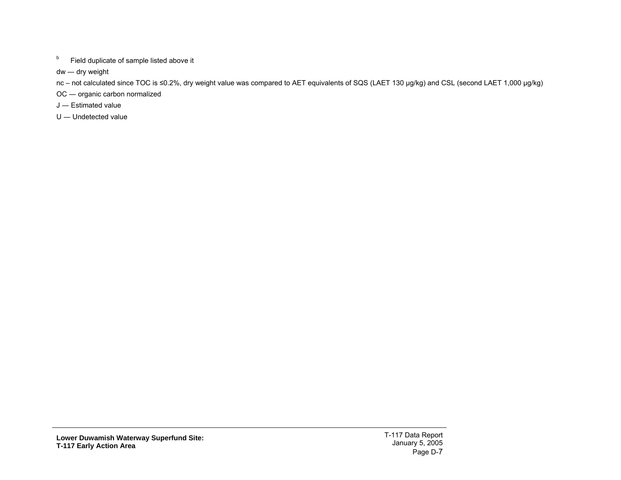**b** Field duplicate of sample listed above it

dw ― dry weight

nc – not calculated since TOC is ≤0.2%, dry weight value was compared to AET equivalents of SQS (LAET 130 µg/kg) and CSL (second LAET 1,000 µg/kg)

OC ― organic carbon normalized

- J ― Estimated value
- U ― Undetected value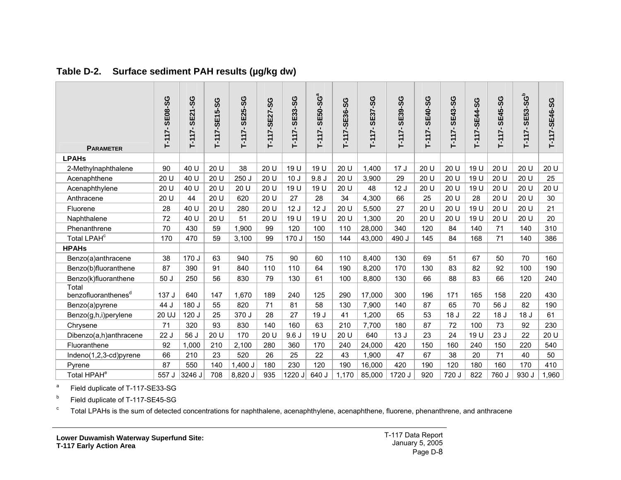| <b>PARAMETER</b>                         | <b>SE08-SG</b><br>$T-117-$ | <b>SE21-SG</b><br>$T-117-$ | T-117-SE15-SG | <b>SE25-SG</b><br>$T-117-$ | T-117-SE27-SG | <b>SE33-SG</b><br>$T-117-$ | <b>SE50-SG<sup>a</sup></b><br>$T-117-$ | T-117-SE36-SG | T-117-SE37-SG | <b>SE39-SG</b><br>$T-117-$ | <b>SE40-SG</b><br>$T-117-$ | T-117-SE43-SG   | T-117-SE44-SG | <b>SE45-SG</b><br>$T-117-$ | <b>SE53-SG</b> <sup>b</sup><br>$T-117-$ | T-117-SE46-SG |
|------------------------------------------|----------------------------|----------------------------|---------------|----------------------------|---------------|----------------------------|----------------------------------------|---------------|---------------|----------------------------|----------------------------|-----------------|---------------|----------------------------|-----------------------------------------|---------------|
| <b>LPAHs</b>                             |                            |                            |               |                            |               |                            |                                        |               |               |                            |                            |                 |               |                            |                                         |               |
| 2-Methylnaphthalene                      | 90                         | 40 U                       | 20 U          | 38                         | 20 U          | 19 U                       | 19 U                                   | 20 U          | 1,400         | 17J                        | 20 U                       | 20 U            | 19 U          | 20 U                       | 20 U                                    | 20 U          |
| Acenaphthene                             | 20 U                       | 40 U                       | 20 U          | 250 J                      | 20 U          | 10 <sub>J</sub>            | 9.8J                                   | 20 U          | 3,900         | 29                         | 20 U                       | 20 U            | 19 U          | 20 U                       | 20 U                                    | 25            |
| Acenaphthylene                           | 20 U                       | 40 U                       | 20 U          | 20 U                       | 20 U          | 19 U                       | 19 U                                   | 20 U          | 48            | 12J                        | 20 U                       | 20 U            | 19 U          | 20 U                       | 20 U                                    | 20 U          |
| Anthracene                               | 20 U                       | 44                         | 20U           | 620                        | 20 U          | 27                         | 28                                     | 34            | 4,300         | 66                         | 25                         | 20 U            | 28            | 20 U                       | 20 U                                    | 30            |
| Fluorene                                 | 28                         | 40 U                       | 20 U          | 280                        | 20 U          | 12J                        | 12J                                    | 20 U          | 5,500         | 27                         | 20 U                       | 20 U            | 19 U          | 20 U                       | 20 U                                    | 21            |
| Naphthalene                              | 72                         | 40 U                       | 20 U          | 51                         | 20 U          | 19 U                       | 19 U                                   | 20 U          | 1,300         | 20                         | 20 U                       | 20 U            | 19 U          | 20 U                       | 20 U                                    | 20            |
| Phenanthrene                             | 70                         | 430                        | 59            | 1,900                      | 99            | 120                        | 100                                    | 110           | 28,000        | 340                        | 120                        | 84              | 140           | 71                         | 140                                     | 310           |
| Total LPAH <sup>c</sup>                  | 170                        | 470                        | 59            | 3,100                      | 99            | 170 J                      | 150                                    | 144           | 43,000        | 490 J                      | 145                        | 84              | 168           | 71                         | 140                                     | 386           |
| <b>HPAHs</b>                             |                            |                            |               |                            |               |                            |                                        |               |               |                            |                            |                 |               |                            |                                         |               |
| Benzo(a)anthracene                       | 38                         | 170 J                      | 63            | 940                        | 75            | 90                         | 60                                     | 110           | 8,400         | 130                        | 69                         | 51              | 67            | 50                         | 70                                      | 160           |
| Benzo(b)fluoranthene                     | 87                         | 390                        | 91            | 840                        | 110           | 110                        | 64                                     | 190           | 8,200         | 170                        | 130                        | 83              | 82            | 92                         | 100                                     | 190           |
| Benzo(k)fluoranthene                     | 50J                        | 250                        | 56            | 830                        | 79            | 130                        | 61                                     | 100           | 8,800         | 130                        | 66                         | 88              | 83            | 66                         | 120                                     | 240           |
| Total<br>benzofluoranthenes <sup>d</sup> | 137 J                      | 640                        | 147           | 1,670                      | 189           | 240                        | 125                                    | 290           | 17,000        | 300                        | 196                        | 171             | 165           | 158                        | 220                                     | 430           |
| Benzo(a)pyrene                           | 44 J                       | 180 J                      | 55            | 820                        | 71            | 81                         | 58                                     | 130           | 7,900         | 140                        | 87                         | 65              | 70            | 56 J                       | 82                                      | 190           |
| Benzo(g,h,i)perylene                     | 20 UJ                      | 120 J                      | 25            | 370 J                      | 28            | 27                         | 19 J                                   | 41            | 1,200         | 65                         | 53                         | 18 <sub>J</sub> | 22            | 18 <sub>J</sub>            | 18 J                                    | 61            |
| Chrysene                                 | 71                         | 320                        | 93            | 830                        | 140           | 160                        | 63                                     | 210           | 7,700         | 180                        | 87                         | 72              | 100           | 73                         | 92                                      | 230           |
| Dibenzo(a,h)anthracene                   | 22J                        | 56J                        | 20 U          | 170                        | 20 U          | 9.6J                       | 19 U                                   | 20 U          | 640           | 13J                        | 23                         | 24              | 19 U          | 23J                        | 22                                      | 20 U          |
| Fluoranthene                             | 92                         | 1,000                      | 210           | 2,100                      | 280           | 360                        | 170                                    | 240           | 24,000        | 420                        | 150                        | 160             | 240           | 150                        | 220                                     | 540           |
| Indeno(1,2,3-cd)pyrene                   | 66                         | 210                        | 23            | 520                        | 26            | 25                         | 22                                     | 43            | 1,900         | 47                         | 67                         | 38              | 20            | 71                         | 40                                      | 50            |
| Pyrene                                   | 87                         | 550                        | 140           | $1,400$ J                  | 180           | 230                        | 120                                    | 190           | 16,000        | 420                        | 190                        | 120             | 180           | 160                        | 170                                     | 410           |
| Total HPAH <sup>e</sup>                  | 557 J                      | 3246 J                     | 708           | 8,820 J                    | 935           | 1220 J                     | 640 J                                  | 1,170         | 85,000        | 1720 J                     | 920                        | 720 J           | 822           | 760 J                      | 930 J                                   | 1,960         |

**Table D-2. Surface sediment PAH results (µg/kg dw)** 

a Field duplicate of T-117-SE33-SG

b Field duplicate of T-117-SE45-SG

<span id="page-8-0"></span><sup>c</sup> Total LPAHs is the sum of detected concentrations for naphthalene, acenaphthylene, acenaphthene, fluorene, phenanthrene, and anthracene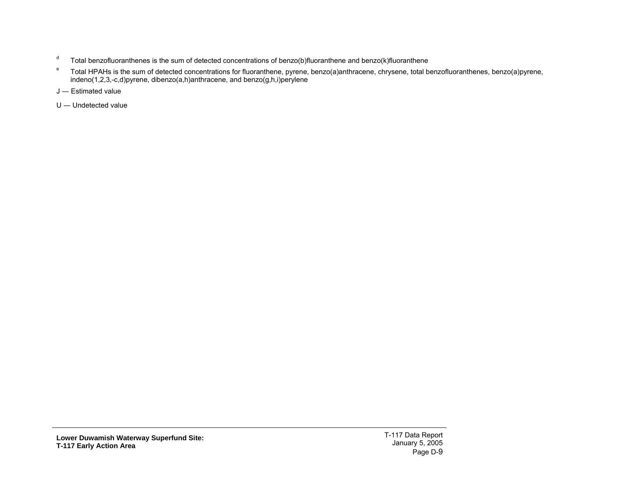- $d$  Total benzofluoranthenes is the sum of detected concentrations of benzo(b)fluoranthene and benzo(k)fluoranthene
- e Total HPAHs is the sum of detected concentrations for fluoranthene, pyrene, benzo(a)anthracene, chrysene, total benzofluoranthenes, benzo(a)pyrene, indeno(1,2,3,-c,d)pyrene, dibenzo(a,h)anthracene, and benzo(g,h,i)perylene
- J ― Estimated value
- U ― Undetected value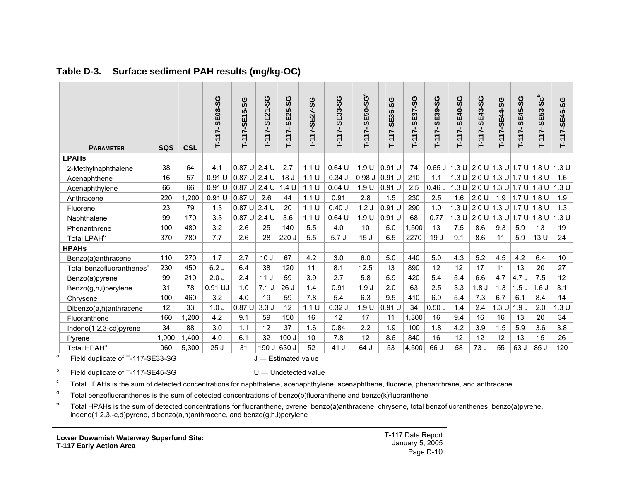| <b>PARAMETER</b>                      | SQS   | <b>CSL</b> | <b>SE08-SG</b><br>17<br>Ť | <b>SG</b><br>$-117 - SE15$ | <b>SE21-SG</b><br>$T-117-$ | SG<br><b>SE25-</b><br>$-117-$ | 17-SE27-SG<br>۲ſ | <b>SE33-SG</b><br>$T-117-$ | <b>SE50-SG</b> ª<br>$T-117-$ | T-117-SE36-SG | <b>SE37-SG</b><br>$T-117$ | <b>SE39-SG</b><br>$T-117$ | <b>SE40-SG</b><br>$T-117-$ | <b>SE43-SG</b><br>$T-117-$            | T-117-SE44-SG     | <b>SE45-SG</b><br>$T-117-$ | $SE53-S6b$<br>$T-117-$ | T-117-SE46-SG   |
|---------------------------------------|-------|------------|---------------------------|----------------------------|----------------------------|-------------------------------|------------------|----------------------------|------------------------------|---------------|---------------------------|---------------------------|----------------------------|---------------------------------------|-------------------|----------------------------|------------------------|-----------------|
| <b>LPAHs</b>                          |       |            |                           |                            |                            |                               |                  |                            |                              |               |                           |                           |                            |                                       |                   |                            |                        |                 |
| 2-Methylnaphthalene                   | 38    | 64         | 4.1                       | $0.87$ U 2.4 U             |                            | 2.7                           | 1.1 U            | $0.64$ U                   | 1.9 U                        | 0.91 U        | 74                        | $0.65$ J                  |                            | 1.3 U $ 2.0 U $                       |                   |                            | 1.3 U 1.7 U 1.8 U      | 1.3 U           |
| Acenaphthene                          | 16    | 57         | 0.91U                     | $0.87$ U 2.4 U             |                            | 18 <sub>J</sub>               | 1.1 U            | 0.34J                      | 0.98J                        | 0.91U         | 210                       | 1.1                       |                            | 1.3 U   2.0 U   1.3 U   1.7 U   1.8 U |                   |                            |                        | 1.6             |
| Acenaphthylene                        | 66    | 66         | 0.91U                     | $0.87 \text{ U}$ 2.4 U     |                            | 1.4 U                         | 1.1 U            | $0.64$ U                   | 1.9 U                        | 0.91U         | 2.5                       | 0.46J                     |                            | 1.3 U 2.0 U 1.3 U 1.7 U 1.8 U         |                   |                            |                        | 1.3 U           |
| Anthracene                            | 220   | 1,200      | 0.91U                     | 0.87U                      | 2.6                        | 44                            | 1.1 U            | 0.91                       | 2.8                          | 1.5           | 230                       | 2.5                       | 1.6                        | 2.0 U                                 | 1.9               | 1.7 U  1.8 U               |                        | 1.9             |
| Fluorene                              | 23    | 79         | 1.3                       | 0.87U                      | 2.4 U                      | 20                            | 1.1 U            | 0.40J                      | 1.2J                         | $0.91$ U      | 290                       | 1.0                       | 1.3U                       | 2.0 U                                 |                   | 1.3 U 1.7 U 1.8 U          |                        | 1.3             |
| Naphthalene                           | 99    | 170        | 3.3                       | $0.87$ U $2.4$ U           |                            | 3.6                           | 1.1 U            | $0.64$ U                   | 1.9 U                        | $0.91$ U      | 68                        | 0.77                      |                            | 1.3 U $ 2.0 U $                       | 1.3 U 1.7 U 1.8 U |                            |                        | 1.3 U           |
| Phenanthrene                          | 100   | 480        | 3.2                       | 2.6                        | 25                         | 140                           | 5.5              | 4.0                        | 10                           | 5.0           | 1.500                     | 13                        | 7.5                        | 8.6                                   | 9.3               | 5.9                        | 13                     | 19              |
| Total LPAH <sup>c</sup>               | 370   | 780        | 7.7                       | 2.6                        | 28                         | 220 J                         | 5.5              | 5.7J                       | 15 <sub>J</sub>              | 6.5           | 2270                      | 19 J                      | 9.1                        | 8.6                                   | 11                | 5.9                        | 13U                    | 24              |
| <b>HPAHs</b>                          |       |            |                           |                            |                            |                               |                  |                            |                              |               |                           |                           |                            |                                       |                   |                            |                        |                 |
| Benzo(a)anthracene                    | 110   | 270        | 1.7                       | 2.7                        | 10 <sub>J</sub>            | 67                            | 4.2              | 3.0                        | 6.0                          | 5.0           | 440                       | 5.0                       | 4.3                        | 5.2                                   | 4.5               | 4.2                        | 6.4                    | 10              |
| Total benzofluoranthenes <sup>d</sup> | 230   | 450        | 6.2J                      | 6.4                        | 38                         | 120                           | 11               | 8.1                        | 12.5                         | 13            | 890                       | 12                        | 12                         | 17                                    | 11                | 13                         | 20                     | 27              |
| Benzo(a)pyrene                        | 99    | 210        | 2.0J                      | 2.4                        | 11J                        | 59                            | 3.9              | 2.7                        | 5.8                          | 5.9           | 420                       | 5.4                       | 5.4                        | 6.6                                   | 4.7               | 4.7J                       | 7.5                    | 12 <sub>2</sub> |
| Benzo(g,h,i)perylene                  | 31    | 78         | 0.91 UJ                   | 1.0                        | 7.1J                       | 26 J                          | 1.4              | 0.91                       | 1.9J                         | 2.0           | 63                        | 2.5                       | 3.3                        | 1.8 <sub>J</sub>                      | 1.3               | 1.5J                       | 1.6J                   | 3.1             |
| Chrysene                              | 100   | 460        | 3.2                       | 4.0                        | 19                         | 59                            | 7.8              | 5.4                        | 6.3                          | 9.5           | 410                       | 6.9                       | 5.4                        | 7.3                                   | 6.7               | 6.1                        | 8.4                    | 14              |
| Dibenzo(a,h)anthracene                | 12    | 33         | 1.0 <sub>J</sub>          | 0.87U                      | 3.3J                       | 12                            | 1.1 U            | $0.32$ J                   | 1.9U                         | 0.91U         | 34                        | 0.50J                     | 1.4                        | 2.4                                   | .3U               | 1.9J                       | 2.0                    | 1.3U            |
| Fluoranthene                          | 160   | 1,200      | 4.2                       | 9.1                        | 59                         | 150                           | 16               | 12                         | 17                           | 11            | 1,300                     | 16                        | 9.4                        | 16                                    | 16                | 13                         | 20                     | 34              |
| Indeno(1,2,3-cd)pyrene                | 34    | 88         | 3.0                       | 1.1                        | 12                         | 37                            | 1.6              | 0.84                       | 2.2                          | 1.9           | 100                       | 1.8                       | 4.2                        | 3.9                                   | 1.5               | 5.9                        | 3.6                    | 3.8             |
| Pyrene                                | 1.000 | 1.400      | 4.0                       | 6.1                        | 32                         | 100J                          | 10               | 7.8                        | 12                           | 8.6           | 840                       | 16                        | 12                         | 12                                    | 12                | 13                         | 15                     | 26              |
| Total HPAH <sup>e</sup>               | 960   | 5,300      | 25J                       | 31                         | 190 J 630 J                |                               | 52               | 41 J                       | 64 J                         | 53            | 4,500                     | 66 J                      | 58                         | 73 J                                  | 55                | 63 J                       | 85 J                   | 120             |

#### **Table D-3. Surface sediment PAH results (mg/kg-OC)**

<sup>a</sup> Field duplicate of T-117-SE33-SG  $J -$  Estimated value

 $b$  Field duplicate of T-117-SE45-SG U — Undetected value

<sup>c</sup> Total LPAHs is the sum of detected concentrations for naphthalene, acenaphthylene, acenaphthene, fluorene, phenanthrene, and anthracene

 $d$  Total benzofluoranthenes is the sum of detected concentrations of benzo(b)fluoranthene and benzo(k)fluoranthene

<span id="page-10-0"></span><sup>e</sup> Total HPAHs is the sum of detected concentrations for fluoranthene, pyrene, benzo(a)anthracene, chrysene, total benzofluoranthenes, benzo(a)pyrene, indeno(1,2,3,-c,d)pyrene, dibenzo(a,h)anthracene, and benzo(g,h,i)perylene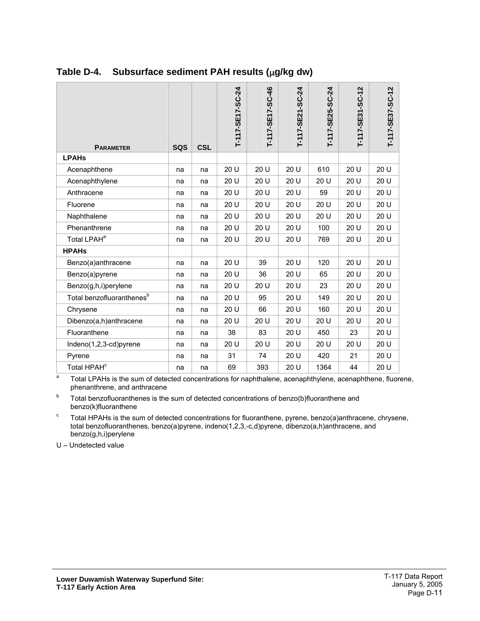| <b>PARAMETER</b>                      | <b>SQS</b> | <b>CSL</b> | T-117-SE17-SC-24 | T-117-SE17-SC-46 | T-117-SE21-SC-24 | T-117-SE25-SC-24 | T-117-SE31-SC-12 | T-117-SE37-SC-12 |
|---------------------------------------|------------|------------|------------------|------------------|------------------|------------------|------------------|------------------|
| <b>LPAHs</b>                          |            |            |                  |                  |                  |                  |                  |                  |
| Acenaphthene                          | na         | na         | 20 U             | 20 U             | 20 U             | 610              | 20 U             | 20 U             |
| Acenaphthylene                        | na         | na         | 20 U             | 20 U             | 20 U             | 20 U             | 20 U             | 20 U             |
| Anthracene                            | na         | na         | 20 U             | 20 U             | 20 U             | 59               | 20 U             | 20 U             |
| Fluorene                              | na         | na         | 20 U             | 20 U             | 20 U             | 20 U             | 20 U             | 20 U             |
| Naphthalene                           | na         | na         | 20 U             | 20 U             | 20 U             | 20 U             | 20 U             | 20 U             |
| Phenanthrene                          | na         | na         | 20 U             | 20 U             | 20 U             | 100              | 20 U             | 20 U             |
| Total LPAH <sup>a</sup>               | na         | na         | 20 U             | 20 U             | 20 U             | 769              | 20 U             | 20 U             |
| <b>HPAHs</b>                          |            |            |                  |                  |                  |                  |                  |                  |
| Benzo(a)anthracene                    | na         | na         | 20 U             | 39               | 20 U             | 120              | 20 U             | 20 U             |
| Benzo(a)pyrene                        | na         | na         | 20 U             | 36               | 20 U             | 65               | 20 U             | 20 U             |
| Benzo(g,h,i)perylene                  | na         | na         | 20 U             | 20 U             | 20 U             | 23               | 20 U             | 20 U             |
| Total benzofluoranthenes <sup>b</sup> | na         | na         | 20 U             | 95               | 20 U             | 149              | 20 U             | 20 U             |
| Chrysene                              | na         | na         | 20 U             | 66               | 20 U             | 160              | 20 U             | 20 U             |
| Dibenzo(a,h)anthracene                | na         | na         | 20 U             | 20 U             | 20 U             | 20 U             | 20 U             | 20 U             |
| Fluoranthene                          | na         | na         | 38               | 83               | 20 U             | 450              | 23               | 20 U             |
| Indeno(1,2,3-cd)pyrene                | na         | na         | 20 U             | 20 U             | 20 U             | 20 U             | 20 U             | 20 U             |
| Pyrene                                | na         | na         | 31               | 74               | 20 U             | 420              | 21               | 20 U             |
| Total HPAH <sup>c</sup>               | na         | na         | 69               | 393              | 20 U             | 1364             | 44               | 20 U             |

#### <span id="page-11-0"></span>**Table D-4. Subsurface sediment PAH results (**µ**g/kg dw)**

a Total LPAHs is the sum of detected concentrations for naphthalene, acenaphthylene, acenaphthene, fluorene, phenanthrene, and anthracene

b Total benzofluoranthenes is the sum of detected concentrations of benzo(b)fluoranthene and benzo(k)fluoranthene

 $\mathbf c$  Total HPAHs is the sum of detected concentrations for fluoranthene, pyrene, benzo(a)anthracene, chrysene, total benzofluoranthenes, benzo(a)pyrene, indeno(1,2,3,-c,d)pyrene, dibenzo(a,h)anthracene, and benzo(g,h,i)perylene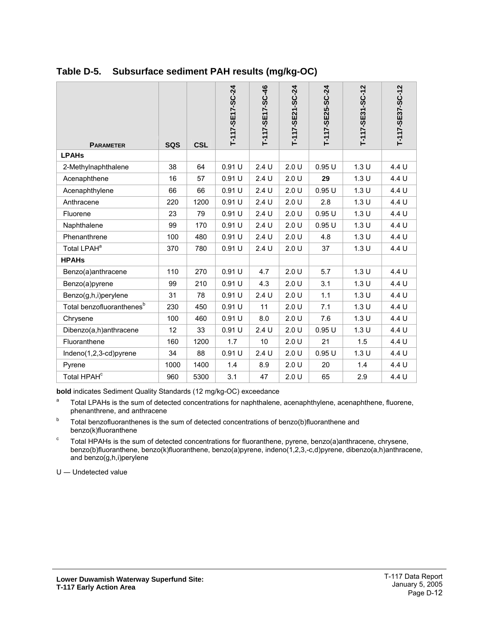| <b>PARAMETER</b>                      | <b>SQS</b> | <b>CSL</b> | T-117-SE17-SC-24 | T-117-SE17-SC-46 | T-117-SE21-SC-24 | T-117-SE25-SC-24 | T-117-SE31-SC-12 | T-117-SE37-SC-12 |
|---------------------------------------|------------|------------|------------------|------------------|------------------|------------------|------------------|------------------|
| <b>LPAHs</b>                          |            |            |                  |                  |                  |                  |                  |                  |
| 2-Methylnaphthalene                   | 38         | 64         | 0.91U            | 2.4U             | 2.0 U            | 0.95U            | 1.3U             | 4.4 U            |
| Acenaphthene                          | 16         | 57         | 0.91 U           | 2.4U             | 2.0 U            | 29               | 1.3U             | 4.4 U            |
| Acenaphthylene                        | 66         | 66         | 0.91U            | 2.4U             | 2.0 U            | 0.95U            | 1.3U             | 4.4 U            |
| Anthracene                            | 220        | 1200       | 0.91 U           | 2.4 U            | 2.0 U            | 2.8              | 1.3 U            | 4.4 U            |
| Fluorene                              | 23         | 79         | 0.91 U           | 2.4U             | 2.0 U            | 0.95U            | 1.3U             | 4.4 U            |
| Naphthalene                           | 99         | 170        | 0.91 U           | 2.4U             | 2.0 U            | 0.95U            | 1.3 U            | 4.4 U            |
| Phenanthrene                          | 100        | 480        | 0.91 U           | 2.4U             | 2.0 U            | 4.8              | 1.3 U            | 4.4 U            |
| Total LPAH <sup>a</sup>               | 370        | 780        | 0.91 U           | 2.4U             | 2.0U             | 37               | 1.3U             | 4.4 U            |
| <b>HPAHs</b>                          |            |            |                  |                  |                  |                  |                  |                  |
| Benzo(a)anthracene                    | 110        | 270        | 0.91 U           | 4.7              | 2.0 U            | 5.7              | 1.3U             | 4.4 U            |
| Benzo(a)pyrene                        | 99         | 210        | 0.91 U           | 4.3              | 2.0 U            | 3.1              | 1.3U             | 4.4 U            |
| Benzo(g,h,i)perylene                  | 31         | 78         | 0.91 U           | 2.4U             | 2.0 U            | 1.1              | 1.3U             | 4.4 U            |
| Total benzofluoranthenes <sup>b</sup> | 230        | 450        | 0.91 U           | 11               | 2.0 U            | 7.1              | 1.3 U            | 4.4 U            |
| Chrysene                              | 100        | 460        | 0.91 U           | 8.0              | 2.0 U            | 7.6              | 1.3U             | 4.4 U            |
| Dibenzo(a,h)anthracene                | 12         | 33         | 0.91 U           | 2.4U             | 2.0 U            | 0.95U            | 1.3 U            | 4.4 U            |
| Fluoranthene                          | 160        | 1200       | 1.7              | 10               | 2.0 U            | 21               | 1.5              | 4.4 U            |
| Indeno(1,2,3-cd)pyrene                | 34         | 88         | 0.91 U           | 2.4U             | 2.0 U            | 0.95U            | 1.3U             | 4.4 U            |
| Pyrene                                | 1000       | 1400       | 1.4              | 8.9              | 2.0 U            | 20               | 1.4              | 4.4 U            |
| Total HPAH <sup>c</sup>               | 960        | 5300       | 3.1              | 47               | 2.0 U            | 65               | 2.9              | 4.4 U            |

#### <span id="page-12-0"></span>**Table D-5. Subsurface sediment PAH results (mg/kg-OC)**

**bold** indicates Sediment Quality Standards (12 mg/kg-OC) exceedance

- <sup>a</sup> Total LPAHs is the sum of detected concentrations for naphthalene, acenaphthylene, acenaphthene, fluorene, phenanthrene, and anthracene
- b Total benzofluoranthenes is the sum of detected concentrations of benzo(b)fluoranthene and benzo(k)fluoranthene
- $\degree$  Total HPAHs is the sum of detected concentrations for fluoranthene, pyrene, benzo(a)anthracene, chrysene, benzo(b)fluoranthene, benzo(k)fluoranthene, benzo(a)pyrene, indeno(1,2,3,-c,d)pyrene, dibenzo(a,h)anthracene, and benzo(g,h,i)perylene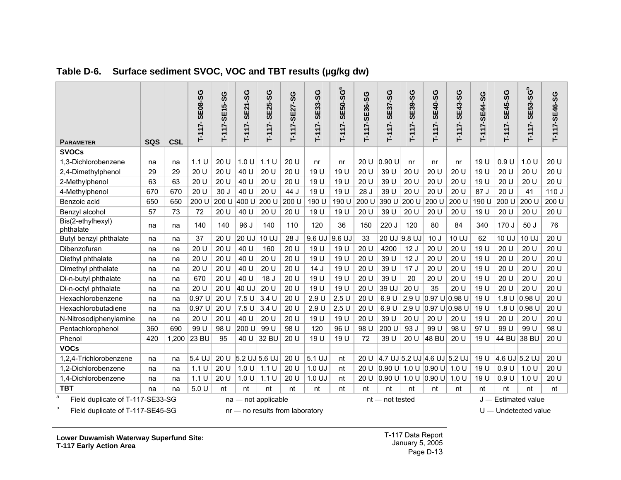| <b>PARAMETER</b>                      | <b>SQS</b> | <b>CSL</b> | <b>SE08-SG</b><br>$T-117-$ | T-117-SE15-SG | <b>SE21-SG</b><br>$T-117-$ | <b>SE25-SG</b><br>$T-117-$         | T-117-SE27-SG | <b>SE33-SG</b><br>$T-117-$ | a<br><b>SE50-SG</b><br>$T-117-$ | T-117-SE36-SG | <b>9S-</b><br><b>SE37</b><br>$T-117-$ | <b>SE39-SG</b><br>$T-117-$ | <b>SE40-SG</b><br>$-111$ -                        | <b>SE43-SG</b><br>$T-117-$       | T-117-SE44-SG | <b>SE45-SG</b><br>$T-117-$ | ء<br><b>SE53-SG</b><br>$T-117-$ | T-117-SE46-SG |
|---------------------------------------|------------|------------|----------------------------|---------------|----------------------------|------------------------------------|---------------|----------------------------|---------------------------------|---------------|---------------------------------------|----------------------------|---------------------------------------------------|----------------------------------|---------------|----------------------------|---------------------------------|---------------|
| <b>SVOCs</b>                          |            |            |                            |               |                            |                                    |               |                            |                                 |               |                                       |                            |                                                   |                                  |               |                            |                                 |               |
| 1,3-Dichlorobenzene                   | na         | na         | 1.1 U                      | 20 U          | 1.0 U                      | 1.1U                               | 20 U          | n <sub>r</sub>             | n <sub>r</sub>                  | 20 U          | 0.90 U                                | n <sub>r</sub>             | n <sub>r</sub>                                    | nr                               | 19 U          | 0.9U                       | 1.0 U                           | 20 U          |
| 2,4-Dimethylphenol                    | 29         | 29         | 20 U                       | 20 U          | 40 U                       | 20 U                               | 20 U          | 19 U                       | 19 U                            | 20 U          | 39 U                                  | 20 U                       | 20 U                                              | 20 U                             | 19 U          | 20 U                       | 20U                             | 20 U          |
| 2-Methylphenol                        | 63         | 63         | 20 U                       | 20 U          | 40 U                       | 20 U                               | 20 U          | 19 U                       | 19 U                            | 20U           | 39 U                                  | 20 U                       | 20 U                                              | 20 U                             | 19 U          | 20U                        | 20U                             | 20 U          |
| 4-Methylphenol                        | 670        | 670        | 20U                        | 30J           | 40 U                       | 20 U                               | 44 J          | 19 U                       | 19 U                            | 28 J          | 39 U                                  | 20 U                       | 20 U                                              | 20U                              | 87 J          | 20U                        | 41                              | 110J          |
| Benzoic acid                          | 650        | 650        | 200 U                      | 200 U         | 400 U                      | 200 U                              | 200 U         | 190 U                      | 190 U                           | 200 U         | 390 U                                 | 200 U                      | 200 U                                             | 200 U                            | 190 U         | 200 U                      | 200 U                           | 200 U         |
| Benzyl alcohol                        | 57         | 73         | 72                         | 20 U          | 40 U                       | 20U                                | 20 U          | 19 U                       | 19 U                            | 20 U          | 39 U                                  | 20 U                       | 20 U                                              | 20 U                             | 19 U          | 20 U                       | 20 U                            | 20 U          |
| Bis(2-ethylhexyl)<br>phthalate        | na         | na         | 140                        | 140           | 96 J                       | 140                                | 110           | 120                        | 36                              | 150           | 220 J                                 | 120                        | 80                                                | 84                               | 340           | 170 J                      | 50J                             | 76            |
| Butyl benzyl phthalate                | na         | na         | 37                         | 20 U          | 20 UJ                      | 10 UJ                              | 28 J          | 9.6 UJ                     | 9.6 UJ                          | 33            |                                       | $20 \text{ UJ}$ 9.8 UJ     | 10J                                               | 10 UJ                            | 62            | 10 UJ                      | 10 UJ                           | 20 U          |
| Dibenzofuran                          | na         | na         | 20 U                       | 20 U          | 40 U                       | 160                                | 20 U          | 19 U                       | 19 U                            | 20 U          | 4200                                  | 12J                        | 20 U                                              | 20 U                             | 19 U          | 20 U                       | 20U                             | 20 U          |
| Diethyl phthalate                     | na         | na         | 20 U                       | 20 U          | 40 U                       | 20 U                               | 20 U          | 19 U                       | 19 U                            | 20 U          | 39 U                                  | 12J                        | 20 U                                              | 20U                              | 19 U          | 20 U                       | 20U                             | 20 U          |
| Dimethyl phthalate                    | na         | na         | 20U                        | 20 U          | 40 U                       | 20U                                | 20 U          | 14J                        | 19 U                            | 20U           | 39 U                                  | 17J                        | 20 U                                              | 20U                              | 19 U          | 20U                        | 20U                             | 20U           |
| Di-n-butyl phthalate                  | na         | na         | 670                        | 20 U          | 40 U                       | 18 <sub>J</sub>                    | 20 U          | 19 U                       | 19 U                            | 20 U          | 39 U                                  | 20                         | 20 U                                              | 20 U                             | 19 U          | 20 U                       | 20U                             | 20 U          |
| Di-n-octyl phthalate                  | na         | na         | 20 U                       | 20 U          | 40 UJ                      | 20U                                | 20 U          | 19 U                       | 19 U                            | 20 U          | 39 UJ                                 | 20 U                       | 35                                                | 20 U                             | 19 U          | 20 U                       | 20U                             | 20 U          |
| Hexachlorobenzene                     | na         | na         | 0.97 U                     | 20 U          | 7.5U                       | 3.4U                               | 20 U          | 2.9U                       | 2.5U                            | 20 U          | 6.9U                                  |                            | 2.9 U $0.97$ U 0.98 U                             |                                  | 19 U          | 1.8 U                      | $ 0.98$ U                       | 20 U          |
| Hexachlorobutadiene                   | na         | na         | 0.97 U                     | 20 U          | 7.5U                       | 3.4U                               | 20 U          | 2.9U                       | 2.5U                            | 20 U          | 6.9 U                                 |                            | 2.9 U $ 0.97 \text{ U} 0.98 \text{ U}$            |                                  | 19 U          | 1.8 U                      | $ 0.98$ U                       | 20 U          |
| N-Nitrosodiphenylamine                | na         | na         | 20 U                       | 20U           | 40 U                       | 20 U                               | 20 U          | 19 U                       | 19 U                            | 20 U          | 39 U                                  | 20 U                       | 20 U                                              | 20U                              | 19 U          | 20 U                       | 20U                             | 20 U          |
| Pentachlorophenol                     | 360        | 690        | 99 U                       | 98 U          | 200 U                      | 99 U                               | 98 U          | 120                        | 96 U                            | 98 U          | 200 U                                 | 93 J                       | 99 U                                              | 98 U                             | 97 U          | 99 U                       | 99 U                            | 98 U          |
| Phenol                                | 420        | 1,200      | 23 BU                      | 95            | 40 U                       | 32 BU                              | 20 U          | 19 U                       | 19 U                            | 72            | 39 U                                  | 20 U                       | 48 BU                                             | 20 U                             | 19 U          | 44 BU                      | 38 BU                           | 20 U          |
| <b>VOCs</b>                           |            |            |                            |               |                            |                                    |               |                            |                                 |               |                                       |                            |                                                   |                                  |               |                            |                                 |               |
| 1,2,4-Trichlorobenzene                | na         | na         | 5.4 UJ                     |               |                            | 20 U $\vert$ 5.2 UJ $\vert$ 5.6 UJ | 20 U          | 5.1 UJ                     | nt                              |               |                                       |                            |                                                   | 20 U 4.7 UJ 5.2 UJ 4.6 UJ 5.2 UJ | 19 U          |                            | 4.6 UJ 5.2 UJ                   | 20 U          |
| 1.2-Dichlorobenzene                   | na         | na         | 1.1 U                      | 20 U          | 1.0 U                      | 1.1 U                              | 20 U          | 1.0 UJ                     | nt                              | 20U           |                                       |                            | $ 0.90 \text{ U}  1.0 \text{ U}  0.90 \text{ U} $ | 1.0 U                            | 19 U          | 0.9 U                      | 1.0 U                           | 20 U          |
| 1,4-Dichlorobenzene                   | na         | na         | 1.1 U                      | 20 U          | 1.0 U                      | 1.1 U                              | 20 U          | 1.0 UJ                     | nt                              | 20 U          | 0.90 U                                |                            | 1.0 U $ 0.90$ U                                   | 1.0 U                            | 19 U          | 0.9 U                      | 1.0 U                           | 20 U          |
| <b>TBT</b>                            | na         | na         | 5.0 U                      | nt            | nt                         | nt                                 | nt            | nt                         | nt                              | nt            | nt                                    | nt                         | nt                                                | nt                               | nt            | nt                         | nt                              | nt            |
| a<br>Field duplicate of T-117-SE33-SG |            |            |                            |               |                            | $na$ — not applicable              |               |                            |                                 |               | $nt$ $-$ not tested                   |                            |                                                   |                                  |               |                            | J - Estimated value             |               |

#### **Table D-6. Surface sediment SVOC, VOC and TBT results (µg/kg dw)**

<span id="page-13-0"></span> $b$  Field duplicate of T-117-SE45-SG nr — no results from laboratory example to the U — Undetected value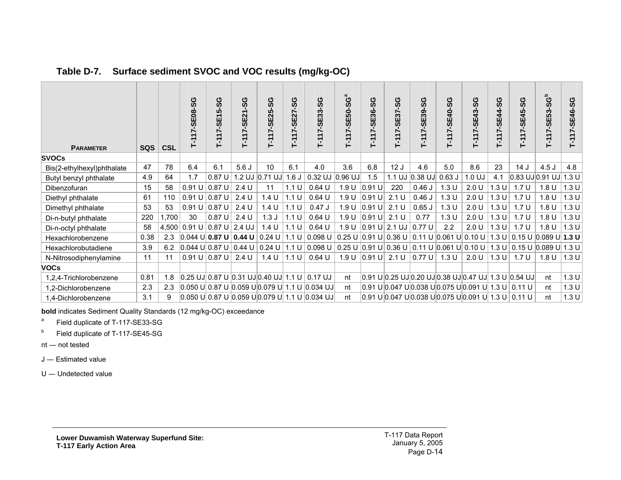| <b>PARAMETER</b>           | <b>SQS</b> | <b>CSL</b> | <b>SE08-SG</b><br>۳        | T-117-SE15-SG   | -SC<br>T-117-SE21 | ပိုင<br>7-SE25<br>.<br>۲                         | ပ္တ<br><b>SE27</b><br>Ñ<br>$\frac{1}{2}$ | T-117-SE33-SG                                                                                         | T-117-SE50-SGª | -SG<br>T-117-SE36 | ပ္တ<br><b>SE37</b>                                          | ပိုင<br>T-117-SE39 | -117-SE40-SG<br>⊢                                                                                  | ပိုင<br>7-SE43<br>$T-11$ | SE44-SG<br>$\frac{1}{2}$ | T-117-SE45-SG    | T-117-SE53-SG <sup>b</sup> | T-117-SE46-SG |
|----------------------------|------------|------------|----------------------------|-----------------|-------------------|--------------------------------------------------|------------------------------------------|-------------------------------------------------------------------------------------------------------|----------------|-------------------|-------------------------------------------------------------|--------------------|----------------------------------------------------------------------------------------------------|--------------------------|--------------------------|------------------|----------------------------|---------------|
| <b>SVOCs</b>               |            |            |                            |                 |                   |                                                  |                                          |                                                                                                       |                |                   |                                                             |                    |                                                                                                    |                          |                          |                  |                            |               |
| Bis(2-ethylhexyl)phthalate | 47         | 78         | 6.4                        | 6.1             | 5.6J              | 10                                               | 6.1                                      | 4.0                                                                                                   | 3.6            | 6.8               | 12J                                                         | 4.6                | 5.0                                                                                                | 8.6                      | 23                       | 14J              | 4.5J                       | 4.8           |
| Butyl benzyl phthalate     | 4.9        | 64         | 1.7                        | 0.87U           |                   | 1.2 UJ 0.71 UJ 1.6 J                             |                                          | $0.32$ UJ $ 0.96$ UJ                                                                                  |                | 1.5               |                                                             |                    | 1.1 UJ $ 0.38$ UJ $ 0.63$ J                                                                        | 1.0 UJ                   | 4.1                      |                  | $0.83$ UJ $ 0.91$ UJ $ $   | 1.3 U         |
| Dibenzofuran               | 15         | 58         | 0.91 U   0.87 U            |                 | 2.4 U             | 11                                               | 1.1 U                                    | $0.64$ U                                                                                              | 1.9 U          | $ 0.91$ U         | 220                                                         | 0.46J              | 1.3U                                                                                               | 2.0 U                    | 1.3U                     | 1.7 <sub>U</sub> | 1.8 U                      | 1.3 U         |
| Diethyl phthalate          | 61         | 110        | 0.91 U   0.87 U            |                 | 2.4 U             | 1.4 U                                            | 1.1 U                                    | $0.64$ U                                                                                              | 1.9 U          | $ 0.91$ U         | 2.1 U                                                       | 0.46J              | 1.3 U                                                                                              | 2.0 U                    | 1.3U                     | 1.7 <sub>U</sub> | 1.8 <sub>U</sub>           | 1.3 U         |
| Dimethyl phthalate         | 53         | 53         | 0.91 U                     | $0.87$ U        | 2.4 U             | 1.4 U                                            | 1.1 U                                    | 0.47J                                                                                                 | 1.9 U          | $ 0.91$ U         | 2.1 U                                                       | $0.65$ J           | 1.3 U                                                                                              | 2.0 U                    | 1.3 U                    | 1.7U             | 1.8 U                      | 1.3 U         |
| Di-n-butyl phthalate       | 220        | 1,700      | 30                         | 0.87U           | 2.4 U             | 1.3J                                             | 1.1 U                                    | $0.64$ U                                                                                              | 1.9 U          | $ 0.91$ U         | 2.1 U                                                       | 0.77               | 1.3U                                                                                               | 2.0 U                    | 1.3 U                    | 1.7 <sub>U</sub> | 1.8 <sub>U</sub>           | 1.3 U         |
| Di-n-octyl phthalate       | 58         |            | 4,500 0.91 U 0.87 U 2.4 UJ |                 |                   | 1.4 U                                            | 1.1 U                                    | 0.64U                                                                                                 |                |                   | 1.9 U $\vert 0.91 \,$ U $\vert 2.1 \,$ UJ $\vert 0.77 \,$ U |                    | 2.2                                                                                                | 2.0 U                    | 1.3 U                    | 1.7 <sub>U</sub> | 1.8 <sub>U</sub>           | 1.3U          |
| Hexachlorobenzene          | 0.38       | 2.3        | $ 0.044 \cup  0.87 \cup  $ |                 |                   | 0.44 U   0.24 U                                  | 1.1 U                                    | 0.098 U                                                                                               |                |                   |                                                             |                    | $\vert$ 0.25 U $\vert$ 0.91 U $\vert$ 0.36 U $\vert$ 0.11 U $\vert$ 0.061 U $\vert$ 0.10 U $\vert$ |                          | 1.3 U                    |                  | 0.15 U   0.089 U   1.3 U   |               |
| Hexachlorobutadiene        | 3.9        | 6.2        |                            |                 |                   | $ 0.044 \cup  0.87 \cup  0.44 \cup  0.24 \cup  $ | 1.1 U                                    | 0.098 U                                                                                               |                |                   |                                                             |                    | 0.25 U $ 0.91$ U $ 0.36$ U $ 0.11$ U $ 0.061$ U $ 0.10$ U                                          |                          | 1.3U                     |                  | 0.15 U   0.089 U   1.3 U   |               |
| N-Nitrosodiphenylamine     | 11         | 11         |                            | 0.91 U   0.87 U | 2.4 U             | 1.4 U                                            | 1.1 U                                    | $0.64$ U                                                                                              |                | 1.9 U $ 0.91$ U   | 2.1 U                                                       | $\vert$ 0.77 U     | 1.3 U                                                                                              | 2.0 U                    | 1.3 U                    | 1.7 <sub>U</sub> | 1.8 U                      | 1.3 U         |
| <b>VOCs</b>                |            |            |                            |                 |                   |                                                  |                                          |                                                                                                       |                |                   |                                                             |                    |                                                                                                    |                          |                          |                  |                            |               |
| 1,2,4-Trichlorobenzene     | 0.81       | 1.8        |                            |                 |                   | $0.25$ UJ 0.87 U 0.31 UJ 0.40 UJ 1.1 U           |                                          | $0.17$ UJ                                                                                             | nt             |                   |                                                             |                    | 0.91 U 0.25 UJ 0.20 UJ 0.38 UJ 0.47 UJ  1.3 U  0.54 UJ                                             |                          |                          |                  | nt                         | 1.3U          |
| 1,2-Dichlorobenzene        | 2.3        | 2.3        |                            |                 |                   |                                                  |                                          | $ 0.050 \text{ U}  0.87 \text{ U}  0.059 \text{ U}  0.079 \text{ U}   1.1 \text{ U}  0.034 \text{ U}$ | nt             |                   |                                                             |                    |                                                                                                    |                          |                          |                  | nt                         | 1.3U          |
| 1,4-Dichlorobenzene        | 3.1        | 9          |                            |                 |                   |                                                  |                                          | $ 0.050 \text{ U}  0.87 \text{ U}  0.059 \text{ U}  0.079 \text{ U}   1.1 \text{ U}  0.034 \text{ U}$ | nt             |                   |                                                             |                    |                                                                                                    |                          |                          |                  | nt                         | 1.3U          |

#### **Table D-7. Surface sediment SVOC and VOC results (mg/kg-OC)**

**bold** indicates Sediment Quality Standards (12 mg/kg-OC) exceedance

<sup>a</sup> Field duplicate of T-117-SE33-SG

b Field duplicate of T-117-SE45-SG

nt ― not tested

<span id="page-14-0"></span>J ― Estimated value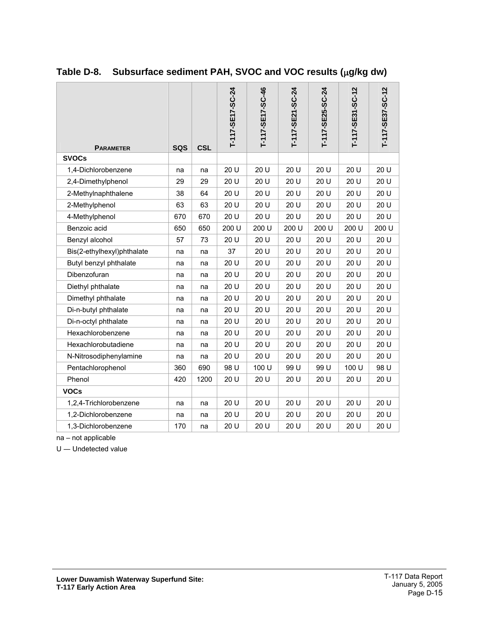| <b>PARAMETER</b>           | <b>SQS</b> | <b>CSL</b> | T-117-SE17-SC-24 | T-117-SE17-SC-46 | T-117-SE21-SC-24 | T-117-SE25-SC-24 | T-117-SE31-SC-12 | T-117-SE37-SC-12 |
|----------------------------|------------|------------|------------------|------------------|------------------|------------------|------------------|------------------|
| <b>SVOCs</b>               |            |            |                  |                  |                  |                  |                  |                  |
| 1,4-Dichlorobenzene        | na         | na         | 20 U             | 20 U             | 20 U             | 20 U             | 20 U             | 20 U             |
| 2,4-Dimethylphenol         | 29         | 29         | 20 U             | 20 U             | 20 U             | 20 U             | 20 U             | 20 U             |
| 2-Methylnaphthalene        | 38         | 64         | 20 U             | 20 U             | 20 U             | 20 U             | 20 U             | 20 U             |
| 2-Methylphenol             | 63         | 63         | 20 U             | 20 U             | 20 U             | 20 U             | 20 U             | 20 U             |
| 4-Methylphenol             | 670        | 670        | 20 U             | 20 U             | 20 U             | 20 U             | 20 U             | 20 U             |
| Benzoic acid               | 650        | 650        | 200 U            | 200 U            | 200 U            | 200 U            | 200 U            | 200 U            |
| Benzyl alcohol             | 57         | 73         | 20 U             | 20 U             | 20 U             | 20 U             | 20 U             | 20 U             |
| Bis(2-ethylhexyl)phthalate | na         | na         | 37               | 20 U             | 20 U             | 20 U             | 20 U             | 20 U             |
| Butyl benzyl phthalate     | na         | na         | 20 U             | 20 U             | 20 U             | 20 U             | 20 U             | 20 U             |
| Dibenzofuran               | na         | na         | 20 U             | 20 U             | 20 U             | 20 U             | 20 U             | 20 U             |
| Diethyl phthalate          | na         | na         | 20 U             | 20 U             | 20 U             | 20 U             | 20 U             | 20 U             |
| Dimethyl phthalate         | na         | na         | 20 U             | 20 U             | 20 U             | 20 U             | 20 U             | 20 U             |
| Di-n-butyl phthalate       | na         | na         | 20 U             | 20 U             | 20 U             | 20 U             | 20 U             | 20 U             |
| Di-n-octyl phthalate       | na         | na         | 20 U             | 20 U             | 20 U             | 20 U             | 20 U             | 20 U             |
| Hexachlorobenzene          | na         | na         | 20 U             | 20 U             | 20 U             | 20 U             | 20 U             | 20 U             |
| Hexachlorobutadiene        | na         | na         | 20 U             | 20 U             | 20 U             | 20 U             | 20 U             | 20 U             |
| N-Nitrosodiphenylamine     | na         | na         | 20 U             | 20 U             | 20 U             | 20 U             | 20 U             | 20 U             |
| Pentachlorophenol          | 360        | 690        | 98 U             | 100 U            | 99 U             | 99 U             | 100 U            | 98 U             |
| Phenol                     | 420        | 1200       | 20 U             | 20 U             | 20 U             | 20 U             | 20 U             | 20 U             |
| <b>VOCs</b>                |            |            |                  |                  |                  |                  |                  |                  |
| 1,2,4-Trichlorobenzene     | na         | na         | 20 U             | 20 U             | 20 U             | 20 U             | 20 U             | 20 U             |
| 1,2-Dichlorobenzene        | na         | na         | 20 U             | 20 U             | 20 U             | 20 U             | 20 U             | 20 U             |
| 1,3-Dichlorobenzene        | 170        | na         | 20 U             | 20 U             | 20 U             | 20 U             | 20 U             | 20 U             |

### <span id="page-15-0"></span>**Table D-8. Subsurface sediment PAH, SVOC and VOC results (**µ**g/kg dw)**

na - not applicable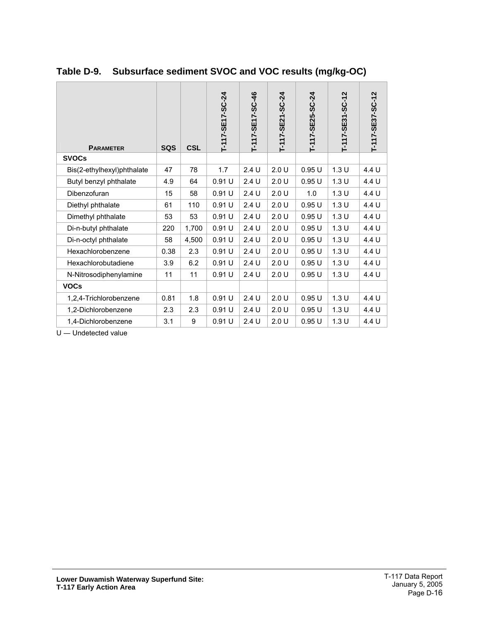| <b>PARAMETER</b>           | <b>SQS</b> | <b>CSL</b> | T-117-SE17-SC-24 | T-117-SE17-SC-46 | $-5C-24$<br>T-117-SE21 | T-117-SE25-SC-24 | $-5C-12$<br>T-117-SE31 | T-117-SE37-SC-12 |
|----------------------------|------------|------------|------------------|------------------|------------------------|------------------|------------------------|------------------|
| <b>SVOCs</b>               |            |            |                  |                  |                        |                  |                        |                  |
| Bis(2-ethylhexyl)phthalate | 47         | 78         | 1.7              | 2.4U             | 2.0 U                  | 0.95U            | 1.3U                   | 4.4 U            |
| Butyl benzyl phthalate     | 4.9        | 64         | 0.91U            | 2.4U             | 2.0 U                  | 0.95U            | 1.3U                   | 4.4 U            |
| Dibenzofuran               | 15         | 58         | 0.91 U           | 2.4U             | 2.0 U                  | 1.0              | 1.3U                   | 4.4 U            |
| Diethyl phthalate          | 61         | 110        | 0.91U            | 2.4U             | 2.0 U                  | 0.95U            | 1.3U                   | 4.4 U            |
| Dimethyl phthalate         | 53         | 53         | 0.91 U           | 2.4U             | 2.0U                   | 0.95U            | 1.3U                   | 4.4 U            |
| Di-n-butyl phthalate       | 220        | 1,700      | 0.91 U           | 2.4U             | 2.0 U                  | 0.95U            | 1.3U                   | 4.4 U            |
| Di-n-octyl phthalate       | 58         | 4,500      | 0.91 U           | 2.4 U            | 2.0 U                  | 0.95U            | 1.3U                   | 4.4 U            |
| Hexachlorobenzene          | 0.38       | 2.3        | 0.91U            | 2.4U             | 2.0 U                  | 0.95U            | 1.3U                   | 4.4 U            |
| Hexachlorobutadiene        | 3.9        | 6.2        | 0.91U            | 2.4U             | 2.0 U                  | 0.95U            | 1.3U                   | 4.4 U            |
| N-Nitrosodiphenylamine     | 11         | 11         | 0.91 U           | 2.4U             | 2.0 U                  | 0.95U            | 1.3U                   | 4.4 U            |
| <b>VOCs</b>                |            |            |                  |                  |                        |                  |                        |                  |
| 1,2,4-Trichlorobenzene     | 0.81       | 1.8        | 0.91U            | 2.4U             | 2.0 U                  | 0.95U            | 1.3U                   | 4.4 U            |
| 1,2-Dichlorobenzene        | 2.3        | 2.3        | 0.91 U           | 2.4 U            | 2.0 U                  | 0.95U            | 1.3 U                  | 4.4 U            |
| 1,4-Dichlorobenzene        | 3.1        | 9          | 0.91 U           | 2.4 U            | 2.0 U                  | 0.95U            | 1.3 U                  | 4.4 U            |

### <span id="page-16-0"></span>**Table D-9. Subsurface sediment SVOC and VOC results (mg/kg-OC)**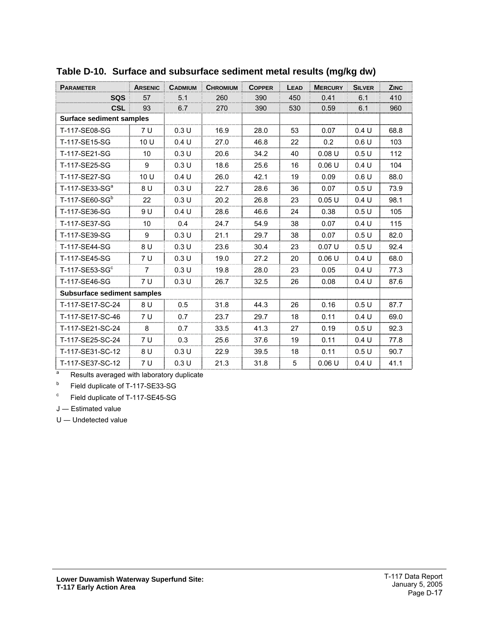| <b>PARAMETER</b>                   | <b>ARSENIC</b>  | <b>CADMIUM</b> | <b>CHROMIUM</b> | <b>COPPER</b> | LEAD | <b>MERCURY</b> | <b>SILVER</b> | <b>ZINC</b> |
|------------------------------------|-----------------|----------------|-----------------|---------------|------|----------------|---------------|-------------|
| <b>SQS</b>                         | 57              | 5.1            | 260             | 390           | 450  | 0.41           | 6.1           | 410         |
| <b>CSL</b>                         | 93              | 6.7            | 270             | 390           | 530  | 0.59           | 6.1           | 960         |
| <b>Surface sediment samples</b>    |                 |                |                 |               |      |                |               |             |
| T-117-SE08-SG                      | 7 U             | 0.3U           | 16.9            | 28.0          | 53   | 0.07           | 0.4 U         | 68.8        |
| T-117-SE15-SG                      | 10U             | 0.4 U          | 27.0            | 46.8          | 22   | 0.2            | 0.6U          | 103         |
| T-117-SE21-SG                      | 10 <sup>°</sup> | 0.3U           | 20.6            | 34.2          | 40   | 0.08U          | 0.5U          | 112         |
| T-117-SE25-SG                      | 9               | 0.3U           | 18.6            | 25.6          | 16   | 0.06U          | 0.4 U         | 104         |
| T-117-SE27-SG                      | 10 U            | 0.4 U          | 26.0            | 42.1          | 19   | 0.09           | 0.6U          | 88.0        |
| T-117-SE33-SG <sup>a</sup>         | 8 U             | 0.3U           | 22.7            | 28.6          | 36   | 0.07           | 0.5U          | 73.9        |
| T-117-SE60-SG <sup>b</sup>         | 22              | 0.3U           | 20.2            | 26.8          | 23   | 0.05U          | 0.4 U         | 98.1        |
| T-117-SE36-SG                      | 9 U             | 0.4 U          | 28.6            | 46.6          | 24   | 0.38           | 0.5U          | 105         |
| T-117-SE37-SG                      | 10 <sup>1</sup> | 0.4            | 24.7            | 54.9          | 38   | 0.07           | 0.4 U         | 115         |
| T-117-SE39-SG                      | 9               | 0.3U           | 21.1            | 29.7          | 38   | 0.07           | 0.5U          | 82.0        |
| T-117-SE44-SG                      | 8 U             | 0.3U           | 23.6            | 30.4          | 23   | 0.07U          | 0.5U          | 92.4        |
| T-117-SE45-SG                      | 7 U             | 0.3U           | 19.0            | 27.2          | 20   | 0.06U          | 0.4 U         | 68.0        |
| $T-117$ -SE53-SG $\textdegree$     | $\overline{7}$  | 0.3U           | 19.8            | 28.0          | 23   | 0.05           | 0.4 U         | 77.3        |
| T-117-SE46-SG                      | 7 U             | 0.3U           | 26.7            | 32.5          | 26   | 0.08           | 0.4 U         | 87.6        |
| <b>Subsurface sediment samples</b> |                 |                |                 |               |      |                |               |             |
| T-117-SE17-SC-24                   | 8 U             | 0.5            | 31.8            | 44.3          | 26   | 0.16           | 0.5U          | 87.7        |
| T-117-SE17-SC-46                   | 7 U             | 0.7            | 23.7            | 29.7          | 18   | 0.11           | 0.4 U         | 69.0        |
| T-117-SE21-SC-24                   | 8               | 0.7            | 33.5            | 41.3          | 27   | 0.19           | 0.5U          | 92.3        |
| T-117-SE25-SC-24                   | 7 U             | 0.3            | 25.6            | 37.6          | 19   | 0.11           | 0.4 U         | 77.8        |
| T-117-SE31-SC-12                   | 8 U             | 0.3U           | 22.9            | 39.5          | 18   | 0.11           | 0.5U          | 90.7        |
| T-117-SE37-SC-12                   | 7 U             | 0.3 U          | 21.3            | 31.8          | 5    | 0.06U          | 0.4 U         | 41.1        |

#### <span id="page-17-0"></span>**Table D-10. Surface and subsurface sediment metal results (mg/kg dw)**

 $\overline{a}$ Results averaged with laboratory duplicate

b Field duplicate of T-117-SE33-SG

c Field duplicate of T-117-SE45-SG

J ― Estimated value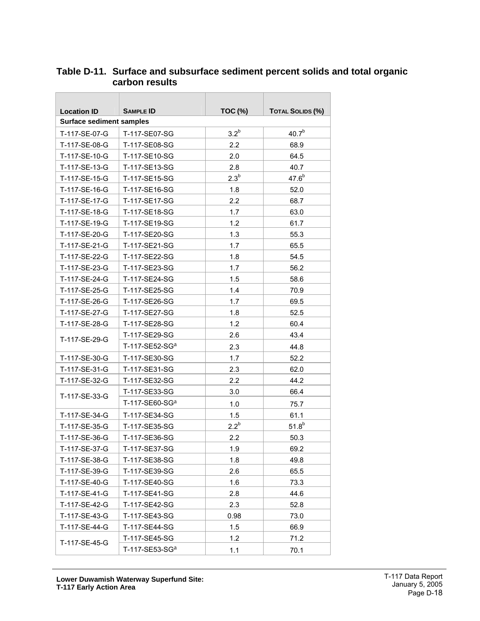| <b>Location ID</b>              | <b>SAMPLE ID</b> | <b>TOC (%)</b>   | <b>TOTAL SOLIDS (%)</b> |
|---------------------------------|------------------|------------------|-------------------------|
| <b>Surface sediment samples</b> |                  |                  |                         |
| T-117-SE-07-G                   | T-117-SE07-SG    | 3.2 <sup>b</sup> | $40.7^{b}$              |
| T-117-SE-08-G                   | T-117-SE08-SG    | 2.2              | 68.9                    |
| T-117-SE-10-G                   | T-117-SE10-SG    | 2.0              | 64.5                    |
| T-117-SE-13-G                   | T-117-SE13-SG    | 2.8              | 40.7                    |
| T-117-SE-15-G                   | T-117-SE15-SG    | 2.3 <sup>b</sup> | $47.6^{b}$              |
| T-117-SE-16-G                   | T-117-SE16-SG    | 1.8              | 52.0                    |
| T-117-SE-17-G                   | T-117-SE17-SG    | 2.2              | 68.7                    |
| T-117-SE-18-G                   | T-117-SE18-SG    | 1.7              | 63.0                    |
| T-117-SE-19-G                   | T-117-SE19-SG    | 1.2              | 61.7                    |
| T-117-SE-20-G                   | T-117-SE20-SG    | 1.3              | 55.3                    |
| T-117-SE-21-G                   | T-117-SE21-SG    | 1.7              | 65.5                    |
| T-117-SE-22-G                   | T-117-SE22-SG    | 1.8              | 54.5                    |
| T-117-SE-23-G                   | T-117-SE23-SG    | 1.7              | 56.2                    |
| T-117-SE-24-G                   | T-117-SE24-SG    | 1.5              | 58.6                    |
| T-117-SE-25-G                   | T-117-SE25-SG    | 1.4              | 70.9                    |
| T-117-SE-26-G                   | T-117-SE26-SG    | 1.7              | 69.5                    |
| T-117-SE-27-G                   | T-117-SE27-SG    | 1.8              | 52.5                    |
| T-117-SE-28-G                   | T-117-SE28-SG    | 1.2              | 60.4                    |
| T-117-SE-29-G                   | T-117-SE29-SG    | 2.6              | 43.4                    |
|                                 | T-117-SE52-SGa   | 2.3              | 44.8                    |
| T-117-SE-30-G                   | T-117-SE30-SG    | 1.7              | 52.2                    |
| T-117-SE-31-G                   | T-117-SE31-SG    | 2.3              | 62.0                    |
| T-117-SE-32-G                   | T-117-SE32-SG    | 2.2              | 44.2                    |
| T-117-SE-33-G                   | T-117-SE33-SG    | 3.0              | 66.4                    |
|                                 | T-117-SE60-SGa   | 1.0              | 75.7                    |
| T-117-SE-34-G                   | T-117-SE34-SG    | 1.5              | 61.1                    |
| T-117-SE-35-G                   | T-117-SE35-SG    | $2.2^{b}$        | $51.8^{b}$              |
| T-117-SE-36-G                   | T-117-SE36-SG    | 2.2              | 50.3                    |
| T-117-SE-37-G                   | T-117-SE37-SG    | 1.9              | 69.2                    |
| T-117-SE-38-G                   | T-117-SE38-SG    | 1.8              | 49.8                    |
| T-117-SE-39-G                   | T-117-SE39-SG    | 2.6              | 65.5                    |
| T-117-SE-40-G                   | T-117-SE40-SG    | 1.6              | 73.3                    |
| T-117-SE-41-G                   | T-117-SE41-SG    | 2.8              | 44.6                    |
| T-117-SE-42-G                   | T-117-SE42-SG    | 2.3              | 52.8                    |
| T-117-SE-43-G                   | T-117-SE43-SG    | 0.98             | 73.0                    |
| T-117-SE-44-G                   | T-117-SE44-SG    | 1.5              | 66.9                    |
| T-117-SE-45-G                   | T-117-SE45-SG    | 1.2              | 71.2                    |
|                                 | T-117-SE53-SGa   | 1.1              | 70.1                    |

#### <span id="page-18-0"></span>**Table D-11. Surface and subsurface sediment percent solids and total organic carbon results**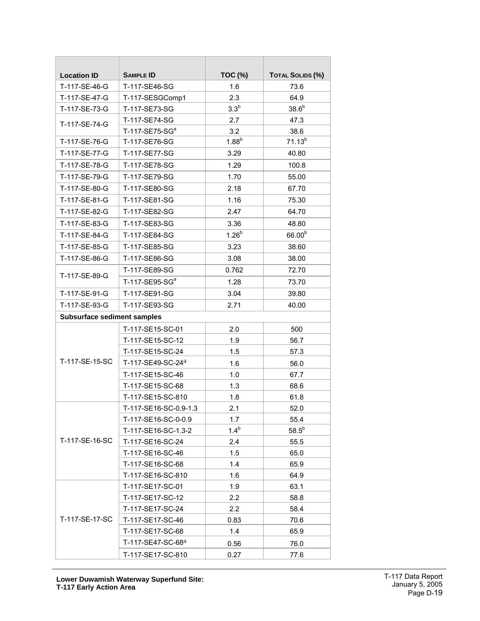| <b>Location ID</b>                 | <b>SAMPLE ID</b>              | <b>TOC (%)</b> | <b>TOTAL SOLIDS (%)</b> |  |
|------------------------------------|-------------------------------|----------------|-------------------------|--|
| T-117-SE-46-G                      | T-117-SE46-SG                 | 1.6            | 73.6                    |  |
| T-117-SE-47-G                      | T-117-SESGComp1               | 2.3            | 64.9                    |  |
| T-117-SE-73-G                      | T-117-SE73-SG                 | $3.3^b$        | $38.6^b$                |  |
| T-117-SE-74-G                      | T-117-SE74-SG                 | 2.7            | 47.3                    |  |
|                                    | T-117-SE75-SG <sup>a</sup>    | 3.2            | 38.6                    |  |
| T-117-SE-76-G                      | T-117-SE76-SG                 | $1.88^b$       | $71.13^{b}$             |  |
| T-117-SE-77-G                      | T-117-SE77-SG                 | 3.29           | 40.80                   |  |
| T-117-SE-78-G                      | T-117-SE78-SG                 | 1.29           | 100.8                   |  |
| T-117-SE-79-G                      | T-117-SE79-SG                 | 1.70           | 55.00                   |  |
| T-117-SE-80-G                      | T-117-SE80-SG                 | 2.18           | 67.70                   |  |
| T-117-SE-81-G                      | T-117-SE81-SG                 | 1.16           | 75.30                   |  |
| T-117-SE-82-G                      | T-117-SE82-SG                 | 2.47           | 64.70                   |  |
| T-117-SE-83-G                      | T-117-SE83-SG                 | 3.36           | 48.80                   |  |
| T-117-SE-84-G                      | T-117-SE84-SG                 | $1.26^{b}$     | 66.00 <sup>b</sup>      |  |
| T-117-SE-85-G                      | T-117-SE85-SG                 | 3.23           | 38.60                   |  |
| T-117-SE-86-G                      | T-117-SE86-SG                 | 3.08           | 38.00                   |  |
|                                    | T-117-SE89-SG                 | 0.762          | 72.70                   |  |
| T-117-SE-89-G                      | T-117-SE95-SG <sup>a</sup>    | 1.28           | 73.70                   |  |
| T-117-SE-91-G                      | T-117-SE91-SG                 | 3.04           | 39.80                   |  |
| T-117-SE-93-G                      | T-117-SE93-SG                 | 2.71           | 40.00                   |  |
| <b>Subsurface sediment samples</b> |                               |                |                         |  |
|                                    | T-117-SE15-SC-01              | 2.0            | 500                     |  |
|                                    | T-117-SE15-SC-12              | 1.9            | 56.7                    |  |
|                                    | T-117-SE15-SC-24              | 1.5            | 57.3                    |  |
| T-117-SE-15-SC                     | T-117-SE49-SC-24 <sup>a</sup> | 1.6            | 56.0                    |  |
|                                    | T-117-SE15-SC-46              | 1.0            | 67.7                    |  |
|                                    | T-117-SE15-SC-68              | 1.3            | 68.6                    |  |
|                                    | T-117-SE15-SC-810             | 1.8            | 61.8                    |  |
|                                    | T-117-SE16-SC-0.9-1.3         | 2.1            | 52.0                    |  |
|                                    | T-117-SE16-SC-0-0.9           | 1.7            | 55.4                    |  |
|                                    | T-117-SE16-SC-1.3-2           | $1.4^{b}$      | $58.5^b$                |  |
| T-117-SE-16-SC                     | T-117-SE16-SC-24              | 2.4            | 55.5                    |  |
|                                    | T-117-SE16-SC-46              | 1.5            | 65.0                    |  |
|                                    | T-117-SE16-SC-68              | 1.4            | 65.9                    |  |
|                                    | T-117-SE16-SC-810             | 1.6            | 64.9                    |  |
|                                    | T-117-SE17-SC-01              | 1.9            | 63.1                    |  |
|                                    | T-117-SE17-SC-12              | 2.2            | 58.8                    |  |
|                                    | T-117-SE17-SC-24              | 2.2            | 58.4                    |  |
| T-117-SE-17-SC                     | T-117-SE17-SC-46              | 0.83           | 70.6                    |  |
|                                    | T-117-SE17-SC-68              | 1.4            | 65.9                    |  |
|                                    | T-117-SE47-SC-68 <sup>a</sup> | 0.56           | 76.0                    |  |
|                                    | T-117-SE17-SC-810             | 0.27           | 77.6                    |  |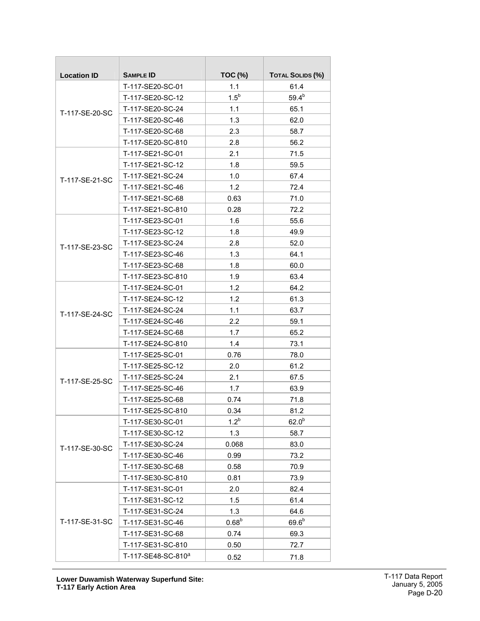| <b>Location ID</b> | <b>SAMPLE ID</b>               | <b>TOC (%)</b> | <b>TOTAL SOLIDS (%)</b> |
|--------------------|--------------------------------|----------------|-------------------------|
|                    | T-117-SE20-SC-01               | 1.1            | 61.4                    |
|                    | T-117-SE20-SC-12               | $1.5^b$        | $59.4^{b}$              |
| T-117-SE-20-SC     | T-117-SE20-SC-24               | 1.1            | 65.1                    |
|                    | T-117-SE20-SC-46               | 1.3            | 62.0                    |
|                    | T-117-SE20-SC-68               | 2.3            | 58.7                    |
|                    | T-117-SE20-SC-810              | 2.8            | 56.2                    |
|                    | T-117-SE21-SC-01               | 2.1            | 71.5                    |
|                    | T-117-SE21-SC-12               | 1.8            | 59.5                    |
| T-117-SE-21-SC     | T-117-SE21-SC-24               | 1.0            | 67.4                    |
|                    | T-117-SE21-SC-46               | 1.2            | 72.4                    |
|                    | T-117-SE21-SC-68               | 0.63           | 71.0                    |
|                    | T-117-SE21-SC-810              | 0.28           | 72.2                    |
|                    | T-117-SE23-SC-01               | 1.6            | 55.6                    |
|                    | T-117-SE23-SC-12               | 1.8            | 49.9                    |
| T-117-SE-23-SC     | T-117-SE23-SC-24               | 2.8            | 52.0                    |
|                    | T-117-SE23-SC-46               | 1.3            | 64.1                    |
|                    | T-117-SE23-SC-68               | 1.8            | 60.0                    |
|                    | T-117-SE23-SC-810              | 1.9            | 63.4                    |
| T-117-SE-24-SC     | T-117-SE24-SC-01               | 1.2            | 64.2                    |
|                    | T-117-SE24-SC-12               | 1.2            | 61.3                    |
|                    | T-117-SE24-SC-24               | 1.1            | 63.7                    |
|                    | T-117-SE24-SC-46               | 2.2            | 59.1                    |
|                    | T-117-SE24-SC-68               | 1.7            | 65.2                    |
|                    | T-117-SE24-SC-810              | 1.4            | 73.1                    |
|                    | T-117-SE25-SC-01               | 0.76           | 78.0                    |
|                    | T-117-SE25-SC-12               | 2.0            | 61.2                    |
| T-117-SE-25-SC     | T-117-SE25-SC-24               | 2.1            | 67.5                    |
|                    | T-117-SE25-SC-46               | 1.7            | 63.9                    |
|                    | T-117-SE25-SC-68               | 0.74           | 71.8                    |
|                    | T-117-SE25-SC-810              | 0.34           | 81.2                    |
|                    | T-117-SE30-SC-01               | $1.2^{b}$      | 62.0 <sup>b</sup>       |
|                    | T-117-SE30-SC-12               | 1.3            | 58.7                    |
| T-117-SE-30-SC     | T-117-SE30-SC-24               | 0.068          | 83.0                    |
|                    | T-117-SE30-SC-46               | 0.99           | 73.2                    |
|                    | T-117-SE30-SC-68               | 0.58           | 70.9                    |
|                    | T-117-SE30-SC-810              | 0.81           | 73.9                    |
|                    | T-117-SE31-SC-01               | 2.0            | 82.4                    |
|                    | T-117-SE31-SC-12               | 1.5            | 61.4                    |
|                    | T-117-SE31-SC-24               | 1.3            | 64.6                    |
| T-117-SE-31-SC     | T-117-SE31-SC-46               | $0.68^{b}$     | $69.6^{b}$              |
|                    | T-117-SE31-SC-68               | 0.74           | 69.3                    |
|                    | T-117-SE31-SC-810              | 0.50           | 72.7                    |
|                    | T-117-SE48-SC-810 <sup>a</sup> | 0.52           | 71.8                    |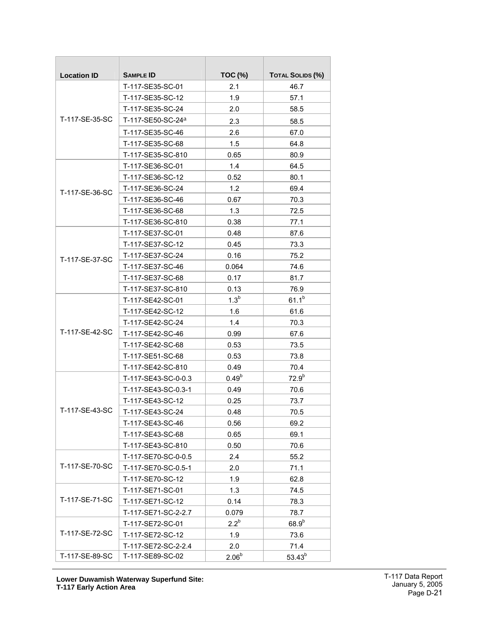| <b>Location ID</b> | <b>SAMPLE ID</b>              | <b>TOC (%)</b>    | <b>TOTAL SOLIDS (%)</b> |  |
|--------------------|-------------------------------|-------------------|-------------------------|--|
|                    | T-117-SE35-SC-01              | 2.1               | 46.7                    |  |
|                    | T-117-SE35-SC-12              | 1.9               | 57.1                    |  |
|                    | T-117-SE35-SC-24              | 2.0               | 58.5                    |  |
| T-117-SE-35-SC     | T-117-SE50-SC-24 <sup>a</sup> | 2.3               | 58.5                    |  |
|                    | T-117-SE35-SC-46              | 2.6               | 67.0                    |  |
|                    | T-117-SE35-SC-68              | 1.5               | 64.8                    |  |
|                    | T-117-SE35-SC-810             | 0.65              | 80.9                    |  |
|                    | T-117-SE36-SC-01              | 1.4               | 64.5                    |  |
|                    | T-117-SE36-SC-12              | 0.52              | 80.1                    |  |
| T-117-SE-36-SC     | T-117-SE36-SC-24              | 1.2               | 69.4                    |  |
|                    | T-117-SE36-SC-46              | 0.67              | 70.3                    |  |
|                    | T-117-SE36-SC-68              | 1.3               | 72.5                    |  |
|                    | T-117-SE36-SC-810             | 0.38              | 77.1                    |  |
|                    | T-117-SE37-SC-01              | 0.48              | 87.6                    |  |
|                    | T-117-SE37-SC-12              | 0.45              | 73.3                    |  |
| T-117-SE-37-SC     | T-117-SE37-SC-24              | 0.16              | 75.2                    |  |
|                    | T-117-SE37-SC-46              | 0.064             | 74.6                    |  |
|                    | T-117-SE37-SC-68              | 0.17              | 81.7                    |  |
|                    | T-117-SE37-SC-810             | 0.13              | 76.9                    |  |
|                    | T-117-SE42-SC-01              | 1.3 <sup>b</sup>  | $61.1^{b}$              |  |
|                    | T-117-SE42-SC-12              | 1.6               | 61.6                    |  |
|                    | T-117-SE42-SC-24              | 1.4               | 70.3                    |  |
| T-117-SE-42-SC     | T-117-SE42-SC-46              | 0.99              | 67.6                    |  |
|                    | T-117-SE42-SC-68              | 0.53              | 73.5                    |  |
|                    | T-117-SE51-SC-68              | 0.53              | 73.8                    |  |
|                    | T-117-SE42-SC-810             | 0.49              | 70.4                    |  |
|                    | T-117-SE43-SC-0-0.3           | $0.49^{b}$        | $72.9^{b}$              |  |
|                    | T-117-SE43-SC-0.3-1           | 0.49              | 70.6                    |  |
|                    | T-117-SE43-SC-12              | 0.25              | 73.7                    |  |
| T-117-SE-43-SC     | T-117-SE43-SC-24              | 0.48              | 70.5                    |  |
|                    | T-117-SE43-SC-46              | 0.56              | 69.2                    |  |
|                    | T-117-SE43-SC-68              | 0.65              | 69.1                    |  |
|                    | T-117-SE43-SC-810             | 0.50              | 70.6                    |  |
|                    | T-117-SE70-SC-0-0.5           | 2.4               | 55.2                    |  |
| T-117-SE-70-SC     | T-117-SE70-SC-0.5-1           | 2.0               | 71.1                    |  |
|                    | T-117-SE70-SC-12              | 1.9               | 62.8                    |  |
|                    | T-117-SE71-SC-01              | 1.3               | 74.5                    |  |
| T-117-SE-71-SC     | T-117-SE71-SC-12              | 0.14              | 78.3                    |  |
|                    | T-117-SE71-SC-2-2.7           | 0.079             | 78.7                    |  |
|                    | T-117-SE72-SC-01              | $2.2^b$           | $68.9^{b}$              |  |
| T-117-SE-72-SC     | T-117-SE72-SC-12              | 1.9               | 73.6                    |  |
|                    | T-117-SE72-SC-2-2.4           | 2.0               | 71.4                    |  |
| T-117-SE-89-SC     | T-117-SE89-SC-02              | 2.06 <sup>b</sup> | $53.43^{b}$             |  |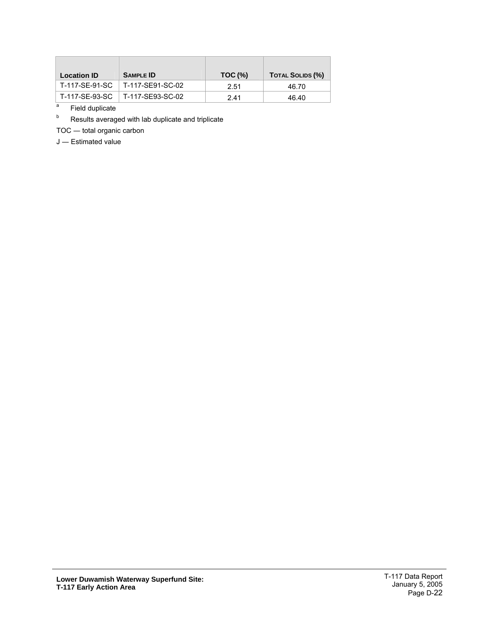| <b>Location ID</b> | <b>SAMPLE ID</b> | $TOC$ (%) | <b>TOTAL SOLIDS (%)</b> |
|--------------------|------------------|-----------|-------------------------|
| T-117-SE-91-SC     | T-117-SE91-SC-02 | 2.51      | 46.70                   |
| T-117-SE-93-SC     | T-117-SE93-SC-02 | 2.41      | 46.40                   |

 $T_a$  Field duplicate

Results averaged with lab duplicate and triplicate

TOC ― total organic carbon

J ― Estimated value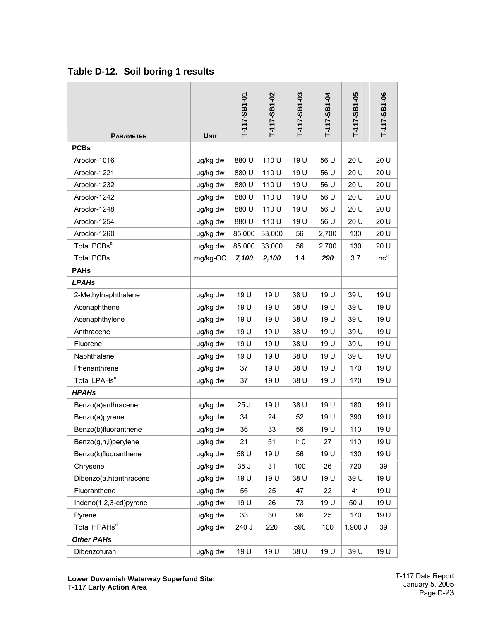| <b>PARAMETER</b>         | <b>UNIT</b> | T-117-SB1-01 | T-117-SB1-02 | T-117-SB1-03 | T-117-SB1-04 | T-117-SB1-05 | T-117-SB1-06    |
|--------------------------|-------------|--------------|--------------|--------------|--------------|--------------|-----------------|
| <b>PCBs</b>              |             |              |              |              |              |              |                 |
| Aroclor-1016             | µg/kg dw    | 880 U        | 110 U        | 19 U         | 56 U         | 20 U         | 20 U            |
| Aroclor-1221             | µg/kg dw    | 880 U        | 110 U        | 19 U         | 56 U         | 20 U         | 20 U            |
| Aroclor-1232             | µg/kg dw    | 880 U        | 110 U        | 19 U         | 56 U         | 20 U         | 20 U            |
| Aroclor-1242             | µg/kg dw    | 880 U        | 110 U        | 19 U         | 56 U         | 20 U         | 20 U            |
| Aroclor-1248             | µg/kg dw    | 880 U        | 110 U        | 19 U         | 56 U         | 20 U         | 20 U            |
| Aroclor-1254             | µg/kg dw    | 880 U        | 110 U        | 19 U         | 56 U         | 20 U         | 20 U            |
| Aroclor-1260             | µg/kg dw    | 85,000       | 33,000       | 56           | 2,700        | 130          | 20 U            |
| Total PCBs <sup>a</sup>  | µg/kg dw    | 85,000       | 33,000       | 56           | 2,700        | 130          | 20 U            |
| <b>Total PCBs</b>        | mg/kg-OC    | 7,100        | 2,100        | 1.4          | 290          | 3.7          | nc <sup>b</sup> |
| <b>PAHs</b>              |             |              |              |              |              |              |                 |
| <b>LPAHs</b>             |             |              |              |              |              |              |                 |
| 2-Methylnaphthalene      | µg/kg dw    | 19 U         | 19 U         | 38 U         | 19 U         | 39 U         | 19 U            |
| Acenaphthene             | µg/kg dw    | 19 U         | 19 U         | 38 U         | 19 U         | 39 U         | 19 U            |
| Acenaphthylene           | µg/kg dw    | 19 U         | 19 U         | 38 U         | 19 U         | 39 U         | 19 U            |
| Anthracene               | µg/kg dw    | 19 U         | 19 U         | 38 U         | 19 U         | 39 U         | 19 U            |
| Fluorene                 | µg/kg dw    | 19 U         | 19 U         | 38 U         | 19 U         | 39 U         | 19 U            |
| Naphthalene              | µg/kg dw    | 19 U         | 19 U         | 38 U         | 19 U         | 39 U         | 19 U            |
| Phenanthrene             | µg/kg dw    | 37           | 19 U         | 38 U         | 19 U         | 170          | 19 U            |
| Total LPAHs <sup>c</sup> | µg/kg dw    | 37           | 19 U         | 38 U         | 19 U         | 170          | 19 U            |
| <b>HPAHs</b>             |             |              |              |              |              |              |                 |
| Benzo(a)anthracene       | µg/kg dw    | 25J          | 19 U         | 38 U         | 19 U         | 180          | 19 U            |
| Benzo(a)pyrene           | µg/kg dw    | 34           | 24           | 52           | 19 U         | 390          | 19 U            |
| Benzo(b)fluoranthene     | µg/kg dw    | 36           | 33           | 56           | 19 U         | 110          | 19 U            |
| Benzo(g,h,i)perylene     | µg/kg dw    | 21           | 51           | 110          | 27           | 110          | 19 U            |
| Benzo(k)fluoranthene     | µg/kg dw    | 58 U         | 19 U         | 56           | 19 U         | 130          | 19 U            |
| Chrysene                 | µg/kg dw    | 35 J         | 31           | 100          | 26           | 720          | 39              |
| Dibenzo(a,h)anthracene   | µg/kg dw    | 19 U         | 19 U         | 38 U         | 19 U         | 39 U         | 19 U            |
| Fluoranthene             | µg/kg dw    | 56           | 25           | 47           | 22           | 41           | 19 U            |
| Indeno(1,2,3-cd)pyrene   | µg/kg dw    | 19 U         | 26           | 73           | 19 U         | 50 J         | 19 U            |
| Pyrene                   | µg/kg dw    | 33           | 30           | 96           | 25           | 170          | 19 U            |
| Total HPAHs <sup>d</sup> | µg/kg dw    | 240 J        | 220          | 590          | 100          | 1,900 J      | 39              |
| <b>Other PAHs</b>        |             |              |              |              |              |              |                 |
| Dibenzofuran             | µg/kg dw    | 19 U         | 19 U         | 38 U         | 19 U         | 39 U         | 19 U            |

### <span id="page-23-0"></span>**Table D-12. Soil boring 1 results**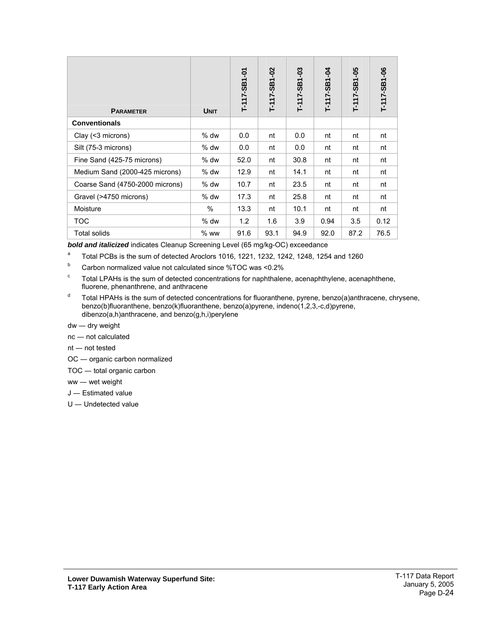| <b>PARAMETER</b>                | <b>UNIT</b> | T-117-SB1-01 | T-117-SB1-02 | ဒို<br>T-1117-SB1 | Þp-<br>$T-117-SB1$ | T-117-SB1-05 | T-117-SB1-06 |
|---------------------------------|-------------|--------------|--------------|-------------------|--------------------|--------------|--------------|
| <b>Conventionals</b>            |             |              |              |                   |                    |              |              |
| Clay (<3 microns)               | $%$ dw      | 0.0          | nt           | 0.0               | nt                 | nt           | nt           |
| Silt (75-3 microns)             | $%$ dw      | 0.0          | nt           | 0.0               | nt                 | nt           | nt           |
| Fine Sand (425-75 microns)      | $%$ dw      | 52.0         | nt           | 30.8              | nt                 | nt           | nt           |
| Medium Sand (2000-425 microns)  | % dw        | 12.9         | nt           | 14.1              | nt                 | nt           | nt           |
| Coarse Sand (4750-2000 microns) | $%$ dw      | 10.7         | nt           | 23.5              | nt                 | nt           | nt           |
| Gravel (>4750 microns)          | $%$ dw      | 17.3         | nt           | 25.8              | nt                 | nt           | nt           |
| Moisture                        | $\%$        | 13.3         | nt           | 10.1              | nt                 | nt           | nt           |
| <b>TOC</b>                      | $%$ dw      | 1.2          | 1.6          | 3.9               | 0.94               | 3.5          | 0.12         |
| Total solids                    | $%$ ww      | 91.6         | 93.1         | 94.9              | 92.0               | 87.2         | 76.5         |

*bold and italicized* indicates Cleanup Screening Level (65 mg/kg-OC) exceedance

- a Total PCBs is the sum of detected Aroclors 1016, 1221, 1232, 1242, 1248, 1254 and 1260
- $b$  Carbon normalized value not calculated since %TOC was <0.2%
- c Total LPAHs is the sum of detected concentrations for naphthalene, acenaphthylene, acenaphthene, fluorene, phenanthrene, and anthracene
- <sup>d</sup> Total HPAHs is the sum of detected concentrations for fluoranthene, pyrene, benzo(a)anthracene, chrysene, benzo(b)fluoranthene, benzo(k)fluoranthene, benzo(a)pyrene, indeno(1,2,3,-c,d)pyrene, dibenzo(a,h)anthracene, and benzo(g,h,i)perylene
- dw ― dry weight
- nc ― not calculated
- nt ― not tested
- OC ― organic carbon normalized
- TOC ― total organic carbon
- ww ― wet weight
- J ― Estimated value
- U ― Undetected value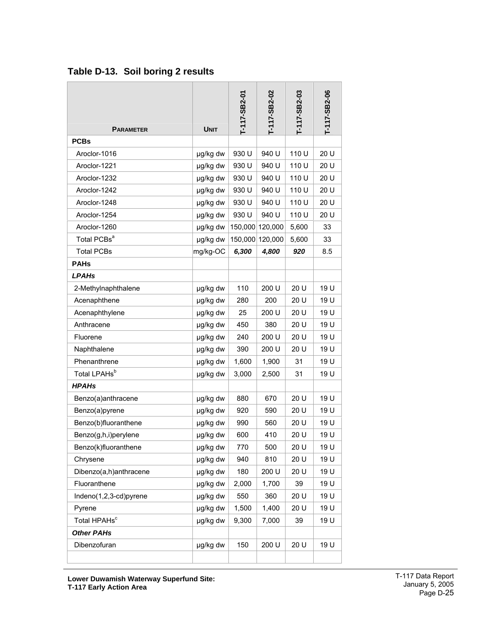| <b>PARAMETER</b>         | <b>UNIT</b> | T-117-SB2-01 | T-117-SB2-02 | T-117-SB2-03 | T-117-SB2-06 |
|--------------------------|-------------|--------------|--------------|--------------|--------------|
| <b>PCBs</b>              |             |              |              |              |              |
| Aroclor-1016             | µg/kg dw    | 930 U        | 940 U        | 110 U        | 20 U         |
| Aroclor-1221             | µg/kg dw    | 930 U        | 940 U        | 110 U        | 20 U         |
| Aroclor-1232             | µg/kg dw    | 930 U        | 940 U        | 110 U        | 20 U         |
| Aroclor-1242             | µg/kg dw    | 930 U        | 940 U        | 110 U        | 20 U         |
| Aroclor-1248             | µg/kg dw    | 930 U        | 940 U        | 110 U        | 20 U         |
| Aroclor-1254             | µg/kg dw    | 930 U        | 940 U        | 110 U        | 20 U         |
| Aroclor-1260             | µg/kg dw    | 150,000      | 120,000      | 5,600        | 33           |
| Total PCBs <sup>a</sup>  | µg/kg dw    | 150,000      | 120,000      | 5,600        | 33           |
| <b>Total PCBs</b>        | mg/kg-OC    | 6,300        | 4,800        | 920          | 8.5          |
| <b>PAHs</b>              |             |              |              |              |              |
| <b>LPAHs</b>             |             |              |              |              |              |
| 2-Methylnaphthalene      | µg/kg dw    | 110          | 200 U        | 20 U         | 19 U         |
| Acenaphthene             | µg/kg dw    | 280          | 200          | 20 U         | 19 U         |
| Acenaphthylene           | µg/kg dw    | 25           | 200 U        | 20 U         | 19 U         |
| Anthracene               | µg/kg dw    | 450          | 380          | 20 U         | 19 U         |
| Fluorene                 | µg/kg dw    | 240          | 200 U        | 20 U         | 19 U         |
| Naphthalene              | µg/kg dw    | 390          | 200 U        | 20 U         | 19 U         |
| Phenanthrene             | µg/kg dw    | 1,600        | 1,900        | 31           | 19 U         |
| Total LPAHs <sup>b</sup> | µg/kg dw    | 3,000        | 2,500        | 31           | 19 U         |
| <b>HPAHs</b>             |             |              |              |              |              |
| Benzo(a)anthracene       | µg/kg dw    | 880          | 670          | 20 U         | 19 U         |
| Benzo(a)pyrene           | µg/kg dw    | 920          | 590          | 20 U         | 19 U         |
| Benzo(b)fluoranthene     | µg/kg dw    | 990          | 560          | 20 U         | 19 U         |
| Benzo(g,h,i)perylene     | µg/kg dw    | 600          | 410          | 20 U         | 19 U         |
| Benzo(k)fluoranthene     | µg/kg dw    | 770          | 500          | 20 U         | 19 U         |
| Chrysene                 | µg/kg dw    | 940          | 810          | 20 U         | 19 U         |
| Dibenzo(a,h)anthracene   | µg/kg dw    | 180          | 200 U        | 20 U         | 19 U         |
| Fluoranthene             | µg/kg dw    | 2,000        | 1,700        | 39           | 19 U         |
| Indeno(1,2,3-cd)pyrene   | µg/kg dw    | 550          | 360          | 20 U         | 19 U         |
| Pyrene                   | µg/kg dw    | 1,500        | 1,400        | 20 U         | 19 U         |
| Total HPAHs <sup>c</sup> | µg/kg dw    | 9,300        | 7,000        | 39           | 19 U         |
| <b>Other PAHs</b>        |             |              |              |              |              |
| Dibenzofuran             | µg/kg dw    | 150          | 200 U        | 20 U         | 19 U         |

<span id="page-25-0"></span>**Table D-13. Soil boring 2 results**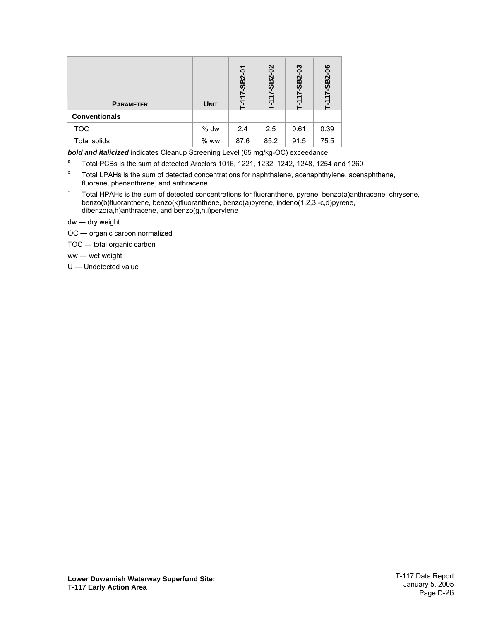| <b>PARAMETER</b>     | <b>UNIT</b> | -SB2-01<br>-117- | $-117 - SB2 - 02$ | ဒို<br>$\overline{B}2$<br>ဖာ | ဧ<br>$17 - SB2 -$ |
|----------------------|-------------|------------------|-------------------|------------------------------|-------------------|
| <b>Conventionals</b> |             |                  |                   |                              |                   |
| <b>TOC</b>           | % dw        | 2.4              | 2.5               | 0.61                         | 0.39              |
| <b>Total solids</b>  | $%$ ww      | 87.6             | 85.2              | 91.5                         | 75.5              |

*bold and italicized* indicates Cleanup Screening Level (65 mg/kg-OC) exceedance

- a Total PCBs is the sum of detected Aroclors 1016, 1221, 1232, 1242, 1248, 1254 and 1260
- <sup>b</sup> Total LPAHs is the sum of detected concentrations for naphthalene, acenaphthylene, acenaphthene, fluorene, phenanthrene, and anthracene
- c Total HPAHs is the sum of detected concentrations for fluoranthene, pyrene, benzo(a)anthracene, chrysene, benzo(b)fluoranthene, benzo(k)fluoranthene, benzo(a)pyrene, indeno(1,2,3,-c,d)pyrene, dibenzo(a,h)anthracene, and benzo(g,h,i)perylene
- dw ― dry weight
- OC ― organic carbon normalized
- TOC ― total organic carbon
- ww ― wet weight
- U ― Undetected value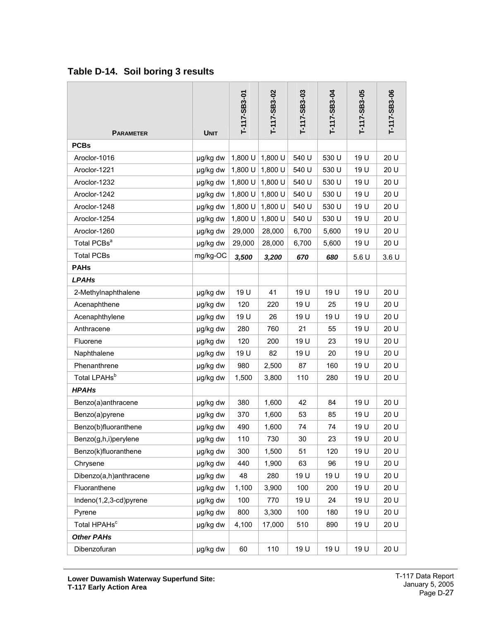|                          |             | T-117-SB3-01 | T-117-SB3-02 | T-117-SB3-03 | T-117-SB3-04 | T-117-SB3-05 | T-117-SB3-06 |
|--------------------------|-------------|--------------|--------------|--------------|--------------|--------------|--------------|
| <b>PARAMETER</b>         | <b>UNIT</b> |              |              |              |              |              |              |
| <b>PCBs</b>              |             |              |              |              |              |              |              |
| Aroclor-1016             | µg/kg dw    | 1,800 U      | 1,800 U      | 540 U        | 530 U        | 19 U         | 20 U         |
| Aroclor-1221             | µg/kg dw    | 1,800 U      | 1,800 U      | 540 U        | 530 U        | 19 U         | 20 U         |
| Aroclor-1232             | µg/kg dw    | 1,800 U      | 1,800 U      | 540 U        | 530 U        | 19 U         | 20 U         |
| Aroclor-1242             | µg/kg dw    | 1,800 U      | 1,800 U      | 540 U        | 530 U        | 19 U         | 20 U         |
| Aroclor-1248             | µg/kg dw    | 1,800 U      | 1,800 U      | 540 U        | 530 U        | 19 U         | 20 U         |
| Aroclor-1254             | µg/kg dw    | 1,800 U      | 1,800 U      | 540 U        | 530 U        | 19 U         | 20 U         |
| Aroclor-1260             | µg/kg dw    | 29,000       | 28,000       | 6,700        | 5,600        | 19 U         | 20 U         |
| Total PCBs <sup>a</sup>  | µg/kg dw    | 29,000       | 28,000       | 6,700        | 5,600        | 19 U         | 20 U         |
| <b>Total PCBs</b>        | mg/kg-OC    | 3,500        | 3,200        | 670          | 680          | 5.6U         | 3.6U         |
| <b>PAHs</b>              |             |              |              |              |              |              |              |
| <b>LPAHs</b>             |             |              |              |              |              |              |              |
| 2-Methylnaphthalene      | µg/kg dw    | 19 U         | 41           | 19 U         | 19 U         | 19 U         | 20 U         |
| Acenaphthene             | µg/kg dw    | 120          | 220          | 19 U         | 25           | 19 U         | 20 U         |
| Acenaphthylene           | µg/kg dw    | 19 U         | 26           | 19 U         | 19 U         | 19 U         | 20 U         |
| Anthracene               | µg/kg dw    | 280          | 760          | 21           | 55           | 19 U         | 20 U         |
| Fluorene                 | µg/kg dw    | 120          | 200          | 19 U         | 23           | 19 U         | 20 U         |
| Naphthalene              | µg/kg dw    | 19 U         | 82           | 19 U         | 20           | 19 U         | 20 U         |
| Phenanthrene             | µg/kg dw    | 980          | 2,500        | 87           | 160          | 19 U         | 20 U         |
| Total LPAHs <sup>b</sup> | µg/kg dw    | 1,500        | 3,800        | 110          | 280          | 19 U         | 20 U         |
| <b>HPAHs</b>             |             |              |              |              |              |              |              |
| Benzo(a)anthracene       | µg/kg dw    | 380          | 1,600        | 42           | 84           | 19 U         | 20 U         |
| Benzo(a)pyrene           | µg/kg dw    | 370          | 1,600        | 53           | 85           | 19 U         | 20 U         |
| Benzo(b)fluoranthene     | µg/kg dw    | 490          | 1,600        | 74           | 74           | 19 U         | 20 U         |
| Benzo(g,h,i)perylene     | µg/kg dw    | 110          | 730          | 30           | 23           | 19 U         | 20 U         |
| Benzo(k)fluoranthene     | µg/kg dw    | 300          | 1,500        | 51           | 120          | 19 U         | 20 U         |
| Chrysene                 | µg/kg dw    | 440          | 1,900        | 63           | 96           | 19 U         | 20 U         |
| Dibenzo(a,h)anthracene   | µg/kg dw    | 48           | 280          | 19 U         | 19 U         | 19 U         | 20 U         |
| Fluoranthene             | µg/kg dw    | 1,100        | 3,900        | 100          | 200          | 19 U         | 20 U         |
| Indeno(1,2,3-cd)pyrene   | µg/kg dw    | 100          | 770          | 19 U         | 24           | 19 U         | 20 U         |
| Pyrene                   | µg/kg dw    | 800          | 3,300        | 100          | 180          | 19 U         | 20 U         |
| Total HPAHs <sup>c</sup> | µg/kg dw    | 4,100        | 17,000       | 510          | 890          | 19 U         | 20 U         |
| <b>Other PAHs</b>        |             |              |              |              |              |              |              |
| Dibenzofuran             | µg/kg dw    | 60           | 110          | 19 U         | 19 U         | 19 U         | 20 U         |

## <span id="page-27-0"></span>**Table D-14. Soil boring 3 results**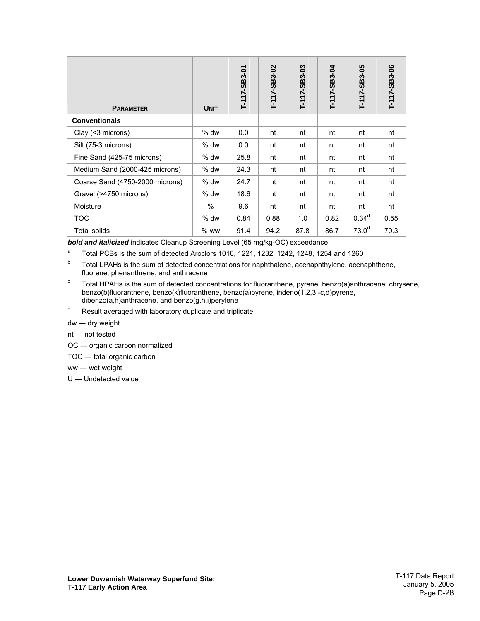| <b>PARAMETER</b>                | <b>UNIT</b> | T-117-SB3-01 | T-117-SB3-02 | T-117-SB3-03 | T-117-SB3-04 | T-117-SB3-05      | T-117-SB3-06 |
|---------------------------------|-------------|--------------|--------------|--------------|--------------|-------------------|--------------|
| <b>Conventionals</b>            |             |              |              |              |              |                   |              |
| Clay (<3 microns)               | $%$ dw      | 0.0          | nt           | nt           | nt           | nt                | nt           |
| Silt (75-3 microns)             | $%$ dw      | 0.0          | nt           | nt           | nt           | nt                | nt           |
| Fine Sand (425-75 microns)      | $%$ dw      | 25.8         | nt           | nt           | nt           | nt                | nt           |
| Medium Sand (2000-425 microns)  | $%$ dw      | 24.3         | nt           | nt           | nt           | nt                | nt           |
| Coarse Sand (4750-2000 microns) | $%$ dw      | 24.7         | nt           | nt           | nt           | nt                | nt           |
| Gravel (>4750 microns)          | $%$ dw      | 18.6         | nt           | nt           | nt           | nt                | nt           |
| Moisture                        | $\%$        | 9.6          | nt           | nt           | nt           | nt                | nt           |
| TOC                             | $%$ dw      | 0.84         | 0.88         | 1.0          | 0.82         | 0.34 <sup>d</sup> | 0.55         |
| Total solids                    | $%$ ww      | 91.4         | 94.2         | 87.8         | 86.7         | 73.0 <sup>d</sup> | 70.3         |

*bold and italicized* indicates Cleanup Screening Level (65 mg/kg-OC) exceedance

a Total PCBs is the sum of detected Aroclors 1016, 1221, 1232, 1242, 1248, 1254 and 1260

- $b$  Total LPAHs is the sum of detected concentrations for naphthalene, acenaphthylene, acenaphthene, fluorene, phenanthrene, and anthracene
- c Total HPAHs is the sum of detected concentrations for fluoranthene, pyrene, benzo(a)anthracene, chrysene, benzo(b)fluoranthene, benzo(k)fluoranthene, benzo(a)pyrene, indeno(1,2,3,-c,d)pyrene, dibenzo(a,h)anthracene, and benzo(g,h,i)perylene
- d Result averaged with laboratory duplicate and triplicate

dw ― dry weight

- nt ― not tested
- OC ― organic carbon normalized
- TOC ― total organic carbon
- ww ― wet weight
- U ― Undetected value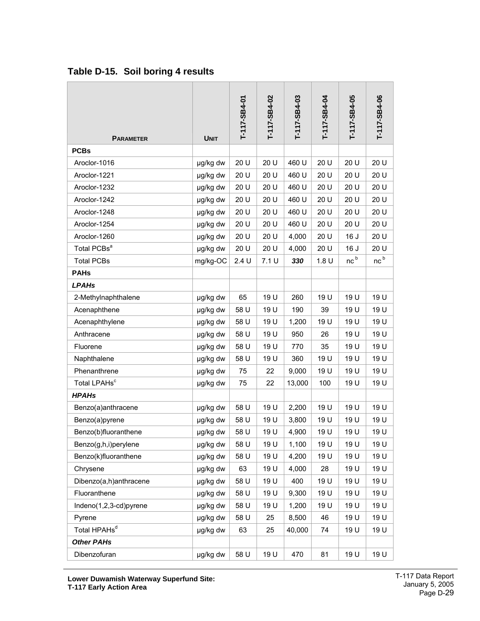| <b>PARAMETER</b>         | <b>UNIT</b> | T-117-SB4-01 | T-117-SB4-02 | T-117-SB4-03 | T-117-SB4-04 | T-117-SB4-05    | T-117-SB4-06    |
|--------------------------|-------------|--------------|--------------|--------------|--------------|-----------------|-----------------|
| <b>PCBs</b>              |             |              |              |              |              |                 |                 |
| Aroclor-1016             | µg/kg dw    | 20 U         | 20 U         | 460 U        | 20 U         | 20 U            | 20 U            |
| Aroclor-1221             | µg/kg dw    | 20 U         | 20 U         | 460 U        | 20 U         | 20 U            | 20 U            |
| Aroclor-1232             | µg/kg dw    | 20 U         | 20 U         | 460 U        | 20 U         | 20 U            | 20 U            |
| Aroclor-1242             | µg/kg dw    | 20 U         | 20 U         | 460 U        | 20 U         | 20 U            | 20 U            |
| Aroclor-1248             | µg/kg dw    | 20 U         | 20 U         | 460 U        | 20 U         | 20 U            | 20 U            |
| Aroclor-1254             | µg/kg dw    | 20 U         | 20 U         | 460 U        | 20 U         | 20 U            | 20 U            |
| Aroclor-1260             | µg/kg dw    | 20 U         | 20 U         | 4,000        | 20 U         | 16J             | 20 U            |
| Total PCBs <sup>a</sup>  | µg/kg dw    | 20 U         | 20 U         | 4,000        | 20 U         | 16 J            | 20 U            |
| <b>Total PCBs</b>        | mg/kg-OC    | 2.4U         | 7.1 U        | 330          | 1.8 U        | nc <sup>b</sup> | nc <sup>b</sup> |
| <b>PAHs</b>              |             |              |              |              |              |                 |                 |
| <b>LPAHs</b>             |             |              |              |              |              |                 |                 |
| 2-Methylnaphthalene      | µg/kg dw    | 65           | 19 U         | 260          | 19U          | 19U             | 19 U            |
| Acenaphthene             | µg/kg dw    | 58 U         | 19 U         | 190          | 39           | 19 U            | 19 U            |
| Acenaphthylene           | µg/kg dw    | 58 U         | 19 U         | 1,200        | 19 U         | 19 U            | 19 U            |
| Anthracene               | µg/kg dw    | 58 U         | 19 U         | 950          | 26           | 19 U            | 19 U            |
| Fluorene                 | µg/kg dw    | 58 U         | 19 U         | 770          | 35           | 19 U            | 19U             |
| Naphthalene              | µg/kg dw    | 58 U         | 19 U         | 360          | 19U          | 19U             | 19 U            |
| Phenanthrene             | µg/kg dw    | 75           | 22           | 9,000        | 19 U         | 19 U            | 19 U            |
| Total LPAHs <sup>c</sup> | µg/kg dw    | 75           | 22           | 13,000       | 100          | 19 U            | 19 U            |
| <b>HPAHs</b>             |             |              |              |              |              |                 |                 |
| Benzo(a)anthracene       | µg/kg dw    | 58 U         | 19 U         | 2,200        | 19 U         | 19 U            | 19 U            |
| Benzo(a)pyrene           | µg/kg dw    | 58 U         | 19 U         | 3,800        | 19 U         | 19 U            | 19 U            |
| Benzo(b)fluoranthene     | µg/kg dw    | 58 U         | 19 U         | 4,900        | 19 U         | 19 U            | 19 U            |
| Benzo(g,h,i)perylene     | µg/kg dw    | 58 U         | 19 U         | 1,100        | 19 U         | 19 U            | 19 U            |
| Benzo(k)fluoranthene     | µg/kg dw    | 58 U         | 19 U         | 4,200        | 19 U         | 19 U            | 19 U            |
| Chrysene                 | µg/kg dw    | 63           | 19 U         | 4,000        | 28           | 19 U            | 19 U            |
| Dibenzo(a,h)anthracene   | µg/kg dw    | 58 U         | 19 U         | 400          | 19 U         | 19 U            | 19 U            |
| Fluoranthene             | µg/kg dw    | 58 U         | 19 U         | 9,300        | 19 U         | 19 U            | 19 U            |
| Indeno(1,2,3-cd)pyrene   | µg/kg dw    | 58 U         | 19 U         | 1,200        | 19 U         | 19 U            | 19 U            |
| Pyrene                   | µg/kg dw    | 58 U         | 25           | 8,500        | 46           | 19 U            | 19 U            |
| Total HPAHs <sup>d</sup> | µg/kg dw    | 63           | 25           | 40,000       | 74           | 19 U            | 19 U            |
| <b>Other PAHs</b>        |             |              |              |              |              |                 |                 |
| Dibenzofuran             | µg/kg dw    | 58 U         | 19 U         | 470          | 81           | 19 U            | 19 U            |

### <span id="page-29-0"></span>**Table D-15. Soil boring 4 results**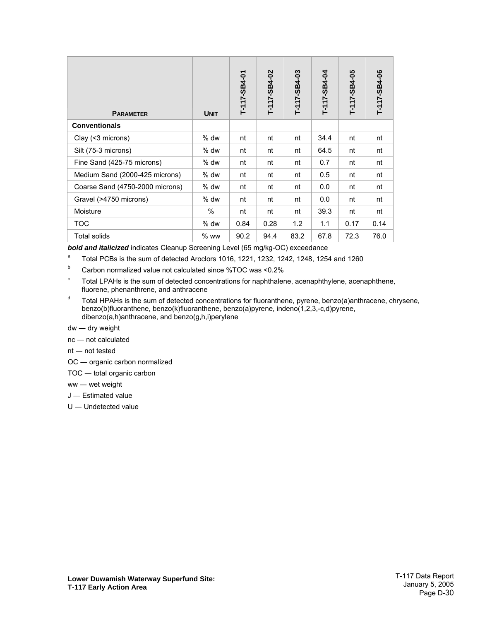| <b>PARAMETER</b>                | <b>UNIT</b> | T-117-SB4-01 | T-117-SB4-02 | T-117-SB4-03 | T-117-SB4-04 | T-117-SB4-05 | T-117-SB4-06 |
|---------------------------------|-------------|--------------|--------------|--------------|--------------|--------------|--------------|
| <b>Conventionals</b>            |             |              |              |              |              |              |              |
| Clay (<3 microns)               | $%$ dw      | nt           | nt           | nt           | 34.4         | nt           | nt           |
| Silt (75-3 microns)             | % dw        | nt           | nt           | nt           | 64.5         | nt           | nt           |
| Fine Sand (425-75 microns)      | $%$ dw      | nt           | nt           | nt           | 0.7          | nt           | nt           |
| Medium Sand (2000-425 microns)  | $%$ dw      | nt           | nt           | nt           | 0.5          | nt           | nt           |
| Coarse Sand (4750-2000 microns) | $%$ dw      | nt           | nt           | nt           | 0.0          | nt           | nt           |
| Gravel (>4750 microns)          | $%$ dw      | nt           | nt           | nt           | 0.0          | nt           | nt           |
| Moisture                        | $\%$        | nt           | nt           | nt           | 39.3         | nt           | nt           |
| <b>TOC</b>                      | $%$ dw      | 0.84         | 0.28         | 1.2          | 1.1          | 0.17         | 0.14         |
| <b>Total solids</b>             | $%$ ww      | 90.2         | 94.4         | 83.2         | 67.8         | 72.3         | 76.0         |

*bold and italicized* indicates Cleanup Screening Level (65 mg/kg-OC) exceedance

- a Total PCBs is the sum of detected Aroclors 1016, 1221, 1232, 1242, 1248, 1254 and 1260
- b Carbon normalized value not calculated since %TOC was <0.2%
- c Total LPAHs is the sum of detected concentrations for naphthalene, acenaphthylene, acenaphthene, fluorene, phenanthrene, and anthracene
- d Total HPAHs is the sum of detected concentrations for fluoranthene, pyrene, benzo(a)anthracene, chrysene, benzo(b)fluoranthene, benzo(k)fluoranthene, benzo(a)pyrene, indeno(1,2,3,-c,d)pyrene, dibenzo(a,h)anthracene, and benzo(g,h,i)perylene
- dw ― dry weight
- nc ― not calculated
- nt ― not tested
- OC ― organic carbon normalized
- TOC ― total organic carbon
- ww ― wet weight
- J ― Estimated value
- U ― Undetected value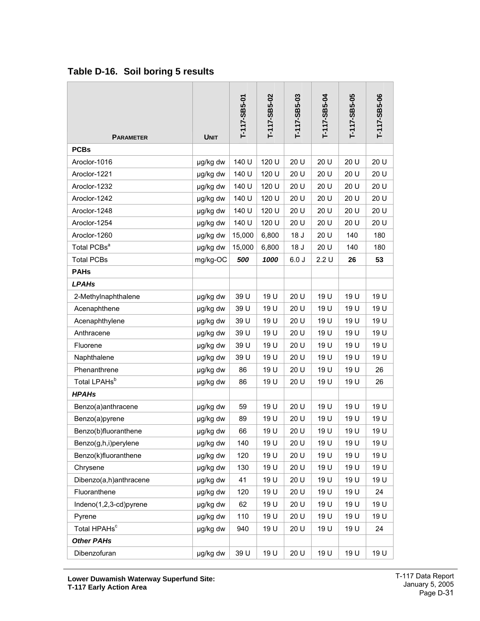| <b>PARAMETER</b>         | <b>UNIT</b> | T-117-SB5-01 | T-117-SB5-02 | T-117-SB5-03 | T-117-SB5-04 | T-117-SB5-05 | T-117-SB5-06 |
|--------------------------|-------------|--------------|--------------|--------------|--------------|--------------|--------------|
| <b>PCBs</b>              |             |              |              |              |              |              |              |
| Aroclor-1016             | µg/kg dw    | 140 U        | 120 U        | 20 U         | 20 U         | 20 U         | 20 U         |
| Aroclor-1221             | µg/kg dw    | 140 U        | 120 U        | 20 U         | 20 U         | 20 U         | 20 U         |
| Aroclor-1232             | µg/kg dw    | 140 U        | 120 U        | 20 U         | 20 U         | 20 U         | 20 U         |
| Aroclor-1242             | µg/kg dw    | 140 U        | 120 U        | 20 U         | 20 U         | 20 U         | 20 U         |
| Aroclor-1248             | µg/kg dw    | 140 U        | 120 U        | 20 U         | 20 U         | 20 U         | 20 U         |
| Aroclor-1254             | µg/kg dw    | 140 U        | 120 U        | 20 U         | 20 U         | 20 U         | 20 U         |
| Aroclor-1260             | µg/kg dw    | 15,000       | 6,800        | 18 J         | 20 U         | 140          | 180          |
| Total PCBs <sup>a</sup>  | µg/kg dw    | 15,000       | 6,800        | 18 J         | 20 U         | 140          | 180          |
| <b>Total PCBs</b>        | mg/kg-OC    | 500          | 1000         | 6.0J         | 2.2U         | 26           | 53           |
| <b>PAHs</b>              |             |              |              |              |              |              |              |
| <b>LPAHs</b>             |             |              |              |              |              |              |              |
| 2-Methylnaphthalene      | µg/kg dw    | 39 U         | 19 U         | 20 U         | 19 U         | 19 U         | 19 U         |
| Acenaphthene             | µg/kg dw    | 39 U         | 19 U         | 20 U         | 19 U         | 19 U         | 19 U         |
| Acenaphthylene           | µg/kg dw    | 39 U         | 19 U         | 20 U         | 19 U         | 19 U         | 19 U         |
| Anthracene               | µg/kg dw    | 39 U         | 19 U         | 20 U         | 19 U         | 19 U         | 19 U         |
| Fluorene                 | µg/kg dw    | 39 U         | 19 U         | 20 U         | 19 U         | 19 U         | 19 U         |
| Naphthalene              | µg/kg dw    | 39 U         | 19 U         | 20 U         | 19 U         | 19 U         | 19 U         |
| Phenanthrene             | µg/kg dw    | 86           | 19 U         | 20 U         | 19 U         | 19 U         | 26           |
| Total LPAHs <sup>b</sup> | µg/kg dw    | 86           | 19 U         | 20 U         | 19 U         | 19 U         | 26           |
| <b>HPAHs</b>             |             |              |              |              |              |              |              |
| Benzo(a)anthracene       | µg/kg dw    | 59           | 19 U         | 20 U         | 19 U         | 19 U         | 19 U         |
| Benzo(a)pyrene           | µg/kg dw    | 89           | 19 U         | 20 U         | 19 U         | 19 U         | 19 U         |
| Benzo(b)fluoranthene     | µg/kg dw    | 66           | 19 U         | 20 U         | 19 U         | 19 U         | 19 U         |
| Benzo(g,h,i)perylene     | µg/kg dw    | 140          | 19 U         | 20 U         | 19 U         | 19 U         | 19 U         |
| Benzo(k)fluoranthene     | µg/kg dw    | 120          | 19 U         | 20 U         | 19 U         | 19 U         | 19 U         |
| Chrysene                 | µg/kg dw    | 130          | 19 U         | 20 U         | 19 U         | 19 U         | 19 U         |
| Dibenzo(a,h)anthracene   | µg/kg dw    | 41           | 19 U         | 20 U         | 19 U         | 19 U         | 19 U         |
| Fluoranthene             | µg/kg dw    | 120          | 19 U         | 20 U         | 19 U         | 19 U         | 24           |
| Indeno(1,2,3-cd)pyrene   | µg/kg dw    | 62           | 19 U         | 20 U         | 19 U         | 19 U         | 19 U         |
| Pyrene                   | µg/kg dw    | 110          | 19 U         | 20 U         | 19 U         | 19 U         | 19 U         |
| Total HPAHs <sup>c</sup> | µg/kg dw    | 940          | 19 U         | 20 U         | 19 U         | 19 U         | 24           |
| <b>Other PAHs</b>        |             |              |              |              |              |              |              |
| Dibenzofuran             | µg/kg dw    | 39 U         | 19 U         | 20 U         | 19 U         | 19 U         | 19 U         |

### <span id="page-31-0"></span>**Table D-16. Soil boring 5 results**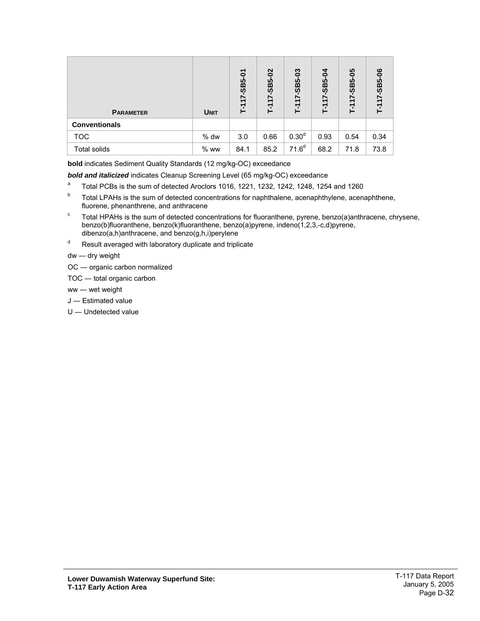| <b>PARAMETER</b>     | <b>UNIT</b> | 0<br>SB5-<br>Ļ. | $\overline{5}$<br>$17 - SBS$<br>F1 | ဠ<br><b>SB5-0</b><br>17. | ທ<br>m<br>ທ | ပ္မွာ<br>က်<br><b>SC</b><br>47<br>고 | T-117-SB5-06 |
|----------------------|-------------|-----------------|------------------------------------|--------------------------|-------------|-------------------------------------|--------------|
| <b>Conventionals</b> |             |                 |                                    |                          |             |                                     |              |
| <b>TOC</b>           | % dw        | 3.0             | 0.66                               | 0.30 <sup>d</sup>        | 0.93        | 0.54                                | 0.34         |
| <b>Total solids</b>  | $%$ ww      | 84.1            | 85.2                               | $71.6^{d}$               | 68.2        | 71.8                                | 73.8         |

**bold** indicates Sediment Quality Standards (12 mg/kg-OC) exceedance

*bold and italicized* indicates Cleanup Screening Level (65 mg/kg-OC) exceedance

- a Total PCBs is the sum of detected Aroclors 1016, 1221, 1232, 1242, 1248, 1254 and 1260
- b Total LPAHs is the sum of detected concentrations for naphthalene, acenaphthylene, acenaphthene, fluorene, phenanthrene, and anthracene
- c Total HPAHs is the sum of detected concentrations for fluoranthene, pyrene, benzo(a)anthracene, chrysene, benzo(b)fluoranthene, benzo(k)fluoranthene, benzo(a)pyrene, indeno(1,2,3,-c,d)pyrene, dibenzo(a,h)anthracene, and benzo(g,h,i)perylene
- d Result averaged with laboratory duplicate and triplicate

dw ― dry weight

- OC ― organic carbon normalized
- TOC ― total organic carbon

ww ― wet weight

- J ― Estimated value
- U ― Undetected value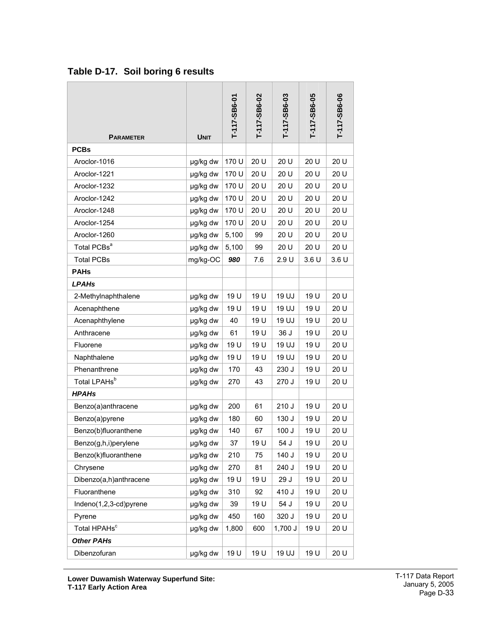| <b>PARAMETER</b>         | <b>UNIT</b> | T-117-SB6-01 | T-117-SB6-02 | T-117-SB6-03 | T-117-SB6-05 | T-117-SB6-06 |
|--------------------------|-------------|--------------|--------------|--------------|--------------|--------------|
| <b>PCBs</b>              |             |              |              |              |              |              |
| Aroclor-1016             | µg/kg dw    | 170 U        | 20 U         | 20 U         | 20 U         | 20 U         |
| Aroclor-1221             | µg/kg dw    | 170 U        | 20 U         | 20 U         | 20 U         | 20 U         |
| Aroclor-1232             | µg/kg dw    | 170 U        | 20 U         | 20 U         | 20 U         | 20 U         |
| Aroclor-1242             | µg/kg dw    | 170 U        | 20 U         | 20 U         | 20 U         | 20 U         |
| Aroclor-1248             | µg/kg dw    | 170 U        | 20 U         | 20 U         | 20 U         | 20 U         |
| Aroclor-1254             | µg/kg dw    | 170 U        | 20 U         | 20 U         | 20 U         | 20 U         |
| Aroclor-1260             | µg/kg dw    | 5,100        | 99           | 20 U         | 20 U         | 20 U         |
| Total PCBs <sup>a</sup>  | µg/kg dw    | 5,100        | 99           | 20 U         | 20 U         | 20 U         |
| <b>Total PCBs</b>        | mg/kg-OC    | 980          | 7.6          | 2.9U         | 3.6U         | 3.6U         |
| <b>PAHs</b>              |             |              |              |              |              |              |
| <b>LPAHs</b>             |             |              |              |              |              |              |
| 2-Methylnaphthalene      | µg/kg dw    | 19 U         | 19 U         | 19 UJ        | 19 U         | 20 U         |
| Acenaphthene             | µg/kg dw    | 19 U         | 19 U         | 19 UJ        | 19 U         | 20 U         |
| Acenaphthylene           | µg/kg dw    | 40           | 19 U         | 19 UJ        | 19 U         | 20 U         |
| Anthracene               | µg/kg dw    | 61           | 19 U         | 36 J         | 19 U         | 20 U         |
| Fluorene                 | µg/kg dw    | 19 U         | 19 U         | 19 UJ        | 19 U         | 20 U         |
| Naphthalene              | µg/kg dw    | 19 U         | 19 U         | 19 UJ        | 19 U         | 20 U         |
| Phenanthrene             | µg/kg dw    | 170          | 43           | 230 J        | 19 U         | 20 U         |
| Total LPAHs <sup>b</sup> | µg/kg dw    | 270          | 43           | 270 J        | 19 U         | 20 U         |
| <b>HPAHs</b>             |             |              |              |              |              |              |
| Benzo(a)anthracene       | µg/kg dw    | 200          | 61           | 210 J        | 19 U         | 20 U         |
| Benzo(a)pyrene           | µg/kg dw    | 180          | 60           | 130 J        | 19 U         | 20 U         |
| Benzo(b)fluoranthene     | µg/kg dw    | 140          | 67           | 100 J        | 19 U         | 20 U         |
| Benzo(g,h,i)perylene     | µg/kg dw    | 37           | 19 U         | 54 J         | 19 U         | 20 U         |
| Benzo(k)fluoranthene     | µg/kg dw    | 210          | 75           | 140 J        | 19 U         | 20 U         |
| Chrysene                 | µg/kg dw    | 270          | 81           | 240 J        | 19 U         | 20 U         |
| Dibenzo(a,h)anthracene   | µg/kg dw    | 19 U         | 19 U         | 29 J         | 19 U         | 20 U         |
| Fluoranthene             | µg/kg dw    | 310          | 92           | 410 J        | 19 U         | 20 U         |
| Indeno(1,2,3-cd)pyrene   | µg/kg dw    | 39           | 19 U         | 54 J         | 19 U         | 20 U         |
| Pyrene                   | µg/kg dw    | 450          | 160          | 320 J        | 19 U         | 20 U         |
| Total HPAHs <sup>c</sup> | µg/kg dw    | 1,800        | 600          | 1,700 J      | 19 U         | 20 U         |
| <b>Other PAHs</b>        |             |              |              |              |              |              |
| Dibenzofuran             | µg/kg dw    | 19 U         | 19 U         | 19 UJ        | 19 U         | 20 U         |

### <span id="page-33-0"></span>**Table D-17. Soil boring 6 results**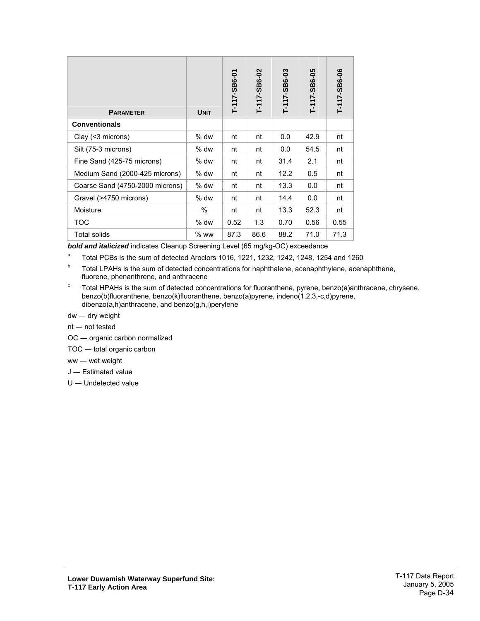| <b>PARAMETER</b>                | <b>UNIT</b> | T-117-SB6-01 | T-117-SB6-02 | T-117-SB6-03 | T-117-SB6-05 | T-117-SB6-06 |
|---------------------------------|-------------|--------------|--------------|--------------|--------------|--------------|
| <b>Conventionals</b>            |             |              |              |              |              |              |
| Clay $($ < 3 microns $)$        | $%$ dw      | nt           | nt           | 0.0          | 42.9         | nt           |
| Silt (75-3 microns)             | $%$ dw      | nt           | nt           | 0.0          | 54.5         | nt           |
| Fine Sand (425-75 microns)      | $%$ dw      | nt           | nt           | 31.4         | 2.1          | nt           |
| Medium Sand (2000-425 microns)  | $%$ dw      | nt           | nt           | 12.2         | 0.5          | nt           |
| Coarse Sand (4750-2000 microns) | $%$ dw      | nt           | nt           | 13.3         | 0.0          | nt           |
| Gravel (>4750 microns)          | $%$ dw      | nt           | nt           | 14.4         | 0.0          | nt           |
| Moisture                        | $\%$        | nt           | nt           | 13.3         | 52.3         | nt           |
| TOC                             | % dw        | 0.52         | 1.3          | 0.70         | 0.56         | 0.55         |
| Total solids                    | $%$ ww      | 87.3         | 86.6         | 88.2         | 71.0         | 71.3         |

*bold and italicized* indicates Cleanup Screening Level (65 mg/kg-OC) exceedance

a Total PCBs is the sum of detected Aroclors 1016, 1221, 1232, 1242, 1248, 1254 and 1260

<sup>b</sup> Total LPAHs is the sum of detected concentrations for naphthalene, acenaphthylene, acenaphthene, fluorene, phenanthrene, and anthracene

c Total HPAHs is the sum of detected concentrations for fluoranthene, pyrene, benzo(a)anthracene, chrysene, benzo(b)fluoranthene, benzo(k)fluoranthene, benzo(a)pyrene, indeno(1,2,3,-c,d)pyrene, dibenzo(a,h)anthracene, and benzo(g,h,i)perylene

dw ― dry weight

nt ― not tested

OC ― organic carbon normalized

TOC ― total organic carbon

ww ― wet weight

J ― Estimated value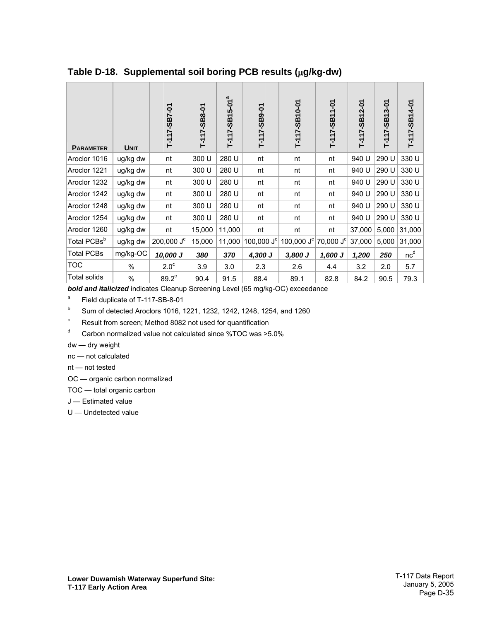| <b>PARAMETER</b>        | <b>UNIT</b> | T-117-SB7-01                   | T-117-SB8-01 | T-117-SB15-01 <sup>ª</sup> | T-117-SB9-01 | T-117-SB10-01 | T-117-SB11-01  | T-117-SB12-01 | $3 - 01$<br>$T-117-SB1$ | T-117-SB14-01   |
|-------------------------|-------------|--------------------------------|--------------|----------------------------|--------------|---------------|----------------|---------------|-------------------------|-----------------|
| Aroclor 1016            | ug/kg dw    | nt                             | 300 U        | 280 U                      | nt           | nt            | nt             | 940 U         | 290 U                   | 330 U           |
| Aroclor 1221            | ug/kg dw    | nt                             | 300 U        | 280 U                      | nt           | nt            | nt             | 940 U         | 290 U                   | 330 U           |
| Aroclor 1232            | ug/kg dw    | nt                             | 300 U        | 280 U                      | nt           | nt            | nt             | 940 U         | 290 U                   | 330 U           |
| Aroclor 1242            | ug/kg dw    | nt                             | 300 U        | 280 U                      | nt           | nt            | nt             | 940 U         | 290 U                   | 330 U           |
| Aroclor 1248            | ug/kg dw    | nt                             | 300 U        | 280 U                      | nt           | nt            | nt             | 940 U         | 290 U                   | 330 U           |
| Aroclor 1254            | ug/kg dw    | nt                             | 300 U        | 280 U                      | nt           | nt            | nt             | 940 U         | 290 U                   | 330 U           |
| Aroclor 1260            | ug/kg dw    | nt                             | 15,000       | 11,000                     | nt           | nt            | nt             | 37,000        | 5,000                   | 31,000          |
| Total PCBs <sup>b</sup> | ug/kg dw    | $200,000 \text{ J}^{\text{c}}$ | 15,000       | 11,000                     | 100,000 $Jc$ | 100,000 $J^c$ | 70,000 $J^{c}$ | 37,000        | 5,000                   | 31,000          |
| <b>Total PCBs</b>       | mg/kg-OC    | 10,000 J                       | 380          | 370                        | 4,300 J      | 3,800 J       | $1,600$ J      | 1,200         | 250                     | nc <sup>d</sup> |
| TOC                     | %           | 2.0 <sup>c</sup>               | 3.9          | 3.0                        | 2.3          | 2.6           | 4.4            | 3.2           | 2.0                     | 5.7             |
| Total solids            | $\%$        | $89.2^c$                       | 90.4         | 91.5                       | 88.4         | 89.1          | 82.8           | 84.2          | 90.5                    | 79.3            |

<span id="page-35-0"></span>**Table D-18. Supplemental soil boring PCB results (**µ**g/kg-dw)** 

*bold and italicized* indicates Cleanup Screening Level (65 mg/kg-OC) exceedance

a Field duplicate of T-117-SB-8-01

<sup>b</sup> Sum of detected Aroclors 1016, 1221, 1232, 1242, 1248, 1254, and 1260

c Result from screen; Method 8082 not used for quantification

d Carbon normalized value not calculated since %TOC was >5.0%

 $dw$  – dry weight

nc - not calculated

 $nt$  – not tested

OC - organic carbon normalized

TOC - total organic carbon

J - Estimated value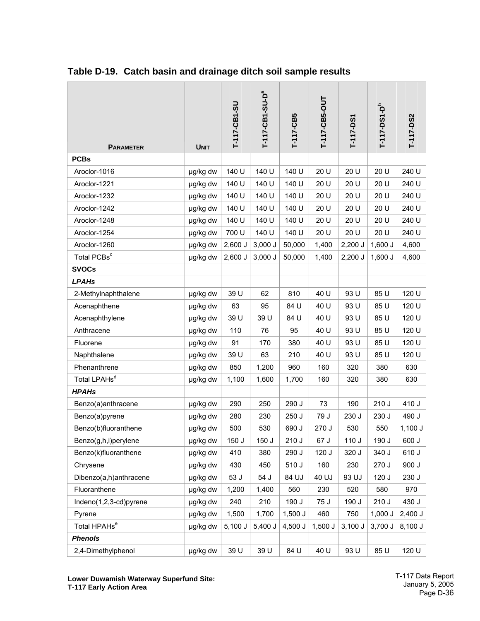|                          |             | T-117-CB1-SU | T-117-CB1-SU-D <sup>a</sup> | T-117-CB5 | T-117-CB5-OUT | T-117-DS1 | T-117-DS1-D <sup>b</sup> | T-117-DS2 |
|--------------------------|-------------|--------------|-----------------------------|-----------|---------------|-----------|--------------------------|-----------|
| <b>PARAMETER</b>         | <b>UNIT</b> |              |                             |           |               |           |                          |           |
| <b>PCBs</b>              |             |              |                             |           |               |           |                          |           |
| Aroclor-1016             | µg/kg dw    | 140 U        | 140 U                       | 140 U     | 20 U          | 20 U      | 20 U                     | 240 U     |
| Aroclor-1221             | µg/kg dw    | 140 U        | 140 U                       | 140 U     | 20 U          | 20 U      | 20 U                     | 240 U     |
| Aroclor-1232             | µg/kg dw    | 140 U        | 140 U                       | 140 U     | 20 U          | 20 U      | 20 U                     | 240 U     |
| Aroclor-1242             | µg/kg dw    | 140 U        | 140 U                       | 140 U     | 20 U          | 20 U      | 20 U                     | 240 U     |
| Aroclor-1248             | µg/kg dw    | 140 U        | 140 U                       | 140 U     | 20 U          | 20 U      | 20 U                     | 240 U     |
| Aroclor-1254             | µg/kg dw    | 700 U        | 140 U                       | 140 U     | 20 U          | 20 U      | 20 U                     | 240 U     |
| Aroclor-1260             | µg/kg dw    | $2,600$ J    | 3,000J                      | 50,000    | 1,400         | $2,200$ J | $1,600$ J                | 4,600     |
| Total PCBs <sup>c</sup>  | µg/kg dw    | 2,600 J      | 3,000J                      | 50,000    | 1,400         | $2,200$ J | $1,600$ J                | 4,600     |
| <b>SVOCs</b>             |             |              |                             |           |               |           |                          |           |
| <b>LPAHs</b>             |             |              |                             |           |               |           |                          |           |
| 2-Methylnaphthalene      | µg/kg dw    | 39 U         | 62                          | 810       | 40 U          | 93 U      | 85 U                     | 120 U     |
| Acenaphthene             | µg/kg dw    | 63           | 95                          | 84 U      | 40 U          | 93 U      | 85 U                     | 120 U     |
| Acenaphthylene           | µg/kg dw    | 39 U         | 39 U                        | 84 U      | 40 U          | 93 U      | 85 U                     | 120 U     |
| Anthracene               | µg/kg dw    | 110          | 76                          | 95        | 40 U          | 93 U      | 85 U                     | 120 U     |
| Fluorene                 | µg/kg dw    | 91           | 170                         | 380       | 40 U          | 93 U      | 85 U                     | 120 U     |
| Naphthalene              | µg/kg dw    | 39 U         | 63                          | 210       | 40 U          | 93 U      | 85 U                     | 120 U     |
| Phenanthrene             | µg/kg dw    | 850          | 1,200                       | 960       | 160           | 320       | 380                      | 630       |
| Total LPAHs <sup>d</sup> | µg/kg dw    | 1,100        | 1,600                       | 1,700     | 160           | 320       | 380                      | 630       |
| <b>HPAHs</b>             |             |              |                             |           |               |           |                          |           |
| Benzo(a)anthracene       | µg/kg dw    | 290          | 250                         | 290 J     | 73            | 190       | 210J                     | 410 J     |
| Benzo(a)pyrene           | µg/kg dw    | 280          | 230                         | 250 J     | 79 J          | 230 J     | 230 J                    | 490 J     |
| Benzo(b)fluoranthene     | µg/kg dw    | 500          | 530                         | 690 J     | 270 J         | 530       | 550                      | $1,100$ J |
| Benzo(g,h,i)perylene     | µg/kg dw    | 150 J        | 150 J                       | 210J      | 67 J          | 110 J     | 190 J                    | 600 J     |
| Benzo(k)fluoranthene     | µg/kg dw    | 410          | 380                         | 290 J     | 120 J         | 320 J     | 340 J                    | 610 J     |
| Chrysene                 | µg/kg dw    | 430          | 450                         | 510 J     | 160           | 230       | 270 J                    | 900 J     |
| Dibenzo(a,h)anthracene   | µg/kg dw    | 53 J         | 54 J                        | 84 UJ     | 40 UJ         | 93 UJ     | 120 J                    | 230 J     |
| Fluoranthene             | µg/kg dw    | 1,200        | 1,400                       | 560       | 230           | 520       | 580                      | 970       |
| Indeno(1,2,3-cd)pyrene   | µg/kg dw    | 240          | 210                         | 190 J     | 75 J          | 190 J     | 210J                     | 430 J     |
| Pyrene                   | µg/kg dw    | 1,500        | 1,700                       | $1,500$ J | 460           | 750       | $1,000$ J                | $2,400$ J |
| Total HPAHs <sup>e</sup> | µg/kg dw    | 5,100J       | 5,400 J                     | $4,500$ J | $1,500$ J     | 3,100J    | 3,700 J                  | 8,100 J   |
| <b>Phenols</b>           |             |              |                             |           |               |           |                          |           |
| 2,4-Dimethylphenol       | µg/kg dw    | 39 U         | 39 U                        | 84 U      | 40 U          | 93 U      | 85 U                     | 120 U     |

### <span id="page-36-0"></span>**Table D-19. Catch basin and drainage ditch soil sample results**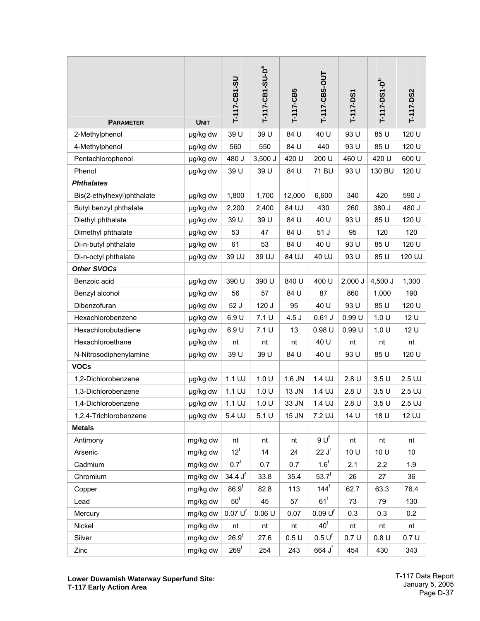| <b>PARAMETER</b>           | <b>UNIT</b> | T-117-CB1-SU        | T-117-CB1-SU-D <sup>a</sup> | T-117-CB5 | T-117-CB5-OUT        | T-117-DS1 | T-117-DS1-D <sup>b</sup> | T-117-DS2 |
|----------------------------|-------------|---------------------|-----------------------------|-----------|----------------------|-----------|--------------------------|-----------|
| 2-Methylphenol             | µg/kg dw    | 39 U                | 39 U                        | 84 U      | 40 U                 | 93 U      | 85 U                     | 120 U     |
| 4-Methylphenol             | µg/kg dw    | 560                 | 550                         | 84 U      | 440                  | 93 U      | 85 U                     | 120 U     |
| Pentachlorophenol          | µg/kg dw    | 480 J               | $3,500$ J                   | 420 U     | 200 U                | 460 U     | 420 U                    | 600 U     |
| Phenol                     | µg/kg dw    | 39 U                | 39 U                        | 84 U      | 71 BU                | 93 U      | 130 BU                   | 120 U     |
| <b>Phthalates</b>          |             |                     |                             |           |                      |           |                          |           |
| Bis(2-ethylhexyl)phthalate | µg/kg dw    | 1,800               | 1,700                       | 12,000    | 6,600                | 340       | 420                      | 590 J     |
| Butyl benzyl phthalate     | µg/kg dw    | 2,200               | 2,400                       | 84 UJ     | 430                  | 260       | 380 J                    | 480 J     |
| Diethyl phthalate          | µg/kg dw    | 39 U                | 39 U                        | 84 U      | 40 U                 | 93 U      | 85 U                     | 120 U     |
| Dimethyl phthalate         | µg/kg dw    | 53                  | 47                          | 84 U      | 51J                  | 95        | 120                      | 120       |
| Di-n-butyl phthalate       | µg/kg dw    | 61                  | 53                          | 84 U      | 40 U                 | 93 U      | 85 U                     | 120 U     |
| Di-n-octyl phthalate       | µg/kg dw    | 39 UJ               | 39 UJ                       | 84 UJ     | 40 UJ                | 93 U      | 85 U                     | 120 UJ    |
| <b>Other SVOCs</b>         |             |                     |                             |           |                      |           |                          |           |
| Benzoic acid               | µg/kg dw    | 390 U               | 390 U                       | 840 U     | 400 U                | $2,000$ J | 4,500 J                  | 1,300     |
| Benzyl alcohol             | µg/kg dw    | 56                  | 57                          | 84 U      | 87                   | 860       | 1,000                    | 190       |
| Dibenzofuran               | µg/kg dw    | 52 J                | 120 J                       | 95        | 40 U                 | 93 U      | 85 U                     | 120 U     |
| Hexachlorobenzene          | µg/kg dw    | 6.9U                | 7.1 U                       | 4.5J      | $0.61$ J             | 0.99U     | 1.0 U                    | 12 U      |
| Hexachlorobutadiene        | µg/kg dw    | 6.9U                | 7.1U                        | 13        | 0.98U                | 0.99U     | 1.0 U                    | 12 U      |
| Hexachloroethane           | µg/kg dw    | nt                  | nt                          | nt        | 40 U                 | nt        | nt                       | nt        |
| N-Nitrosodiphenylamine     | µg/kg dw    | 39 U                | 39 U                        | 84 U      | 40 U                 | 93 U      | 85 U                     | 120 U     |
| <b>VOCs</b>                |             |                     |                             |           |                      |           |                          |           |
| 1,2-Dichlorobenzene        | µg/kg dw    | 1.1 UJ              | 1.0 U                       | 1.6 JN    | 1.4 UJ               | 2.8U      | 3.5U                     | $2.5$ UJ  |
| 1,3-Dichlorobenzene        | µg/kg dw    | $1.1$ UJ            | 1.0 U                       | 13 JN     | 1.4 UJ               | 2.8U      | 3.5U                     | $2.5$ UJ  |
| 1,4-Dichlorobenzene        | µg/kg dw    | $1.1$ UJ            | 1.0 U                       | 33 JN     | 1.4 UJ               | 2.8U      | 3.5U                     | $2.5$ UJ  |
| 1,2,4-Trichlorobenzene     | µg/kg dw    | 5.4 UJ              | 5.1U                        | 15 JN     | 7.2 UJ               | 14 U      | 18 U                     | 12 UJ     |
| <b>Metals</b>              |             |                     |                             |           |                      |           |                          |           |
| Antimony                   | mg/kg dw    | nt                  | nt                          | nt        | $9U^{f}$             | nt        | nt                       | nt        |
| Arsenic                    | mg/kg dw    | $12^f$              | 14                          | 24        | 22 J <sup>f</sup>    | 10 U      | 10 U                     | 10        |
| Cadmium                    | mg/kg dw    | 0.7 <sup>f</sup>    | 0.7                         | 0.7       | 1.6 <sup>f</sup>     | 2.1       | 2.2                      | 1.9       |
| Chromium                   | mg/kg dw    | 34.4J <sup>f</sup>  | 33.8                        | 35.4      | $53.7^{f}$           | 26        | 27                       | 36        |
| Copper                     | mg/kg dw    | 86.9 <sup>f</sup>   | 82.8                        | 113       | $144^{\mathrm{f}}$   | 62.7      | 63.3                     | 76.4      |
| Lead                       | mg/kg dw    | $50^{\circ}$        | 45                          | 57        | $61^f$               | 73        | 79                       | 130       |
| Mercury                    | mg/kg dw    | 0.07 U <sup>f</sup> | 0.06 U                      | 0.07      | 0.09 U <sup>f</sup>  | 0.3       | 0.3                      | 0.2       |
| Nickel                     | mg/kg dw    | nt                  | nt                          | nt        | $40^{\text{f}}$      | nt        | nt                       | nt        |
| Silver                     | mg/kg dw    | 26.9 <sup>f</sup>   | 27.6                        | 0.5U      | 0.5 U <sup>f</sup>   | 0.7U      | 0.8U                     | 0.7U      |
| Zinc                       | mg/kg dw    | 269 <sup>f</sup>    | 254                         | 243       | $664$ J <sup>f</sup> | 454       | 430                      | 343       |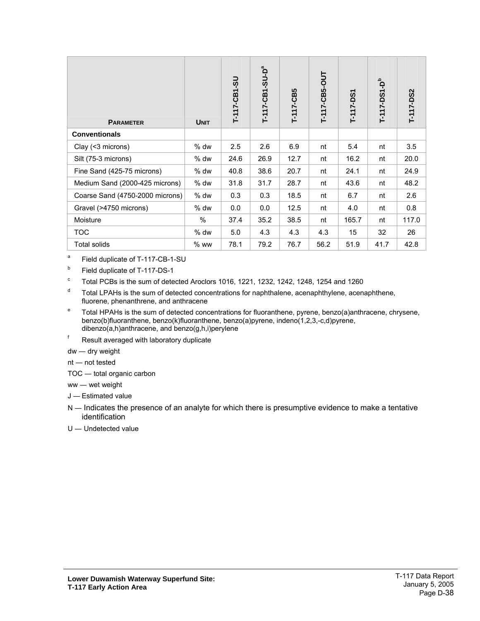| <b>PARAMETER</b>                | <b>UNIT</b> | T-117-CB1-SU | T-117-CB1-SU-D <sup>a</sup> | T-117-CB5 | T-117-CB5-OUT | T-117-DS1 | Ъp<br>T-117-DS1 | T-117-DS2 |
|---------------------------------|-------------|--------------|-----------------------------|-----------|---------------|-----------|-----------------|-----------|
| <b>Conventionals</b>            |             |              |                             |           |               |           |                 |           |
| Clay (<3 microns)               | $%$ dw      | 2.5          | 2.6                         | 6.9       | nt            | 5.4       | nt              | 3.5       |
| Silt (75-3 microns)             | % dw        | 24.6         | 26.9                        | 12.7      | nt            | 16.2      | nt              | 20.0      |
| Fine Sand (425-75 microns)      | $%$ dw      | 40.8         | 38.6                        | 20.7      | nt            | 24.1      | nt              | 24.9      |
| Medium Sand (2000-425 microns)  | $%$ dw      | 31.8         | 31.7                        | 28.7      | nt            | 43.6      | nt              | 48.2      |
| Coarse Sand (4750-2000 microns) | % dw        | 0.3          | 0.3                         | 18.5      | nt            | 6.7       | nt              | 2.6       |
| Gravel (>4750 microns)          | $%$ dw      | 0.0          | 0.0                         | 12.5      | nt            | 4.0       | nt              | 0.8       |
| Moisture                        | %           | 37.4         | 35.2                        | 38.5      | nt            | 165.7     | nt              | 117.0     |
| TOC                             | $%$ dw      | 5.0          | 4.3                         | 4.3       | 4.3           | 15        | 32              | 26        |
| Total solids                    | $%$ ww      | 78.1         | 79.2                        | 76.7      | 56.2          | 51.9      | 41.7            | 42.8      |

a Field duplicate of T-117-CB-1-SU

b Field duplicate of T-117-DS-1

c Total PCBs is the sum of detected Aroclors 1016, 1221, 1232, 1242, 1248, 1254 and 1260

- d Total LPAHs is the sum of detected concentrations for naphthalene, acenaphthylene, acenaphthene, fluorene, phenanthrene, and anthracene
- e Total HPAHs is the sum of detected concentrations for fluoranthene, pyrene, benzo(a)anthracene, chrysene, benzo(b)fluoranthene, benzo(k)fluoranthene, benzo(a)pyrene, indeno(1,2,3,-c,d)pyrene, dibenzo(a,h)anthracene, and benzo(g,h,i)perylene
- f Result averaged with laboratory duplicate

dw ― dry weight

nt ― not tested

- TOC ― total organic carbon
- ww ― wet weight

J ― Estimated value

- N Indicates the presence of an analyte for which there is presumptive evidence to make a tentative identification
- U ― Undetected value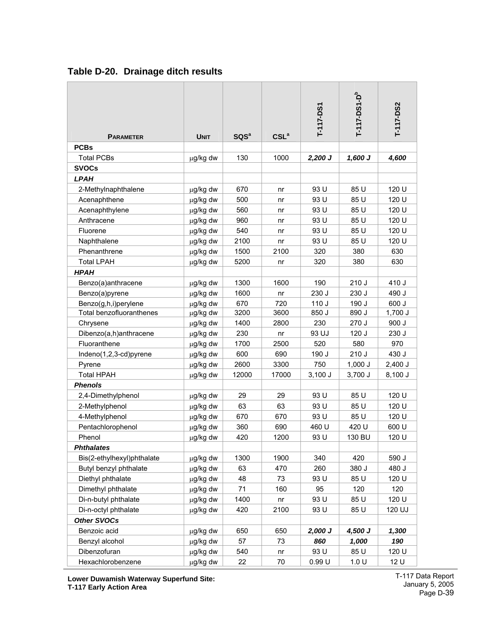| <b>PARAMETER</b>           | <b>UNIT</b> | SQS <sup>a</sup> | CSL <sup>a</sup> | T-117-DS1 | T-117-DS1-D <sup>b</sup> | T-117-DS2 |
|----------------------------|-------------|------------------|------------------|-----------|--------------------------|-----------|
| <b>PCBs</b>                |             |                  |                  |           |                          |           |
| <b>Total PCBs</b>          | µg/kg dw    | 130              | 1000             | $2,200$ J | $1,600$ J                | 4,600     |
| <b>SVOCs</b>               |             |                  |                  |           |                          |           |
| <b>LPAH</b>                |             |                  |                  |           |                          |           |
| 2-Methylnaphthalene        | µg/kg dw    | 670              | nr               | 93 U      | 85 U                     | 120 U     |
| Acenaphthene               | µg/kg dw    | 500              | nr               | 93 U      | 85 U                     | 120 U     |
| Acenaphthylene             | µg/kg dw    | 560              | nr               | 93 U      | 85 U                     | 120 U     |
| Anthracene                 | µg/kg dw    | 960              | nr               | 93 U      | 85 U                     | 120 U     |
| Fluorene                   | µg/kg dw    | 540              | nr               | 93 U      | 85 U                     | 120 U     |
| Naphthalene                | µg/kg dw    | 2100             | nr               | 93 U      | 85 U                     | 120 U     |
| Phenanthrene               | µg/kg dw    | 1500             | 2100             | 320       | 380                      | 630       |
| <b>Total LPAH</b>          | µg/kg dw    | 5200             | nr               | 320       | 380                      | 630       |
| <b>HPAH</b>                |             |                  |                  |           |                          |           |
| Benzo(a)anthracene         | µg/kg dw    | 1300             | 1600             | 190       | 210 J                    | 410 J     |
| Benzo(a)pyrene             | µg/kg dw    | 1600             | nr               | 230 J     | 230 J                    | 490 J     |
| Benzo(g,h,i)perylene       | µg/kg dw    | 670              | 720              | 110J      | 190 J                    | 600 J     |
| Total benzofluoranthenes   | µg/kg dw    | 3200             | 3600             | 850 J     | 890 J                    | $1,700$ J |
| Chrysene                   | µg/kg dw    | 1400             | 2800             | 230       | 270 J                    | 900 J     |
| Dibenzo(a,h)anthracene     | µg/kg dw    | 230              | nr               | 93 UJ     | 120J                     | 230 J     |
| Fluoranthene               | µg/kg dw    | 1700             | 2500             | 520       | 580                      | 970       |
| Indeno(1,2,3-cd)pyrene     | µg/kg dw    | 600              | 690              | 190 J     | 210 J                    | 430 J     |
| Pyrene                     | µg/kg dw    | 2600             | 3300             | 750       | $1,000$ J                | $2,400$ J |
| <b>Total HPAH</b>          | µg/kg dw    | 12000            | 17000            | $3,100$ J | 3,700 J                  | 8,100 J   |
| <b>Phenols</b>             |             |                  |                  |           |                          |           |
| 2,4-Dimethylphenol         | µg/kg dw    | 29               | 29               | 93 U      | 85 U                     | 120 U     |
| 2-Methylphenol             | µg/kg dw    | 63               | 63               | 93 U      | 85 U                     | 120 U     |
| 4-Methylphenol             | µg/kg dw    | 670              | 670              | 93 U      | 85 U                     | 120 U     |
| Pentachlorophenol          | µg/kg dw    | 360              | 690              | 460 U     | 420 U                    | 600 U     |
| Phenol                     | µg/kg dw    | 420              | 1200             | 93 U      | 130 BU                   | 120 U     |
| <b>Phthalates</b>          |             |                  |                  |           |                          |           |
| Bis(2-ethylhexyl)phthalate | µg/kg dw    | 1300             | 1900             | 340       | 420                      | 590 J     |
| Butyl benzyl phthalate     | µg/kg dw    | 63               | 470              | 260       | 380 J                    | 480 J     |
| Diethyl phthalate          | µg/kg dw    | 48               | 73               | 93 U      | 85 U                     | 120 U     |
| Dimethyl phthalate         | µg/kg dw    | 71               | 160              | 95        | 120                      | 120       |
| Di-n-butyl phthalate       | µg/kg dw    | 1400             | n <sub>r</sub>   | 93 U      | 85 U                     | 120 U     |
| Di-n-octyl phthalate       | µg/kg dw    | 420              | 2100             | 93 U      | 85 U                     | 120 UJ    |
| <b>Other SVOCs</b>         |             |                  |                  |           |                          |           |
| Benzoic acid               | µg/kg dw    | 650              | 650              | $2,000$ J | 4,500 J                  | 1,300     |
| Benzyl alcohol             | µg/kg dw    | 57               | 73               | 860       | 1,000                    | 190       |
| Dibenzofuran               | µg/kg dw    | 540              | n <sub>r</sub>   | 93 U      | 85 U                     | 120 U     |
| Hexachlorobenzene          | µg/kg dw    | 22               | 70               | 0.99U     | 1.0 U                    | 12 U      |

# <span id="page-39-0"></span>**Table D-20. Drainage ditch results**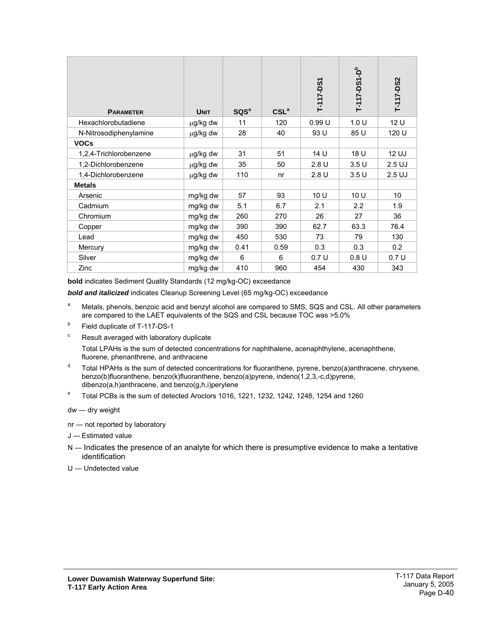| <b>PARAMETER</b>       | <b>UNIT</b> | SQS <sup>a</sup> | CSL <sup>a</sup> | T-117-DS1 | T-117-DS1-D <sup>b</sup> | T-117-DS2 |
|------------------------|-------------|------------------|------------------|-----------|--------------------------|-----------|
| Hexachlorobutadiene    | µg/kg dw    | 11               | 120              | 0.99U     | 1.0 U                    | 12 U      |
| N-Nitrosodiphenylamine | µg/kg dw    | 28               | 40               | 93 U      | 85 U                     | 120 U     |
| <b>VOCs</b>            |             |                  |                  |           |                          |           |
| 1,2,4-Trichlorobenzene | µg/kg dw    | 31               | 51               | 14 U      | 18 U                     | 12 UJ     |
| 1,2-Dichlorobenzene    | µg/kg dw    | 35               | 50               | 2.8U      | 3.5U                     | $2.5$ UJ  |
| 1,4-Dichlorobenzene    | µg/kg dw    | 110              | n <sub>r</sub>   | 2.8U      | 3.5U                     | $2.5$ UJ  |
| <b>Metals</b>          |             |                  |                  |           |                          |           |
| Arsenic                | mg/kg dw    | 57               | 93               | 10 U      | 10 U                     | 10        |
| Cadmium                | mg/kg dw    | 5.1              | 6.7              | 2.1       | 2.2                      | 1.9       |
| Chromium               | mg/kg dw    | 260              | 270              | 26        | 27                       | 36        |
| Copper                 | mg/kg dw    | 390              | 390              | 62.7      | 63.3                     | 76.4      |
| Lead                   | mg/kg dw    | 450              | 530              | 73        | 79                       | 130       |
| Mercury                | mg/kg dw    | 0.41             | 0.59             | 0.3       | 0.3                      | 0.2       |
| Silver                 | mg/kg dw    | 6                | 6                | 0.7U      | 0.8 U                    | 0.7 U     |
| Zinc                   | mg/kg dw    | 410              | 960              | 454       | 430                      | 343       |

**bold** indicates Sediment Quality Standards (12 mg/kg-OC) exceedance

*bold and italicized* indicates Cleanup Screening Level (65 mg/kg-OC) exceedance

- a Metals, phenols, benzoic acid and benzyl alcohol are compared to SMS, SQS and CSL. All other parameters are compared to the LAET equivalents of the SQS and CSL because TOC was >5.0%
- b Field duplicate of T-117-DS-1
- c Result averaged with laboratory duplicate

 Total LPAHs is the sum of detected concentrations for naphthalene, acenaphthylene, acenaphthene, fluorene, phenanthrene, and anthracene

- d Total HPAHs is the sum of detected concentrations for fluoranthene, pyrene, benzo(a)anthracene, chrysene, benzo(b)fluoranthene, benzo(k)fluoranthene, benzo(a)pyrene, indeno(1,2,3,-c,d)pyrene, dibenzo(a,h)anthracene, and benzo(g,h,i)perylene
- e Total PCBs is the sum of detected Aroclors 1016, 1221, 1232, 1242, 1248, 1254 and 1260

dw ― dry weight

- nr ― not reported by laboratory
- J ― Estimated value
- N Indicates the presence of an analyte for which there is presumptive evidence to make a tentative identification
- U ― Undetected value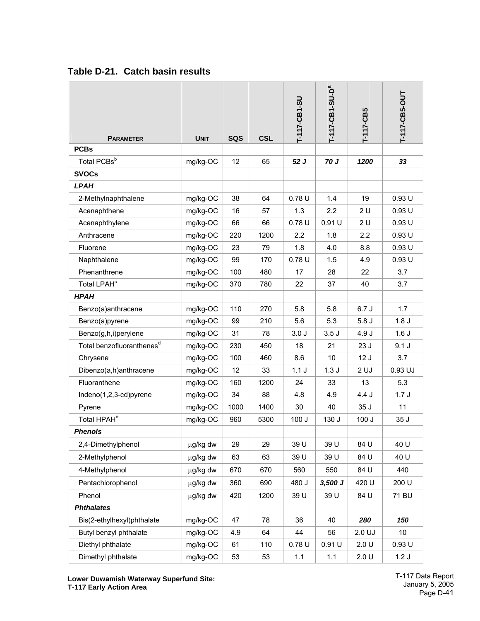| <b>PARAMETER</b>                      | <b>UNIT</b> | <b>SQS</b> | <b>CSL</b> | T-117-CB1-SU | T-117-CB1-SU-D <sup>a</sup> | $-117 - CB5$ | T-117-CB5-OUT    |
|---------------------------------------|-------------|------------|------------|--------------|-----------------------------|--------------|------------------|
| <b>PCBs</b>                           |             |            |            |              |                             |              |                  |
| Total PCBsb                           | mg/kg-OC    | 12         | 65         | 52 J         | 70 J                        | 1200         | 33               |
| <b>SVOCs</b>                          |             |            |            |              |                             |              |                  |
| <b>LPAH</b>                           |             |            |            |              |                             |              |                  |
| 2-Methylnaphthalene                   | mg/kg-OC    | 38         | 64         | 0.78U        | 1.4                         | 19           | 0.93U            |
| Acenaphthene                          | mg/kg-OC    | 16         | 57         | 1.3          | 2.2                         | 2 U          | 0.93U            |
| Acenaphthylene                        | mg/kg-OC    | 66         | 66         | 0.78U        | 0.91 U                      | 2 U          | 0.93U            |
| Anthracene                            | mg/kg-OC    | 220        | 1200       | 2.2          | 1.8                         | 2.2          | 0.93U            |
| Fluorene                              | mg/kg-OC    | 23         | 79         | 1.8          | 4.0                         | 8.8          | 0.93U            |
| Naphthalene                           | mg/kg-OC    | 99         | 170        | 0.78U        | 1.5                         | 4.9          | 0.93U            |
| Phenanthrene                          | mg/kg-OC    | 100        | 480        | 17           | 28                          | 22           | 3.7              |
| Total LPAH <sup>c</sup>               | mg/kg-OC    | 370        | 780        | 22           | 37                          | 40           | 3.7              |
| <b>HPAH</b>                           |             |            |            |              |                             |              |                  |
| Benzo(a)anthracene                    | mg/kg-OC    | 110        | 270        | 5.8          | 5.8                         | 6.7J         | 1.7              |
| Benzo(a)pyrene                        | mg/kg-OC    | 99         | 210        | 5.6          | 5.3                         | 5.8J         | 1.8 <sub>J</sub> |
| Benzo(g,h,i)perylene                  | mg/kg-OC    | 31         | 78         | 3.0J         | 3.5J                        | 4.9 J        | 1.6J             |
| Total benzofluoranthenes <sup>d</sup> | mg/kg-OC    | 230        | 450        | 18           | 21                          | 23J          | 9.1J             |
| Chrysene                              | mg/kg-OC    | 100        | 460        | 8.6          | 10                          | 12J          | 3.7              |
| Dibenzo(a,h)anthracene                | mg/kg-OC    | 12         | 33         | 1.1J         | 1.3J                        | 2 UJ         | 0.93 UJ          |
| Fluoranthene                          | mg/kg-OC    | 160        | 1200       | 24           | 33                          | 13           | 5.3              |
| Indeno(1,2,3-cd)pyrene                | mg/kg-OC    | 34         | 88         | 4.8          | 4.9                         | 4.4 J        | 1.7J             |
| Pyrene                                | mg/kg-OC    | 1000       | 1400       | 30           | 40                          | 35 J         | 11               |
| Total HPAH <sup>e</sup>               | mg/kg-OC    | 960        | 5300       | 100J         | 130 J                       | 100J         | 35 J             |
| <b>Phenols</b>                        |             |            |            |              |                             |              |                  |
| 2,4-Dimethylphenol                    | µg/kg dw    | 29         | 29         | 39 U         | 39 U                        | 84 U         | 40 U             |
| 2-Methylphenol                        | µg/kg dw    | 63         | 63         | 39 U         | 39 U                        | 84 U         | 40 U             |
| 4-Methylphenol                        | µg/kg dw    | 670        | 670        | 560          | 550                         | 84 U         | 440              |
| Pentachlorophenol                     | µg/kg dw    | 360        | 690        | 480 J        | $3,500$ J                   | 420 U        | 200 U            |
| Phenol                                | µg/kg dw    | 420        | 1200       | 39 U         | 39 U                        | 84 U         | 71 BU            |
| <b>Phthalates</b>                     |             |            |            |              |                             |              |                  |
| Bis(2-ethylhexyl)phthalate            | mg/kg-OC    | 47         | 78         | 36           | 40                          | 280          | 150              |
| Butyl benzyl phthalate                | mg/kg-OC    | 4.9        | 64         | 44           | 56                          | 2.0 UJ       | 10               |
| Diethyl phthalate                     | mg/kg-OC    | 61         | 110        | 0.78U        | 0.91 U                      | 2.0 U        | 0.93U            |
| Dimethyl phthalate                    | mg/kg-OC    | 53         | 53         | 1.1          | 1.1                         | 2.0 U        | 1.2J             |

### <span id="page-41-0"></span>**Table D-21. Catch basin results**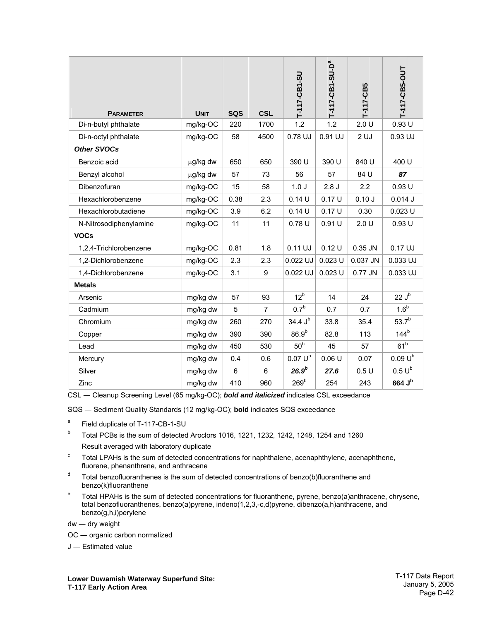| <b>PARAMETER</b>       | <b>UNIT</b> | <b>SQS</b>     | <b>CSL</b>     | T-117-CB1-SU        | T-117-CB1-SU-D <sup>a</sup> | $T-117-CB5$     | T-117-CB5-OUT     |
|------------------------|-------------|----------------|----------------|---------------------|-----------------------------|-----------------|-------------------|
| Di-n-butyl phthalate   | mg/kg-OC    | 220            | 1700           | 1.2                 | 1.2                         | 2.0 U           | 0.93U             |
| Di-n-octyl phthalate   | mg/kg-OC    | 58             | 4500           | 0.78 UJ             | 0.91 UJ                     | 2 <sub>UJ</sub> | 0.93 UJ           |
| <b>Other SVOCs</b>     |             |                |                |                     |                             |                 |                   |
| Benzoic acid           | µg/kg dw    | 650            | 650            | 390 U               | 390 U                       | 840 U           | 400 U             |
| Benzyl alcohol         | µg/kg dw    | 57             | 73             | 56                  | 57                          | 84 U            | 87                |
| Dibenzofuran           | mg/kg-OC    | 15             | 58             | 1.0J                | 2.8J                        | 2.2             | 0.93U             |
| Hexachlorobenzene      | mg/kg-OC    | 0.38           | 2.3            | 0.14U               | 0.17U                       | 0.10J           | 0.014J            |
| Hexachlorobutadiene    | mg/kg-OC    | 3.9            | 6.2            | 0.14U               | 0.17U                       | 0.30            | $0.023$ U         |
| N-Nitrosodiphenylamine | mg/kg-OC    | 11             | 11             | 0.78U               | 0.91U                       | 2.0 U           | 0.93U             |
| <b>VOCs</b>            |             |                |                |                     |                             |                 |                   |
| 1,2,4-Trichlorobenzene | mg/kg-OC    | 0.81           | 1.8            | 0.11 UJ             | 0.12U                       | 0.35 JN         | 0.17 UJ           |
| 1,2-Dichlorobenzene    | mg/kg-OC    | 2.3            | 2.3            | 0.022 UJ            | $0.023$ U                   | 0.037 JN        | 0.033 UJ          |
| 1,4-Dichlorobenzene    | mg/kg-OC    | 3.1            | 9              | 0.022 UJ            | $0.023$ U                   | 0.77 JN         | 0.033 UJ          |
| <b>Metals</b>          |             |                |                |                     |                             |                 |                   |
| Arsenic                | mg/kg dw    | 57             | 93             | 12 <sup>b</sup>     | 14                          | 24              | $22 J^b$          |
| Cadmium                | mg/kg dw    | 5              | $\overline{7}$ | 0.7 <sup>b</sup>    | 0.7                         | 0.7             | 1.6 <sup>b</sup>  |
| Chromium               | mg/kg dw    | 260            | 270            | 34.4 J <sup>b</sup> | 33.8                        | 35.4            | 53.7 <sup>b</sup> |
| Copper                 | mg/kg dw    | 390            | 390            | 86.9 <sup>b</sup>   | 82.8                        | 113             | 144 <sup>b</sup>  |
| Lead                   | mg/kg dw    | 450            | 530            | 50 <sup>b</sup>     | 45                          | 57              | 61 <sup>b</sup>   |
| Mercury                | mg/kg dw    | 0.4            | 0.6            | $0.07 U^b$          | 0.06U                       | 0.07            | $0.09 U^b$        |
| Silver                 | mg/kg dw    | $6\phantom{1}$ | 6              | 26.9 <sup>b</sup>   | 27.6                        | 0.5U            | $0.5 U^b$         |
| Zinc                   | mg/kg dw    | 410            | 960            | 269 <sup>b</sup>    | 254                         | 243             | 664 Jb            |

CSL ― Cleanup Screening Level (65 mg/kg-OC); *bold and italicized* indicates CSL exceedance

SQS ― Sediment Quality Standards (12 mg/kg-OC); **bold** indicates SQS exceedance

- a Field duplicate of T-117-CB-1-SU
- b Total PCBs is the sum of detected Aroclors 1016, 1221, 1232, 1242, 1248, 1254 and 1260 Result averaged with laboratory duplicate
- c Total LPAHs is the sum of detected concentrations for naphthalene, acenaphthylene, acenaphthene, fluorene, phenanthrene, and anthracene
- $d$  Total benzofluoranthenes is the sum of detected concentrations of benzo(b)fluoranthene and benzo(k)fluoranthene
- e Total HPAHs is the sum of detected concentrations for fluoranthene, pyrene, benzo(a)anthracene, chrysene, total benzofluoranthenes, benzo(a)pyrene, indeno(1,2,3,-c,d)pyrene, dibenzo(a,h)anthracene, and benzo(g,h,i)perylene

dw ― dry weight

OC ― organic carbon normalized

J ― Estimated value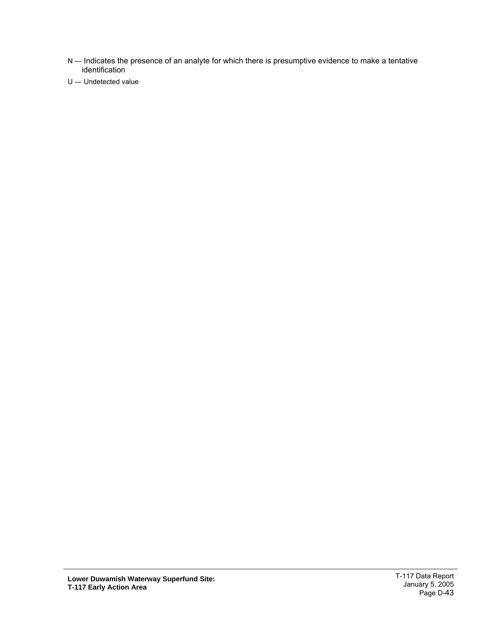- N Indicates the presence of an analyte for which there is presumptive evidence to make a tentative identification
- U ― Undetected value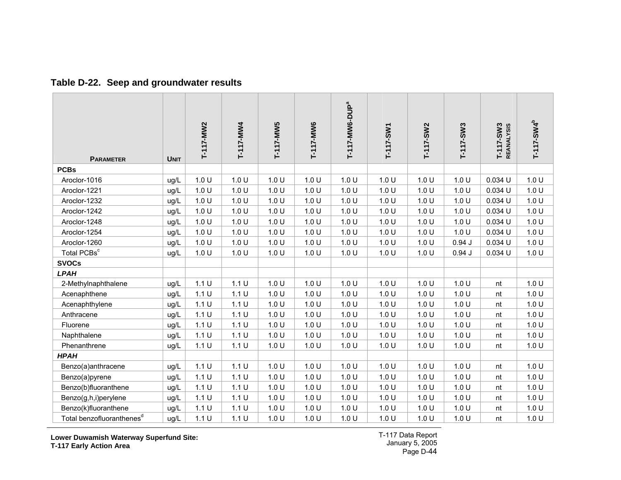#### **Table D-22. Seep and groundwater results**

| <b>PARAMETER</b>                      | <b>UNIT</b> | T-117-MW2 | T-117-MW4 | T-117-MW5 | T-117-MW6 | T-117-MW6-DUP <sup>a</sup> | T-117-SW1 | T-117-SW2 | $T-117-SW3$ | T-117-SW3<br>REANALYSIS | T-117-SW4 <sup>b</sup> |
|---------------------------------------|-------------|-----------|-----------|-----------|-----------|----------------------------|-----------|-----------|-------------|-------------------------|------------------------|
| <b>PCBs</b>                           |             |           |           |           |           |                            |           |           |             |                         |                        |
| Aroclor-1016                          | ug/L        | 1.0 U     | 1.0 U     | 1.0 U     | 1.0 U     | 1.0 U                      | 1.0 U     | 1.0 U     | 1.0 U       | 0.034 U                 | 1.0 U                  |
| Aroclor-1221                          | ug/L        | 1.0 U     | 1.0 U     | 1.0 U     | 1.0 U     | 1.0 U                      | 1.0 U     | 1.0 U     | 1.0 U       | 0.034 U                 | 1.0 U                  |
| Aroclor-1232                          | ug/L        | 1.0 U     | 1.0 U     | 1.0 U     | 1.0 U     | 1.0 U                      | 1.0 U     | 1.0 U     | 1.0 U       | $0.034$ U               | 1.0 U                  |
| Aroclor-1242                          | ug/L        | 1.0 U     | 1.0 U     | 1.0 U     | 1.0 U     | 1.0 U                      | 1.0 U     | 1.0 U     | 1.0 U       | 0.034 U                 | 1.0 U                  |
| Aroclor-1248                          | ug/L        | 1.0 U     | 1.0 U     | 1.0 U     | 1.0 U     | 1.0 U                      | 1.0 U     | 1.0 U     | 1.0 U       | 0.034 U                 | 1.0 U                  |
| Aroclor-1254                          | ug/L        | 1.0 U     | 1.0 U     | 1.0 U     | 1.0 U     | 1.0 U                      | 1.0 U     | 1.0 U     | 1.0 U       | 0.034 U                 | 1.0 U                  |
| Aroclor-1260                          | ug/L        | 1.0 U     | 1.0 U     | 1.0 U     | 1.0 U     | 1.0 U                      | 1.0 U     | 1.0 U     | 0.94J       | 0.034 U                 | 1.0 U                  |
| Total PCBs <sup>c</sup>               | ug/L        | 1.0 U     | 1.0 U     | 1.0 U     | 1.0 U     | 1.0 U                      | 1.0 U     | 1.0 U     | 0.94J       | 0.034 U                 | 1.0 U                  |
| <b>SVOCs</b>                          |             |           |           |           |           |                            |           |           |             |                         |                        |
| <b>LPAH</b>                           |             |           |           |           |           |                            |           |           |             |                         |                        |
| 2-Methylnaphthalene                   | ug/L        | 1.1 U     | 1.1 U     | 1.0 U     | 1.0 U     | 1.0 U                      | 1.0 U     | 1.0 U     | 1.0 U       | nt                      | 1.0 U                  |
| Acenaphthene                          | ug/L        | 1.1 U     | 1.1 U     | 1.0 U     | 1.0 U     | 1.0 U                      | 1.0 U     | 1.0 U     | 1.0 U       | nt                      | 1.0 U                  |
| Acenaphthylene                        | ug/L        | 1.1 U     | 1.1 U     | 1.0 U     | 1.0 U     | 1.0 U                      | 1.0 U     | 1.0 U     | 1.0 U       | nt                      | 1.0 U                  |
| Anthracene                            | ug/L        | 1.1 U     | 1.1 U     | 1.0 U     | 1.0 U     | 1.0 U                      | 1.0 U     | 1.0 U     | 1.0 U       | nt                      | 1.0 U                  |
| Fluorene                              | ug/L        | 1.1 U     | 1.1 U     | 1.0 U     | 1.0 U     | 1.0 U                      | 1.0 U     | 1.0 U     | 1.0 U       | nt                      | 1.0 U                  |
| Naphthalene                           | ug/L        | 1.1 U     | 1.1 U     | 1.0 U     | 1.0 U     | 1.0 U                      | 1.0 U     | 1.0 U     | 1.0 U       | nt                      | 1.0 U                  |
| Phenanthrene                          | ug/L        | 1.1 U     | 1.1 U     | 1.0 U     | 1.0 U     | 1.0 U                      | 1.0 U     | 1.0 U     | 1.0 U       | nt                      | 1.0 U                  |
| <b>HPAH</b>                           |             |           |           |           |           |                            |           |           |             |                         |                        |
| Benzo(a)anthracene                    | ug/L        | 1.1 U     | 1.1 U     | 1.0 U     | 1.0 U     | 1.0 U                      | 1.0 U     | 1.0 U     | 1.0 U       | nt                      | 1.0 U                  |
| Benzo(a)pyrene                        | ug/L        | 1.1 U     | 1.1 U     | 1.0 U     | 1.0 U     | 1.0 U                      | 1.0 U     | 1.0 U     | 1.0 U       | nt                      | 1.0 U                  |
| Benzo(b)fluoranthene                  | ug/L        | 1.1 U     | 1.1 U     | 1.0 U     | 1.0 U     | 1.0 U                      | 1.0 U     | 1.0 U     | 1.0 U       | nt                      | 1.0 U                  |
| Benzo(g,h,i)perylene                  | ug/L        | 1.1 U     | 1.1 U     | 1.0 U     | 1.0 U     | 1.0 U                      | 1.0 U     | 1.0 U     | 1.0 U       | nt                      | 1.0 U                  |
| Benzo(k)fluoranthene                  | ug/L        | 1.1 U     | 1.1 U     | 1.0 U     | 1.0 U     | 1.0 U                      | 1.0 U     | 1.0 U     | 1.0 U       | nt                      | 1.0 U                  |
| Total benzofluoranthenes <sup>d</sup> | ug/L        | 1.1 U     | 1.1 U     | 1.0 U     | 1.0 U     | 1.0 U                      | 1.0 U     | 1.0 U     | 1.0 U       | nt                      | 1.0 U                  |

<span id="page-44-0"></span>**Lower Duwamish Waterway Superfund Site: T-117 Early Action Area**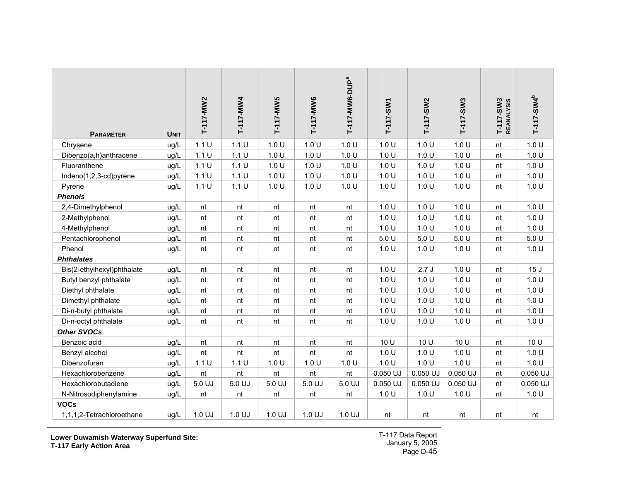| <b>PARAMETER</b>           | <b>UNIT</b> | T-117-MW2 | T-117-MW4 | T-117-MW5 | T-117-MW6 | T-117-MW6-DUP <sup>a</sup> | T-117-SW1 | T-117-SW2  | $T-117-SW3$ | $T-117-SW3$<br><b>REANALYSIS</b> | T-117-SW4 <sup>b</sup> |
|----------------------------|-------------|-----------|-----------|-----------|-----------|----------------------------|-----------|------------|-------------|----------------------------------|------------------------|
| Chrysene                   | ug/L        | 1.1 U     | 1.1 U     | 1.0 U     | 1.0 U     | 1.0 U                      | 1.0 U     | 1.0 U      | 1.0 U       | nt                               | 1.0 U                  |
| Dibenzo(a,h)anthracene     | ug/L        | 1.1 U     | 1.1 U     | 1.0 U     | 1.0 U     | 1.0 U                      | 1.0 U     | 1.0 U      | 1.0 U       | nt                               | 1.0 U                  |
| Fluoranthene               | ug/L        | 1.1 U     | 1.1 U     | 1.0 U     | 1.0 U     | 1.0 U                      | 1.0 U     | 1.0 U      | 1.0 U       | nt                               | 1.0 U                  |
| Indeno(1,2,3-cd)pyrene     | ug/L        | 1.1 U     | 1.1 U     | 1.0 U     | 1.0 U     | 1.0 U                      | 1.0 U     | 1.0 U      | 1.0 U       | nt                               | 1.0 U                  |
| Pyrene                     | ug/L        | 1.1 U     | 1.1 U     | 1.0 U     | 1.0 U     | 1.0 U                      | 1.0 U     | 1.0 U      | 1.0 U       | nt                               | 1.0 U                  |
| <b>Phenols</b>             |             |           |           |           |           |                            |           |            |             |                                  |                        |
| 2,4-Dimethylphenol         | ug/L        | nt        | nt        | nt        | nt        | nt                         | 1.0 U     | 1.0 U      | 1.0 U       | nt                               | 1.0 U                  |
| 2-Methylphenol             | ug/L        | nt        | nt        | nt        | nt        | nt                         | 1.0 U     | 1.0 U      | 1.0 U       | nt                               | 1.0 U                  |
| 4-Methylphenol             | ug/L        | nt        | nt        | nt        | nt        | nt                         | 1.0 U     | 1.0 U      | 1.0 U       | nt                               | 1.0 U                  |
| Pentachlorophenol          | ug/L        | nt        | nt        | nt        | nt        | nt                         | 5.0 U     | 5.0 U      | 5.0 U       | nt                               | 5.0 U                  |
| Phenol                     | ug/L        | nt        | nt        | nt        | nt        | nt                         | 1.0 U     | 1.0 U      | 1.0 U       | nt                               | 1.0 U                  |
| <b>Phthalates</b>          |             |           |           |           |           |                            |           |            |             |                                  |                        |
| Bis(2-ethylhexyl)phthalate | ug/L        | nt        | nt        | nt        | nt        | nt                         | 1.0 U     | 2.7J       | 1.0 U       | nt                               | 15J                    |
| Butyl benzyl phthalate     | ug/L        | $\sf nt$  | nt        | nt        | nt        | nt                         | 1.0 U     | 1.0 U      | 1.0 U       | nt                               | 1.0 U                  |
| Diethyl phthalate          | ug/L        | nt        | nt        | nt        | nt        | nt                         | 1.0 U     | 1.0 U      | 1.0 U       | nt                               | 1.0 U                  |
| Dimethyl phthalate         | ug/L        | nt        | nt        | nt        | nt        | nt                         | 1.0 U     | 1.0 U      | 1.0 U       | nt                               | 1.0 U                  |
| Di-n-butyl phthalate       | ug/L        | nt        | nt        | nt        | nt        | nt                         | 1.0 U     | 1.0 U      | 1.0 U       | nt                               | 1.0 U                  |
| Di-n-octyl phthalate       | ug/L        | nt        | nt        | nt        | nt        | nt                         | 1.0 U     | 1.0 U      | 1.0 U       | nt                               | 1.0 U                  |
| <b>Other SVOCs</b>         |             |           |           |           |           |                            |           |            |             |                                  |                        |
| Benzoic acid               | ug/L        | nt        | nt        | nt        | nt        | nt                         | 10 U      | 10 U       | 10 U        | nt                               | 10 U                   |
| Benzyl alcohol             | ug/L        | nt        | nt        | nt        | nt        | nt                         | 1.0 U     | 1.0 U      | 1.0 U       | nt                               | 1.0 U                  |
| Dibenzofuran               | ug/L        | 1.1 U     | 1.1 U     | 1.0 U     | 1.0 U     | 1.0 U                      | 1.0 U     | 1.0 U      | 1.0 U       | nt                               | 1.0 U                  |
| Hexachlorobenzene          | ug/L        | nt        | nt        | nt        | nt        | nt                         | 0.050 UJ  | $0.050$ UJ | 0.050 UJ    | nt                               | $0.050$ UJ             |
| Hexachlorobutadiene        | ug/L        | 5.0 UJ    | 5.0 UJ    | 5.0 UJ    | 5.0 UJ    | 5.0 UJ                     | 0.050 UJ  | 0.050 UJ   | 0.050 UJ    | nt                               | $0.050$ UJ             |
| N-Nitrosodiphenylamine     | ug/L        | nt        | nt        | nt        | nt        | nt                         | 1.0 U     | 1.0 U      | 1.0 U       | nt                               | 1.0 U                  |
| <b>VOCs</b>                |             |           |           |           |           |                            |           |            |             |                                  |                        |
| 1,1,1,2-Tetrachloroethane  | ug/L        | 1.0 UJ    | 1.0 UJ    | 1.0 UJ    | 1.0 UJ    | 1.0 UJ                     | nt        | nt         | nt          | nt                               | nt                     |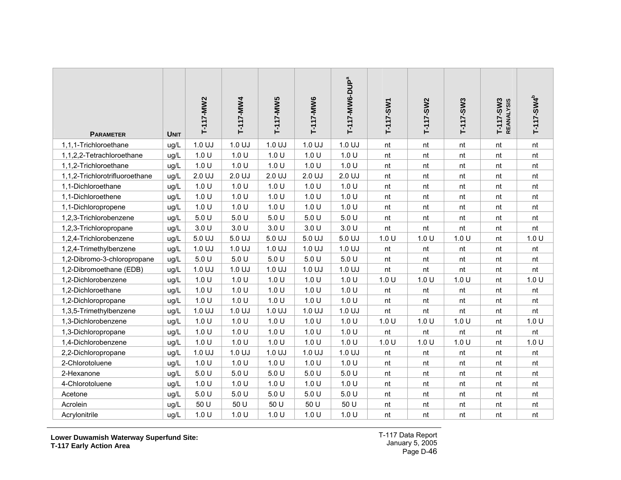| <b>PARAMETER</b>               | <b>UNIT</b> | T-117-MW2 | T-117-MW4 | T-117-MW5 | T-117-MW6 | T-117-MW6-DUP <sup>a</sup> | T-117-SW1 | T-117-SW2 | T-117-SW3 | T-117-SW3<br>REANALYSIS | $T-117-SWA^{b}$ |
|--------------------------------|-------------|-----------|-----------|-----------|-----------|----------------------------|-----------|-----------|-----------|-------------------------|-----------------|
| 1,1,1-Trichloroethane          | ug/L        | 1.0 UJ    | 1.0 UJ    | 1.0 UJ    | 1.0 UJ    | 1.0 UJ                     | nt        | nt        | nt        | nt                      | nt              |
| 1,1,2,2-Tetrachloroethane      | ug/L        | 1.0 U     | 1.0 U     | 1.0 U     | 1.0 U     | 1.0 U                      | nt        | nt        | nt        | nt                      | nt              |
| 1,1,2-Trichloroethane          | ug/L        | 1.0 U     | 1.0 U     | 1.0 U     | 1.0 U     | 1.0 U                      | nt        | nt        | nt        | nt                      | nt              |
| 1,1,2-Trichlorotrifluoroethane | ug/L        | 2.0 UJ    | 2.0 UJ    | 2.0 UJ    | 2.0 UJ    | 2.0 UJ                     | nt        | nt        | nt        | nt                      | nt              |
| 1,1-Dichloroethane             | ug/L        | 1.0 U     | 1.0 U     | 1.0 U     | 1.0 U     | 1.0 U                      | nt        | nt        | nt        | nt                      | nt              |
| 1,1-Dichloroethene             | ug/L        | 1.0 U     | 1.0 U     | 1.0 U     | 1.0 U     | 1.0 U                      | nt        | nt        | nt        | nt                      | nt              |
| 1,1-Dichloropropene            | ug/L        | 1.0 U     | 1.0 U     | 1.0 U     | 1.0 U     | 1.0 U                      | nt        | nt        | nt        | nt                      | nt              |
| 1,2,3-Trichlorobenzene         | ug/L        | 5.0 U     | 5.0 U     | 5.0 U     | 5.0 U     | 5.0 U                      | nt        | nt        | nt        | nt                      | nt              |
| 1,2,3-Trichloropropane         | ug/L        | 3.0 U     | 3.0 U     | 3.0 U     | 3.0 U     | 3.0 U                      | nt        | nt        | nt        | nt                      | nt              |
| 1,2,4-Trichlorobenzene         | ug/L        | 5.0 UJ    | 5.0 UJ    | 5.0 UJ    | 5.0 UJ    | 5.0 UJ                     | 1.0 U     | 1.0 U     | 1.0 U     | nt                      | 1.0 U           |
| 1,2,4-Trimethylbenzene         | ug/L        | 1.0 UJ    | 1.0 UJ    | 1.0 UJ    | 1.0 UJ    | 1.0 UJ                     | nt        | nt        | nt        | nt                      | nt              |
| 1,2-Dibromo-3-chloropropane    | ug/L        | 5.0 U     | 5.0 U     | 5.0 U     | 5.0 U     | 5.0 U                      | nt        | nt        | nt        | nt                      | nt              |
| 1,2-Dibromoethane (EDB)        | ug/L        | 1.0 UJ    | 1.0 UJ    | 1.0 UJ    | 1.0 UJ    | 1.0 UJ                     | nt        | nt        | nt        | nt                      | nt              |
| 1,2-Dichlorobenzene            | ug/L        | 1.0 U     | 1.0 U     | 1.0 U     | 1.0 U     | 1.0 U                      | 1.0 U     | 1.0 U     | 1.0 U     | nt                      | 1.0 U           |
| 1,2-Dichloroethane             | ug/L        | 1.0 U     | 1.0 U     | 1.0 U     | 1.0 U     | 1.0 U                      | nt        | nt        | nt        | nt                      | nt              |
| 1,2-Dichloropropane            | ug/L        | 1.0 U     | 1.0 U     | 1.0 U     | 1.0 U     | 1.0 U                      | nt        | nt        | nt        | nt                      | nt              |
| 1,3,5-Trimethylbenzene         | ug/L        | 1.0 UJ    | 1.0 UJ    | 1.0 UJ    | 1.0 UJ    | 1.0 UJ                     | nt        | nt        | nt        | nt                      | nt              |
| 1,3-Dichlorobenzene            | ug/L        | 1.0 U     | 1.0 U     | 1.0 U     | 1.0 U     | 1.0 U                      | 1.0 U     | 1.0 U     | 1.0 U     | nt                      | 1.0 U           |
| 1,3-Dichloropropane            | ug/L        | 1.0 U     | 1.0 U     | 1.0 U     | 1.0 U     | 1.0 U                      | nt        | nt        | nt        | nt                      | nt              |
| 1,4-Dichlorobenzene            | ug/L        | 1.0 U     | 1.0 U     | 1.0 U     | 1.0 U     | 1.0 U                      | 1.0 U     | 1.0 U     | 1.0 U     | nt                      | 1.0 U           |
| 2,2-Dichloropropane            | ug/L        | 1.0 UJ    | 1.0 UJ    | 1.0 UJ    | 1.0 UJ    | 1.0 UJ                     | nt        | nt        | nt        | nt                      | nt              |
| 2-Chlorotoluene                | ug/L        | 1.0 U     | 1.0 U     | 1.0 U     | 1.0 U     | 1.0 U                      | nt        | nt        | nt        | nt                      | nt              |
| 2-Hexanone                     | ug/L        | 5.0 U     | 5.0 U     | 5.0 U     | 5.0 U     | 5.0 U                      | nt        | nt        | nt        | nt                      | nt              |
| 4-Chlorotoluene                | ug/L        | 1.0 U     | 1.0 U     | 1.0 U     | 1.0 U     | 1.0 U                      | nt        | nt        | nt        | nt                      | nt              |
| Acetone                        | ug/L        | 5.0 U     | 5.0U      | 5.0 U     | 5.0 U     | 5.0 U                      | nt        | nt        | nt        | nt                      | nt              |
| Acrolein                       | ug/L        | 50 U      | 50 U      | 50 U      | 50 U      | 50 U                       | nt        | nt        | nt        | nt                      | nt              |
| Acrylonitrile                  | ug/L        | 1.0 U     | 1.0 U     | 1.0 U     | 1.0 U     | 1.0 U                      | nt        | nt        | nt        | nt                      | nt              |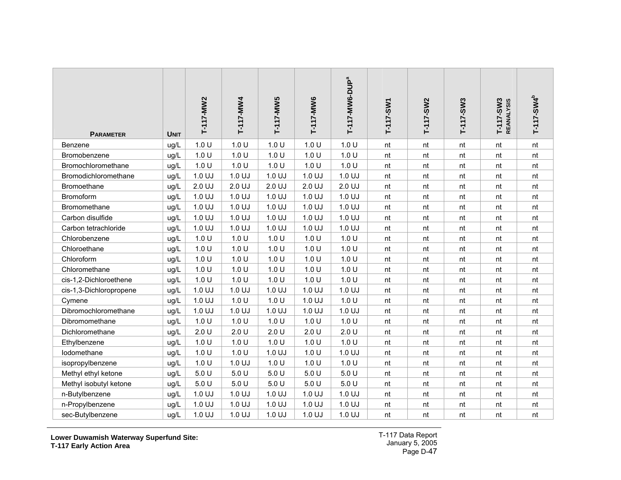| <b>PARAMETER</b>        | <b>UNIT</b> | T-117-MW2 | T-117-MW4 | T-117-MW5 | T-117-MW6 | T-117-MW6-DUP <sup>a</sup> | $T-117-SW1$ | T-117-SW2 | T-117-SW3 | T-117-SW3<br><b>REANALYSIS</b> | $T-117-SWA^{b}$ |
|-------------------------|-------------|-----------|-----------|-----------|-----------|----------------------------|-------------|-----------|-----------|--------------------------------|-----------------|
| Benzene                 | ug/L        | 1.0 U     | 1.0 U     | 1.0 U     | 1.0 U     | 1.0 U                      | nt          | nt        | nt        | nt                             | nt              |
| Bromobenzene            | ug/L        | 1.0 U     | 1.0 U     | 1.0 U     | 1.0 U     | 1.0 U                      | nt          | nt        | nt        | nt                             | nt              |
| Bromochloromethane      | ug/L        | 1.0 U     | 1.0 U     | 1.0 U     | 1.0 U     | 1.0 U                      | nt          | nt        | nt        | nt                             | nt              |
| Bromodichloromethane    | ug/L        | 1.0 UJ    | 1.0 UJ    | 1.0 UJ    | 1.0 UJ    | 1.0 UJ                     | nt          | nt        | nt        | nt                             | nt              |
| Bromoethane             | ug/L        | 2.0 UJ    | 2.0 UJ    | 2.0 UJ    | 2.0 UJ    | 2.0 UJ                     | nt          | nt        | nt        | nt                             | nt              |
| Bromoform               | ug/L        | 1.0 UJ    | 1.0 UJ    | 1.0 UJ    | 1.0 UJ    | 1.0 UJ                     | nt          | nt        | nt        | nt                             | nt              |
| Bromomethane            | ug/L        | 1.0 UJ    | 1.0 UJ    | 1.0 UJ    | 1.0 UJ    | 1.0 UJ                     | nt          | nt        | nt        | nt                             | nt              |
| Carbon disulfide        | ug/L        | 1.0 UJ    | 1.0 UJ    | 1.0 UJ    | 1.0 UJ    | 1.0 UJ                     | nt          | nt        | nt        | nt                             | nt              |
| Carbon tetrachloride    | ug/L        | 1.0 UJ    | 1.0 UJ    | 1.0 UJ    | 1.0 UJ    | 1.0 UJ                     | nt          | nt        | nt        | nt                             | nt              |
| Chlorobenzene           | ug/L        | 1.0 U     | 1.0 U     | 1.0 U     | 1.0 U     | 1.0 U                      | nt          | nt        | nt        | nt                             | nt              |
| Chloroethane            | ug/L        | 1.0 U     | 1.0 U     | 1.0 U     | 1.0 U     | 1.0 U                      | nt          | nt        | nt        | nt                             | nt              |
| Chloroform              | ug/L        | 1.0 U     | 1.0 U     | 1.0 U     | 1.0 U     | 1.0 U                      | nt          | nt        | nt        | nt                             | nt              |
| Chloromethane           | ug/L        | 1.0 U     | 1.0 U     | 1.0 U     | 1.0 U     | 1.0 U                      | nt          | nt        | nt        | nt                             | nt              |
| cis-1,2-Dichloroethene  | ug/L        | 1.0 U     | 1.0 U     | 1.0 U     | 1.0 U     | 1.0 U                      | nt          | $\sf nt$  | nt        | nt                             | nt              |
| cis-1,3-Dichloropropene | ug/L        | 1.0 UJ    | 1.0 UJ    | 1.0 UJ    | 1.0 UJ    | 1.0 UJ                     | nt          | nt        | nt        | nt                             | nt              |
| Cymene                  | ug/L        | 1.0 UJ    | 1.0 U     | 1.0 U     | 1.0 UJ    | 1.0 U                      | nt          | nt        | nt        | nt                             | nt              |
| Dibromochloromethane    | ug/L        | 1.0 UJ    | 1.0 UJ    | 1.0 UJ    | 1.0 UJ    | 1.0 UJ                     | nt          | nt        | nt        | nt                             | nt              |
| Dibromomethane          | ug/L        | 1.0 U     | 1.0 U     | 1.0 U     | 1.0 U     | 1.0 U                      | nt          | nt        | nt        | nt                             | nt              |
| Dichloromethane         | ug/L        | 2.0 U     | 2.0 U     | 2.0 U     | 2.0 U     | 2.0 U                      | nt          | nt        | nt        | nt                             | nt              |
| Ethylbenzene            | ug/L        | 1.0 U     | 1.0 U     | 1.0 U     | 1.0 U     | 1.0 U                      | nt          | nt        | nt        | nt                             | nt              |
| Iodomethane             | ug/L        | 1.0 U     | 1.0 U     | 1.0 UJ    | 1.0 U     | 1.0 UJ                     | nt          | nt        | nt        | nt                             | nt              |
| isopropylbenzene        | ug/L        | 1.0 U     | 1.0 UJ    | 1.0 U     | 1.0 U     | 1.0 U                      | nt          | nt        | nt        | nt                             | nt              |
| Methyl ethyl ketone     | ug/L        | 5.0 U     | 5.0 U     | 5.0 U     | 5.0 U     | 5.0 U                      | nt          | nt        | nt        | nt                             | nt              |
| Methyl isobutyl ketone  | ug/L        | 5.0 U     | 5.0 U     | 5.0 U     | 5.0 U     | 5.0 U                      | nt          | nt        | nt        | nt                             | nt              |
| n-Butylbenzene          | ug/L        | 1.0 UJ    | 1.0 UJ    | 1.0 UJ    | 1.0 UJ    | 1.0 UJ                     | nt          | nt        | nt        | nt                             | nt              |
| n-Propylbenzene         | ug/L        | 1.0 UJ    | 1.0 UJ    | 1.0 UJ    | 1.0 UJ    | 1.0 UJ                     | nt          | nt        | nt        | nt                             | nt              |
| sec-Butylbenzene        | ug/L        | 1.0 UJ    | 1.0 UJ    | 1.0 UJ    | 1.0 UJ    | 1.0 UJ                     | nt          | nt        | nt        | nt                             | nt              |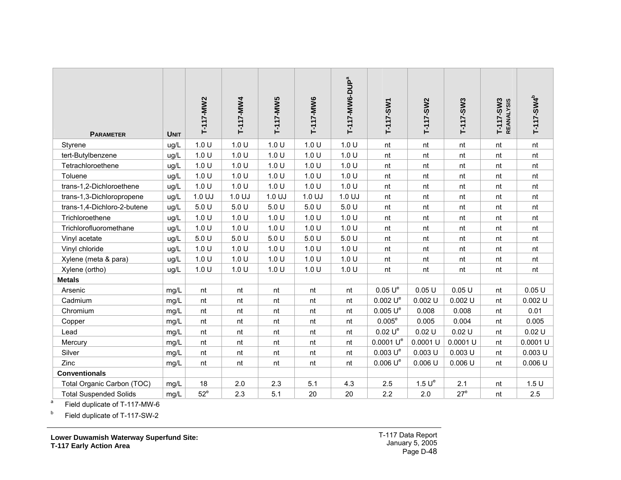| <b>PARAMETER</b>              | <b>UNIT</b> | T-117-MW2 | T-117-MW4 | T-117-MW5 | T-117-MW6 | T-117-MW6-DUP <sup>a</sup> | T-117-SW1             | T-117-SW2          | T-117-SW3       | $T-117-SW3$<br><b>REANALYSIS</b> | T-117-SW4 <sup>b</sup> |
|-------------------------------|-------------|-----------|-----------|-----------|-----------|----------------------------|-----------------------|--------------------|-----------------|----------------------------------|------------------------|
| Styrene                       | ug/L        | 1.0 U     | 1.0 U     | 1.0 U     | 1.0 U     | 1.0 U                      | nt                    | nt                 | nt              | nt                               | nt                     |
| tert-Butylbenzene             | ug/L        | 1.0 U     | 1.0 U     | 1.0 U     | 1.0 U     | 1.0 U                      | nt                    | nt                 | nt              | nt                               | nt                     |
| Tetrachloroethene             | ug/L        | 1.0 U     | 1.0 U     | 1.0 U     | 1.0 U     | 1.0 U                      | nt                    | nt                 | nt              | nt                               | nt                     |
| Toluene                       | ug/L        | 1.0 U     | 1.0 U     | 1.0 U     | 1.0 U     | 1.0 U                      | nt                    | nt                 | nt              | nt                               | nt                     |
| trans-1,2-Dichloroethene      | ug/L        | 1.0 U     | 1.0 U     | 1.0 U     | 1.0 U     | 1.0 U                      | nt                    | nt                 | nt              | nt                               | nt                     |
| trans-1,3-Dichloropropene     | ug/L        | 1.0 UJ    | 1.0 UJ    | 1.0 UJ    | 1.0 UJ    | 1.0 UJ                     | nt                    | nt                 | nt              | nt                               | nt                     |
| trans-1,4-Dichloro-2-butene   | ug/L        | 5.0 U     | 5.0 U     | 5.0 U     | 5.0 U     | 5.0 U                      | nt                    | nt                 | nt              | nt                               | nt                     |
| Trichloroethene               | ug/L        | 1.0 U     | 1.0 U     | 1.0 U     | 1.0 U     | 1.0 U                      | nt                    | nt                 | nt              | nt                               | nt                     |
| Trichlorofluoromethane        | ug/L        | 1.0 U     | 1.0 U     | 1.0 U     | 1.0 U     | 1.0 U                      | nt                    | nt                 | nt              | nt                               | nt                     |
| Vinyl acetate                 | ug/L        | 5.0 U     | 5.0 U     | 5.0 U     | 5.0 U     | 5.0 U                      | nt                    | nt                 | nt              | nt                               | nt                     |
| Vinyl chloride                | ug/L        | 1.0 U     | 1.0 U     | 1.0 U     | 1.0 U     | 1.0 U                      | nt                    | nt                 | nt              | nt                               | nt                     |
| Xylene (meta & para)          | ug/L        | 1.0 U     | 1.0 U     | 1.0 U     | 1.0 U     | 1.0 U                      | nt                    | nt                 | nt              | nt                               | nt                     |
| Xylene (ortho)                | ug/L        | 1.0 U     | 1.0 U     | 1.0 U     | 1.0 U     | 1.0 U                      | nt                    | nt                 | nt              | nt                               | nt                     |
| <b>Metals</b>                 |             |           |           |           |           |                            |                       |                    |                 |                                  |                        |
| Arsenic                       | mg/L        | nt        | nt        | nt        | nt        | nt                         | 0.05 U <sup>e</sup>   | 0.05U              | 0.05U           | nt                               | 0.05U                  |
| Cadmium                       | mg/L        | nt        | nt        | nt        | nt        | nt                         | 0.002 U <sup>e</sup>  | 0.002 U            | $0.002$ U       | nt                               | $0.002$ U              |
| Chromium                      | mg/L        | nt        | nt        | nt        | nt        | nt                         | 0.005 U <sup>e</sup>  | 0.008              | 0.008           | nt                               | 0.01                   |
| Copper                        | mg/L        | nt        | nt        | nt        | nt        | nt                         | $0.005^e$             | 0.005              | 0.004           | nt                               | 0.005                  |
| Lead                          | mg/L        | nt        | nt        | nt        | nt        | nt                         | 0.02 U <sup>e</sup>   | 0.02 U             | 0.02 U          | nt                               | 0.02 U                 |
| Mercury                       | mg/L        | nt        | nt        | nt        | nt        | nt                         | 0.0001 U <sup>e</sup> | 0.0001 U           | $0.0001$ U      | nt                               | $0.0001$ U             |
| Silver                        | mg/L        | nt        | nt        | nt        | nt        | nt                         | 0.003 U <sup>e</sup>  | $0.003$ U          | $0.003$ U       | nt                               | $0.003$ U              |
| Zinc                          | mg/L        | nt        | nt        | nt        | nt        | nt                         | 0.006 U <sup>e</sup>  | 0.006 U            | 0.006 U         | nt                               | 0.006 U                |
| <b>Conventionals</b>          |             |           |           |           |           |                            |                       |                    |                 |                                  |                        |
| Total Organic Carbon (TOC)    | mg/L        | 18        | 2.0       | 2.3       | 5.1       | 4.3                        | 2.5                   | 1.5 U <sup>e</sup> | 2.1             | nt                               | 1.5U                   |
| <b>Total Suspended Solids</b> | mg/L        | $52^e$    | 2.3       | 5.1       | 20        | 20                         | 2.2                   | 2.0                | 27 <sup>e</sup> | nt                               | 2.5                    |

a Field duplicate of T-117-MW-6

**b** Field duplicate of T-117-SW-2